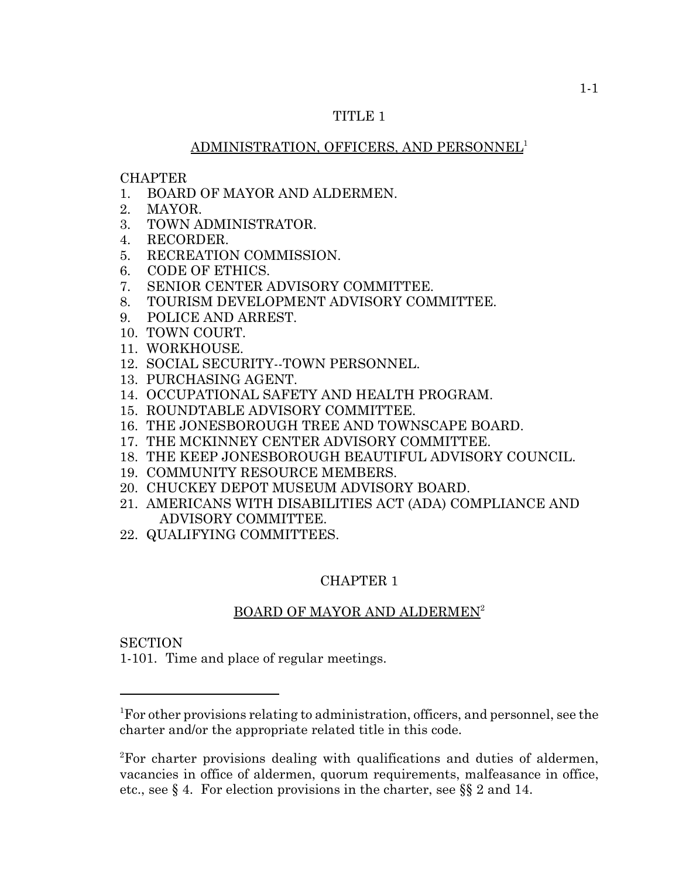# TITLE 1

# ADMINISTRATION, OFFICERS, AND PERSONNEL1

#### CHAPTER

- 1. BOARD OF MAYOR AND ALDERMEN.
- 2. MAYOR.
- 3. TOWN ADMINISTRATOR.
- 4. RECORDER.
- 5. RECREATION COMMISSION.
- 6. CODE OF ETHICS.
- 7. SENIOR CENTER ADVISORY COMMITTEE.
- 8. TOURISM DEVELOPMENT ADVISORY COMMITTEE.
- 9. POLICE AND ARREST.
- 10. TOWN COURT.
- 11. WORKHOUSE.
- 12. SOCIAL SECURITY--TOWN PERSONNEL.
- 13. PURCHASING AGENT.
- 14. OCCUPATIONAL SAFETY AND HEALTH PROGRAM.
- 15. ROUNDTABLE ADVISORY COMMITTEE.
- 16. THE JONESBOROUGH TREE AND TOWNSCAPE BOARD.
- 17. THE MCKINNEY CENTER ADVISORY COMMITTEE.
- 18. THE KEEP JONESBOROUGH BEAUTIFUL ADVISORY COUNCIL.
- 19. COMMUNITY RESOURCE MEMBERS.
- 20. CHUCKEY DEPOT MUSEUM ADVISORY BOARD.
- 21. AMERICANS WITH DISABILITIES ACT (ADA) COMPLIANCE AND ADVISORY COMMITTEE.
- 22. QUALIFYING COMMITTEES.

# CHAPTER 1

# BOARD OF MAYOR AND ALDERMEN<sup>2</sup>

**SECTION** 

1-101. Time and place of regular meetings.

<sup>&</sup>lt;sup>1</sup>For other provisions relating to administration, officers, and personnel, see the charter and/or the appropriate related title in this code.

<sup>&</sup>lt;sup>2</sup>For charter provisions dealing with qualifications and duties of aldermen, vacancies in office of aldermen, quorum requirements, malfeasance in office, etc., see § 4. For election provisions in the charter, see §§ 2 and 14.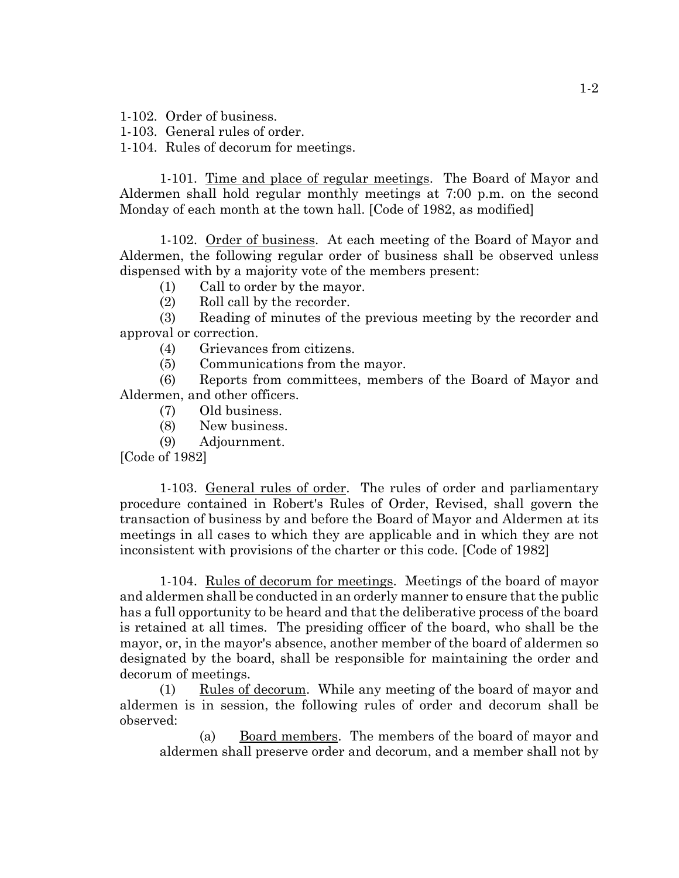1-102. Order of business.

1-103. General rules of order.

1-104. Rules of decorum for meetings.

1-101. Time and place of regular meetings. The Board of Mayor and Aldermen shall hold regular monthly meetings at 7:00 p.m. on the second Monday of each month at the town hall. [Code of 1982, as modified]

1-102. Order of business. At each meeting of the Board of Mayor and Aldermen, the following regular order of business shall be observed unless dispensed with by a majority vote of the members present:

(1) Call to order by the mayor.

(2) Roll call by the recorder.

(3) Reading of minutes of the previous meeting by the recorder and approval or correction.

(4) Grievances from citizens.

(5) Communications from the mayor.

(6) Reports from committees, members of the Board of Mayor and Aldermen, and other officers.

- (7) Old business.
- (8) New business.
- (9) Adjournment.

[Code of 1982]

1-103. General rules of order. The rules of order and parliamentary procedure contained in Robert's Rules of Order, Revised, shall govern the transaction of business by and before the Board of Mayor and Aldermen at its meetings in all cases to which they are applicable and in which they are not inconsistent with provisions of the charter or this code. [Code of 1982]

1-104. Rules of decorum for meetings. Meetings of the board of mayor and aldermen shall be conducted in an orderly manner to ensure that the public has a full opportunity to be heard and that the deliberative process of the board is retained at all times. The presiding officer of the board, who shall be the mayor, or, in the mayor's absence, another member of the board of aldermen so designated by the board, shall be responsible for maintaining the order and decorum of meetings.

(1) Rules of decorum. While any meeting of the board of mayor and aldermen is in session, the following rules of order and decorum shall be observed:

(a) Board members. The members of the board of mayor and aldermen shall preserve order and decorum, and a member shall not by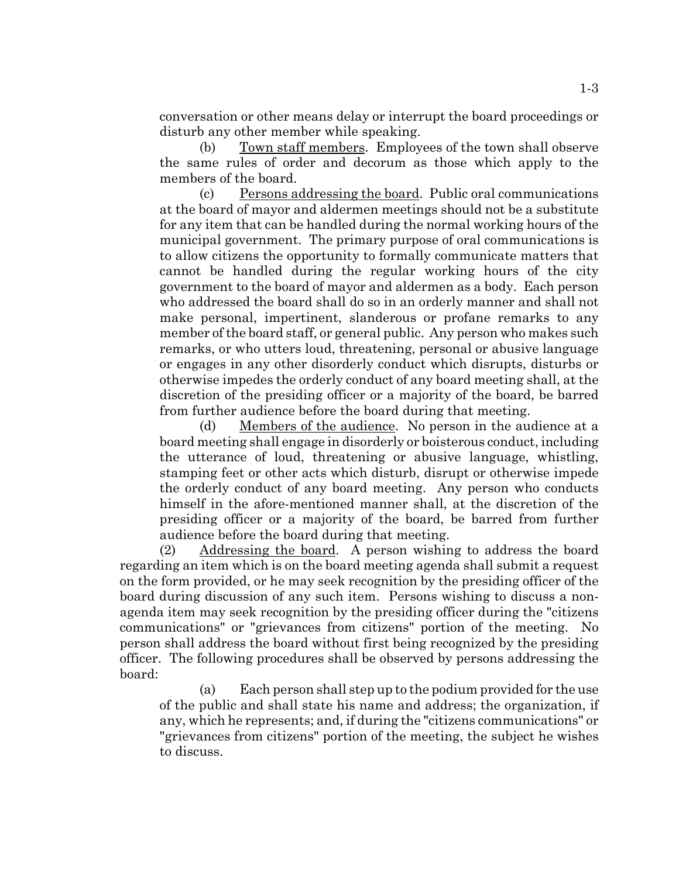conversation or other means delay or interrupt the board proceedings or disturb any other member while speaking.

(b) Town staff members. Employees of the town shall observe the same rules of order and decorum as those which apply to the members of the board.

(c) Persons addressing the board. Public oral communications at the board of mayor and aldermen meetings should not be a substitute for any item that can be handled during the normal working hours of the municipal government. The primary purpose of oral communications is to allow citizens the opportunity to formally communicate matters that cannot be handled during the regular working hours of the city government to the board of mayor and aldermen as a body. Each person who addressed the board shall do so in an orderly manner and shall not make personal, impertinent, slanderous or profane remarks to any member of the board staff, or general public. Any person who makes such remarks, or who utters loud, threatening, personal or abusive language or engages in any other disorderly conduct which disrupts, disturbs or otherwise impedes the orderly conduct of any board meeting shall, at the discretion of the presiding officer or a majority of the board, be barred from further audience before the board during that meeting.

(d) Members of the audience. No person in the audience at a board meeting shall engage in disorderly or boisterous conduct, including the utterance of loud, threatening or abusive language, whistling, stamping feet or other acts which disturb, disrupt or otherwise impede the orderly conduct of any board meeting. Any person who conducts himself in the afore-mentioned manner shall, at the discretion of the presiding officer or a majority of the board, be barred from further audience before the board during that meeting.

(2) Addressing the board. A person wishing to address the board regarding an item which is on the board meeting agenda shall submit a request on the form provided, or he may seek recognition by the presiding officer of the board during discussion of any such item. Persons wishing to discuss a nonagenda item may seek recognition by the presiding officer during the "citizens communications" or "grievances from citizens" portion of the meeting. No person shall address the board without first being recognized by the presiding officer. The following procedures shall be observed by persons addressing the board:

(a) Each person shall step up to the podium provided for the use of the public and shall state his name and address; the organization, if any, which he represents; and, if during the "citizens communications" or "grievances from citizens" portion of the meeting, the subject he wishes to discuss.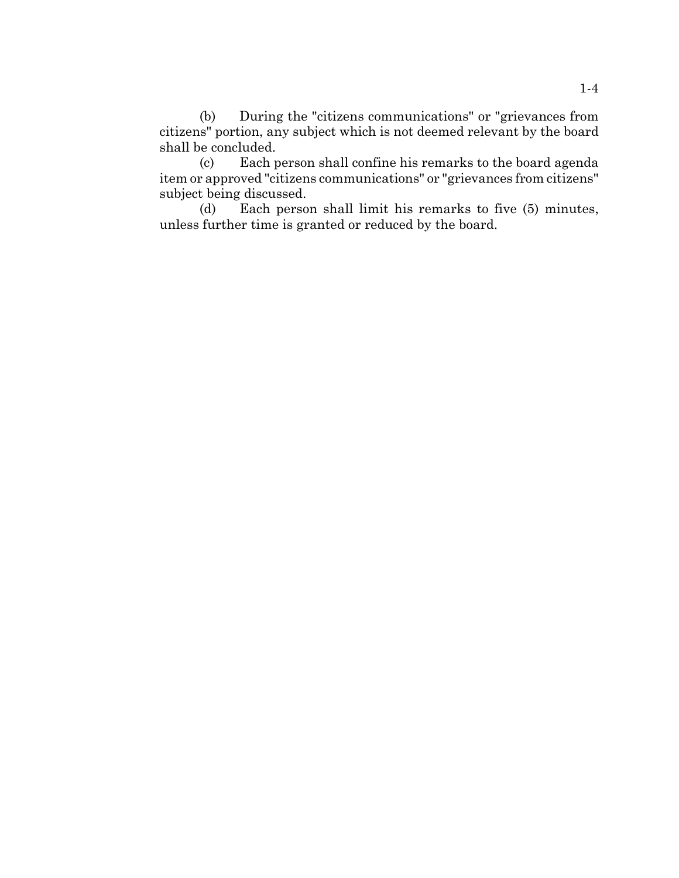(b) During the "citizens communications" or "grievances from citizens" portion, any subject which is not deemed relevant by the board shall be concluded.

(c) Each person shall confine his remarks to the board agenda item or approved "citizens communications" or "grievances from citizens" subject being discussed.

(d) Each person shall limit his remarks to five (5) minutes, unless further time is granted or reduced by the board.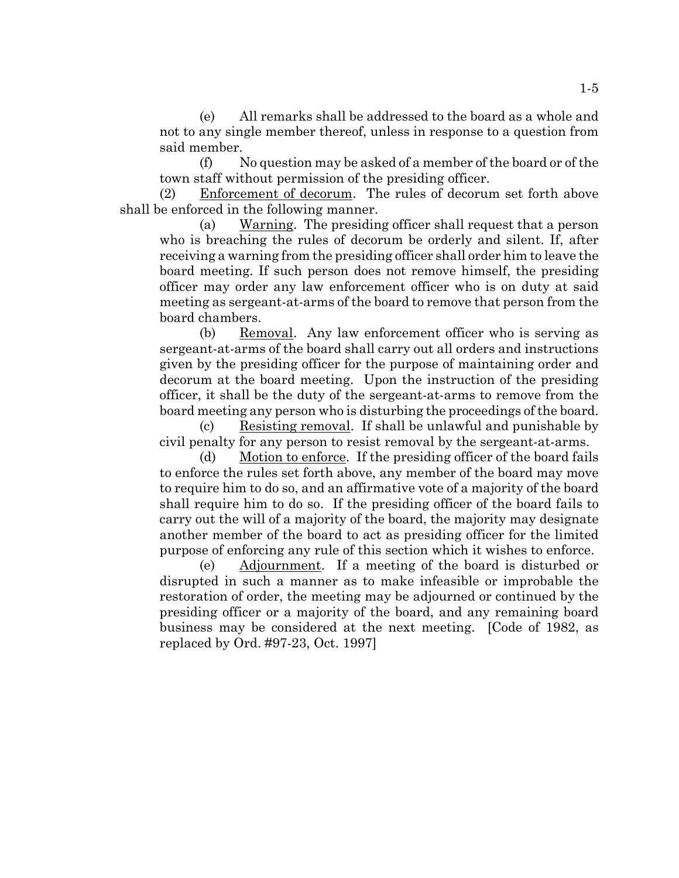(e) All remarks shall be addressed to the board as a whole and not to any single member thereof, unless in response to a question from said member.

(f) No question may be asked of a member of the board or of the town staff without permission of the presiding officer.

(2) Enforcement of decorum. The rules of decorum set forth above shall be enforced in the following manner.

(a) Warning. The presiding officer shall request that a person who is breaching the rules of decorum be orderly and silent. If, after receiving a warning from the presiding officer shall order him to leave the board meeting. If such person does not remove himself, the presiding officer may order any law enforcement officer who is on duty at said meeting as sergeant-at-arms of the board to remove that person from the board chambers.

(b) Removal. Any law enforcement officer who is serving as sergeant-at-arms of the board shall carry out all orders and instructions given by the presiding officer for the purpose of maintaining order and decorum at the board meeting. Upon the instruction of the presiding officer, it shall be the duty of the sergeant-at-arms to remove from the board meeting any person who is disturbing the proceedings of the board.

(c) Resisting removal. If shall be unlawful and punishable by civil penalty for any person to resist removal by the sergeant-at-arms.

(d) Motion to enforce. If the presiding officer of the board fails to enforce the rules set forth above, any member of the board may move to require him to do so, and an affirmative vote of a majority of the board shall require him to do so. If the presiding officer of the board fails to carry out the will of a majority of the board, the majority may designate another member of the board to act as presiding officer for the limited purpose of enforcing any rule of this section which it wishes to enforce.

(e) Adjournment. If a meeting of the board is disturbed or disrupted in such a manner as to make infeasible or improbable the restoration of order, the meeting may be adjourned or continued by the presiding officer or a majority of the board, and any remaining board business may be considered at the next meeting. [Code of 1982, as replaced by Ord. #97-23, Oct. 1997]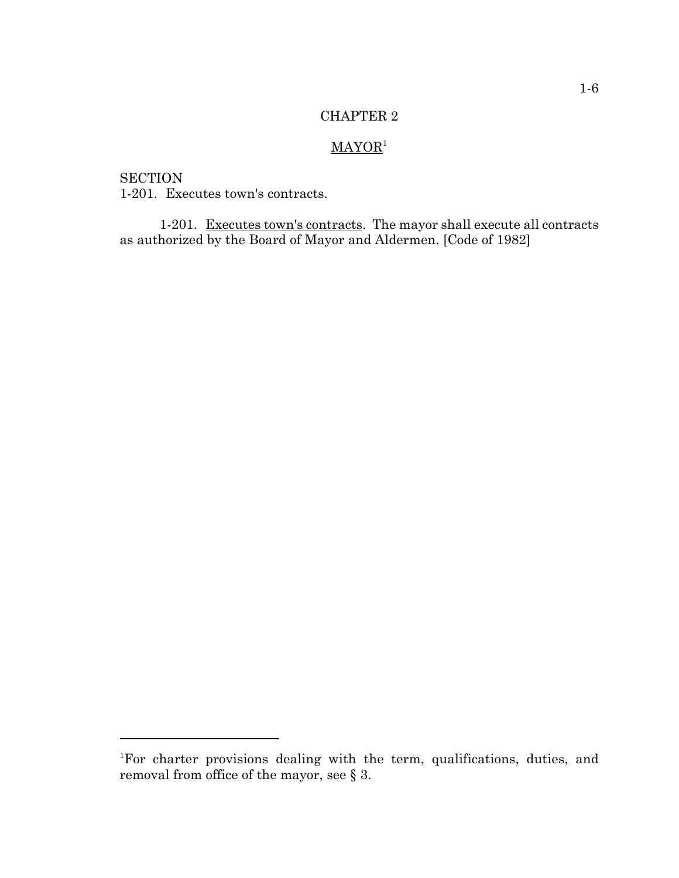# $MAYOR<sup>1</sup>$

**SECTION** 1-201. Executes town's contracts.

1-201. Executes town's contracts. The mayor shall execute all contracts as authorized by the Board of Mayor and Aldermen. [Code of 1982]

<sup>1</sup> For charter provisions dealing with the term, qualifications, duties, and removal from office of the mayor, see § 3.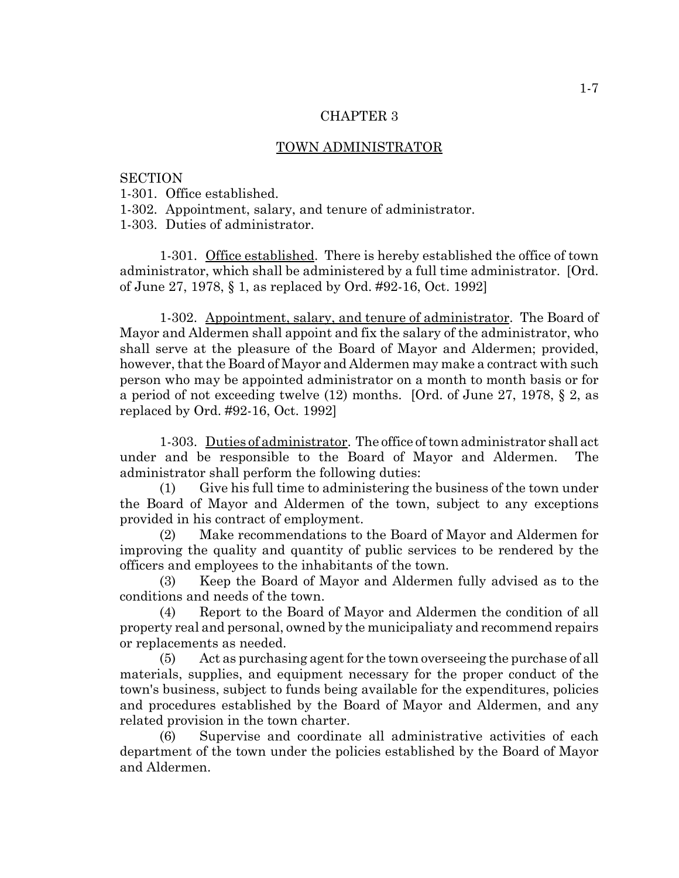#### TOWN ADMINISTRATOR

#### **SECTION**

1-301. Office established.

1-302. Appointment, salary, and tenure of administrator.

1-303. Duties of administrator.

1-301. Office established. There is hereby established the office of town administrator, which shall be administered by a full time administrator. [Ord. of June 27, 1978, § 1, as replaced by Ord. #92-16, Oct. 1992]

1-302. Appointment, salary, and tenure of administrator. The Board of Mayor and Aldermen shall appoint and fix the salary of the administrator, who shall serve at the pleasure of the Board of Mayor and Aldermen; provided, however, that the Board of Mayor and Aldermen may make a contract with such person who may be appointed administrator on a month to month basis or for a period of not exceeding twelve (12) months. [Ord. of June 27, 1978, § 2, as replaced by Ord. #92-16, Oct. 1992]

1-303. Duties of administrator. The office of town administrator shall act under and be responsible to the Board of Mayor and Aldermen. The administrator shall perform the following duties:

(1) Give his full time to administering the business of the town under the Board of Mayor and Aldermen of the town, subject to any exceptions provided in his contract of employment.

(2) Make recommendations to the Board of Mayor and Aldermen for improving the quality and quantity of public services to be rendered by the officers and employees to the inhabitants of the town.

(3) Keep the Board of Mayor and Aldermen fully advised as to the conditions and needs of the town.

(4) Report to the Board of Mayor and Aldermen the condition of all property real and personal, owned by the municipaliaty and recommend repairs or replacements as needed.

(5) Act as purchasing agent for the town overseeing the purchase of all materials, supplies, and equipment necessary for the proper conduct of the town's business, subject to funds being available for the expenditures, policies and procedures established by the Board of Mayor and Aldermen, and any related provision in the town charter.

(6) Supervise and coordinate all administrative activities of each department of the town under the policies established by the Board of Mayor and Aldermen.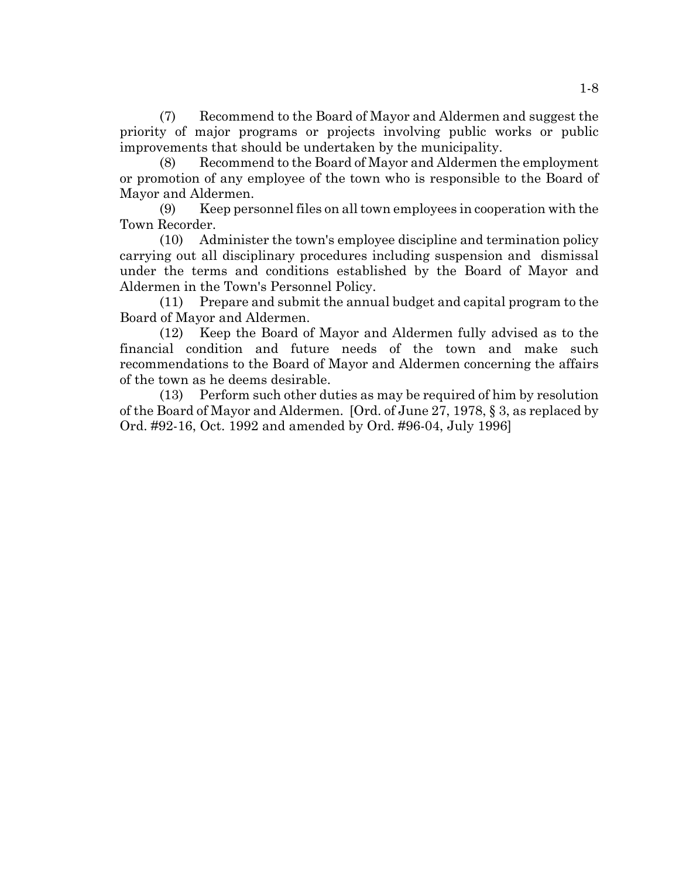(7) Recommend to the Board of Mayor and Aldermen and suggest the priority of major programs or projects involving public works or public improvements that should be undertaken by the municipality.

(8) Recommend to the Board of Mayor and Aldermen the employment or promotion of any employee of the town who is responsible to the Board of Mayor and Aldermen.

(9) Keep personnel files on all town employees in cooperation with the Town Recorder.

(10) Administer the town's employee discipline and termination policy carrying out all disciplinary procedures including suspension and dismissal under the terms and conditions established by the Board of Mayor and Aldermen in the Town's Personnel Policy.

(11) Prepare and submit the annual budget and capital program to the Board of Mayor and Aldermen.

(12) Keep the Board of Mayor and Aldermen fully advised as to the financial condition and future needs of the town and make such recommendations to the Board of Mayor and Aldermen concerning the affairs of the town as he deems desirable.

(13) Perform such other duties as may be required of him by resolution of the Board of Mayor and Aldermen. [Ord. of June 27, 1978, § 3, as replaced by Ord. #92-16, Oct. 1992 and amended by Ord. #96-04, July 1996]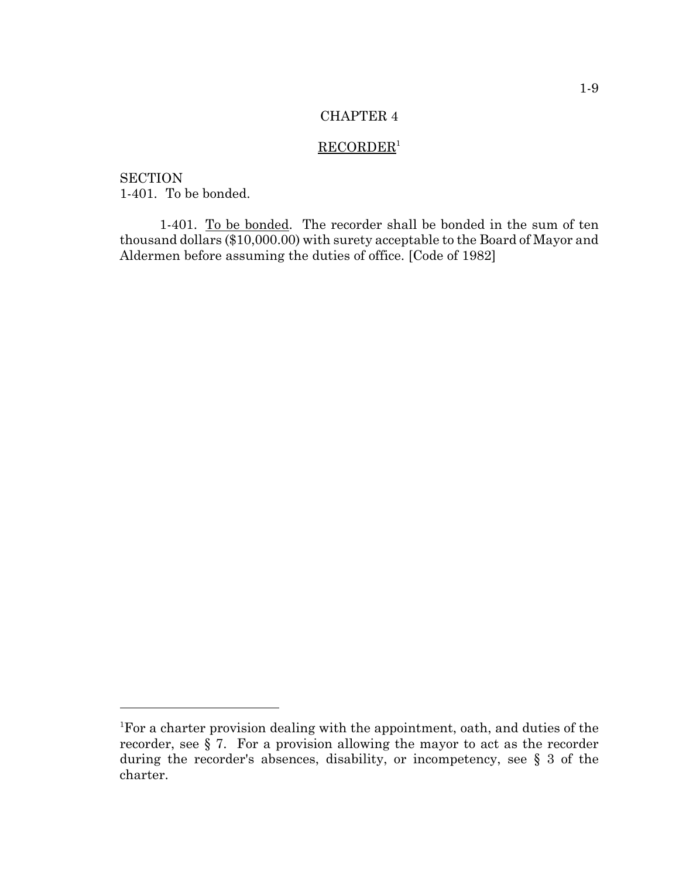# $RECORDER<sup>1</sup>$

**SECTION** 1-401. To be bonded.

1-401. To be bonded. The recorder shall be bonded in the sum of ten thousand dollars (\$10,000.00) with surety acceptable to the Board of Mayor and Aldermen before assuming the duties of office. [Code of 1982]

<sup>&</sup>lt;sup>1</sup>For a charter provision dealing with the appointment, oath, and duties of the recorder, see § 7. For a provision allowing the mayor to act as the recorder during the recorder's absences, disability, or incompetency, see § 3 of the charter.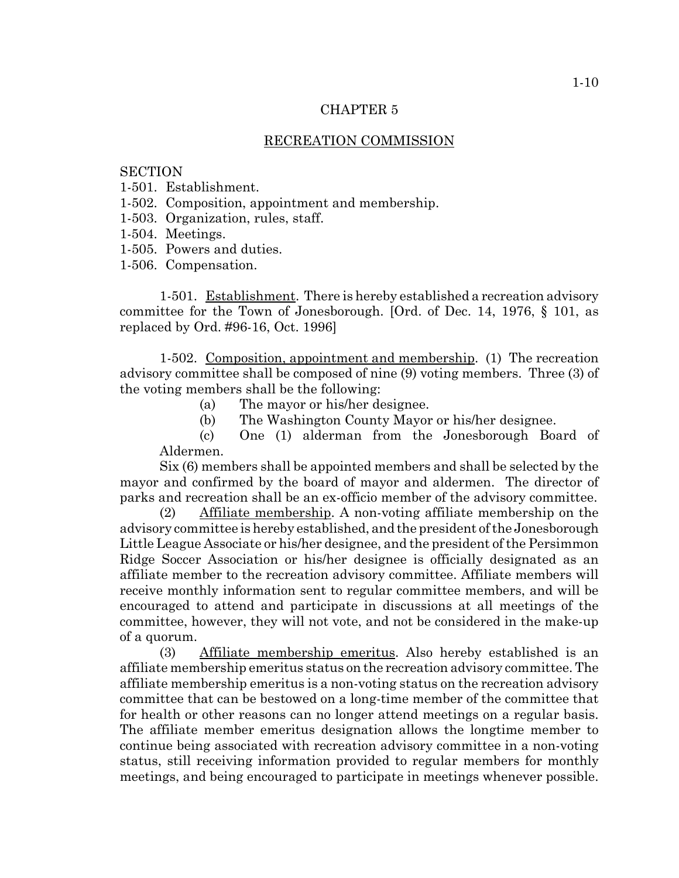#### RECREATION COMMISSION

#### **SECTION**

- 1-501. Establishment.
- 1-502. Composition, appointment and membership.
- 1-503. Organization, rules, staff.
- 1-504. Meetings.
- 1-505. Powers and duties.
- 1-506. Compensation.

1-501. Establishment. There is hereby established a recreation advisory committee for the Town of Jonesborough. [Ord. of Dec. 14, 1976, § 101, as replaced by Ord. #96-16, Oct. 1996]

1-502. Composition, appointment and membership. (1) The recreation advisory committee shall be composed of nine (9) voting members. Three (3) of the voting members shall be the following:

- (a) The mayor or his/her designee.
- (b) The Washington County Mayor or his/her designee.

(c) One (1) alderman from the Jonesborough Board of Aldermen.

Six (6) members shall be appointed members and shall be selected by the mayor and confirmed by the board of mayor and aldermen. The director of parks and recreation shall be an ex-officio member of the advisory committee.

(2) Affiliate membership. A non-voting affiliate membership on the advisory committee is hereby established, and the president of the Jonesborough Little League Associate or his/her designee, and the president of the Persimmon Ridge Soccer Association or his/her designee is officially designated as an affiliate member to the recreation advisory committee. Affiliate members will receive monthly information sent to regular committee members, and will be encouraged to attend and participate in discussions at all meetings of the committee, however, they will not vote, and not be considered in the make-up of a quorum.

(3) Affiliate membership emeritus. Also hereby established is an affiliate membership emeritus status on the recreation advisory committee. The affiliate membership emeritus is a non-voting status on the recreation advisory committee that can be bestowed on a long-time member of the committee that for health or other reasons can no longer attend meetings on a regular basis. The affiliate member emeritus designation allows the longtime member to continue being associated with recreation advisory committee in a non-voting status, still receiving information provided to regular members for monthly meetings, and being encouraged to participate in meetings whenever possible.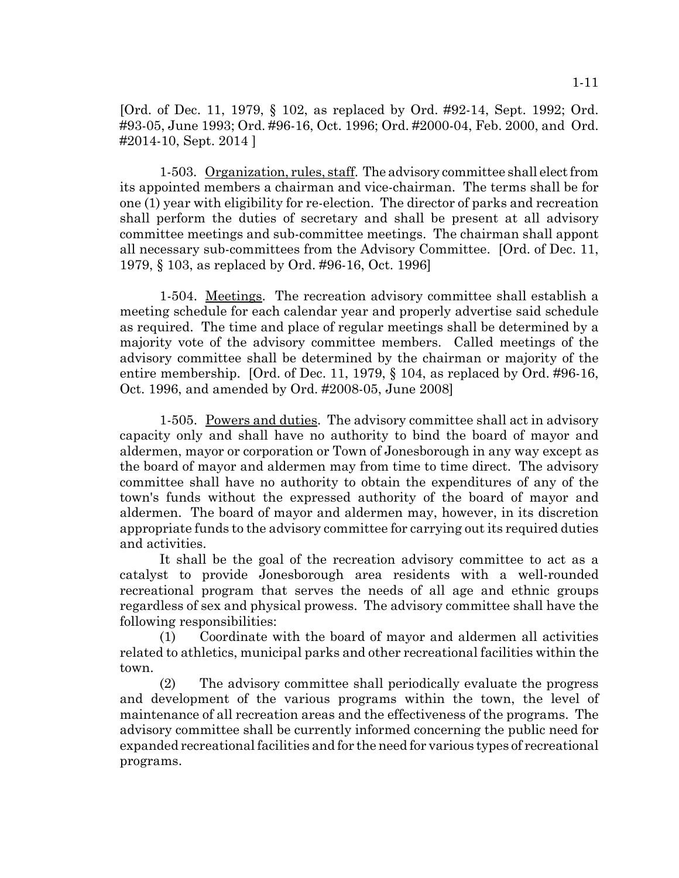[Ord. of Dec. 11, 1979, § 102, as replaced by Ord. #92-14, Sept. 1992; Ord. #93-05, June 1993; Ord. #96-16, Oct. 1996; Ord. #2000-04, Feb. 2000, and Ord. #2014-10, Sept. 2014 ]

1-503. Organization, rules, staff. The advisory committee shall elect from its appointed members a chairman and vice-chairman. The terms shall be for one (1) year with eligibility for re-election. The director of parks and recreation shall perform the duties of secretary and shall be present at all advisory committee meetings and sub-committee meetings. The chairman shall appont all necessary sub-committees from the Advisory Committee. [Ord. of Dec. 11, 1979, § 103, as replaced by Ord. #96-16, Oct. 1996]

1-504. Meetings. The recreation advisory committee shall establish a meeting schedule for each calendar year and properly advertise said schedule as required. The time and place of regular meetings shall be determined by a majority vote of the advisory committee members. Called meetings of the advisory committee shall be determined by the chairman or majority of the entire membership. [Ord. of Dec. 11, 1979, § 104, as replaced by Ord. #96-16, Oct. 1996, and amended by Ord. #2008-05, June 2008]

1-505. Powers and duties. The advisory committee shall act in advisory capacity only and shall have no authority to bind the board of mayor and aldermen, mayor or corporation or Town of Jonesborough in any way except as the board of mayor and aldermen may from time to time direct. The advisory committee shall have no authority to obtain the expenditures of any of the town's funds without the expressed authority of the board of mayor and aldermen. The board of mayor and aldermen may, however, in its discretion appropriate funds to the advisory committee for carrying out its required duties and activities.

It shall be the goal of the recreation advisory committee to act as a catalyst to provide Jonesborough area residents with a well-rounded recreational program that serves the needs of all age and ethnic groups regardless of sex and physical prowess. The advisory committee shall have the following responsibilities:

(1) Coordinate with the board of mayor and aldermen all activities related to athletics, municipal parks and other recreational facilities within the town.

(2) The advisory committee shall periodically evaluate the progress and development of the various programs within the town, the level of maintenance of all recreation areas and the effectiveness of the programs. The advisory committee shall be currently informed concerning the public need for expanded recreational facilities and for the need for various types of recreational programs.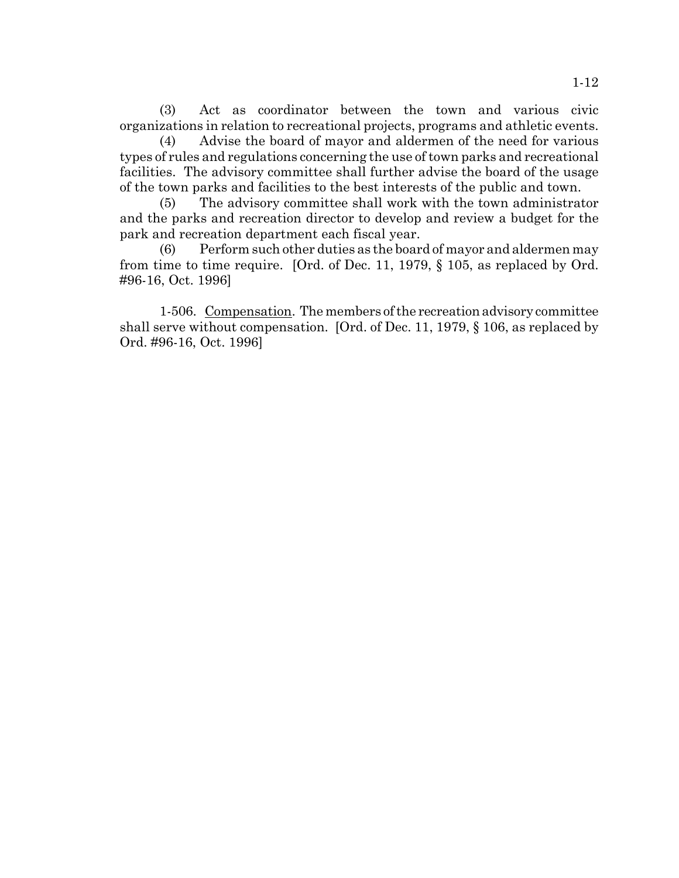(3) Act as coordinator between the town and various civic organizations in relation to recreational projects, programs and athletic events.

(4) Advise the board of mayor and aldermen of the need for various types of rules and regulations concerning the use of town parks and recreational facilities. The advisory committee shall further advise the board of the usage of the town parks and facilities to the best interests of the public and town.

(5) The advisory committee shall work with the town administrator and the parks and recreation director to develop and review a budget for the park and recreation department each fiscal year.

(6) Perform such other duties as the board of mayor and aldermen may from time to time require. [Ord. of Dec. 11, 1979, § 105, as replaced by Ord. #96-16, Oct. 1996]

1-506. Compensation. The members of the recreation advisory committee shall serve without compensation. [Ord. of Dec. 11, 1979, § 106, as replaced by Ord. #96-16, Oct. 1996]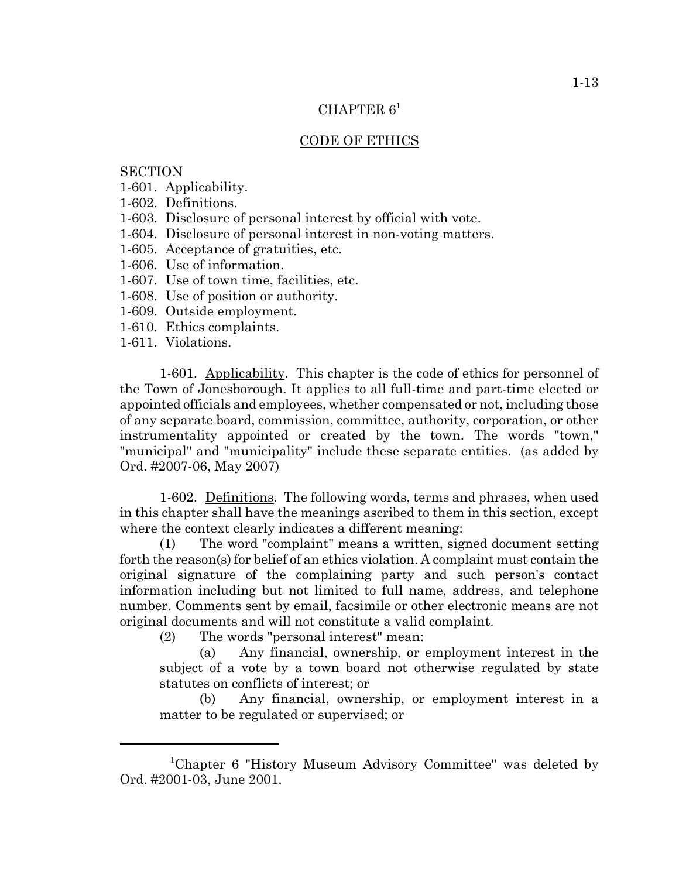# CHAPTER  $6<sup>1</sup>$

#### CODE OF ETHICS

# **SECTION**

- 1-601. Applicability.
- 1-602. Definitions.
- 1-603. Disclosure of personal interest by official with vote.
- 1-604. Disclosure of personal interest in non-voting matters.
- 1-605. Acceptance of gratuities, etc.
- 1-606. Use of information.
- 1-607. Use of town time, facilities, etc.
- 1-608. Use of position or authority.
- 1-609. Outside employment.
- 1-610. Ethics complaints.
- 1-611. Violations.

1-601. Applicability. This chapter is the code of ethics for personnel of the Town of Jonesborough. It applies to all full-time and part-time elected or appointed officials and employees, whether compensated or not, including those of any separate board, commission, committee, authority, corporation, or other instrumentality appointed or created by the town. The words "town," "municipal" and "municipality" include these separate entities. (as added by Ord. #2007-06, May 2007)

1-602. Definitions. The following words, terms and phrases, when used in this chapter shall have the meanings ascribed to them in this section, except where the context clearly indicates a different meaning:

(1) The word "complaint" means a written, signed document setting forth the reason(s) for belief of an ethics violation. A complaint must contain the original signature of the complaining party and such person's contact information including but not limited to full name, address, and telephone number. Comments sent by email, facsimile or other electronic means are not original documents and will not constitute a valid complaint.

(2) The words "personal interest" mean:

(a) Any financial, ownership, or employment interest in the subject of a vote by a town board not otherwise regulated by state statutes on conflicts of interest; or

(b) Any financial, ownership, or employment interest in a matter to be regulated or supervised; or

<sup>1</sup> Chapter 6 "History Museum Advisory Committee" was deleted by Ord. #2001-03, June 2001.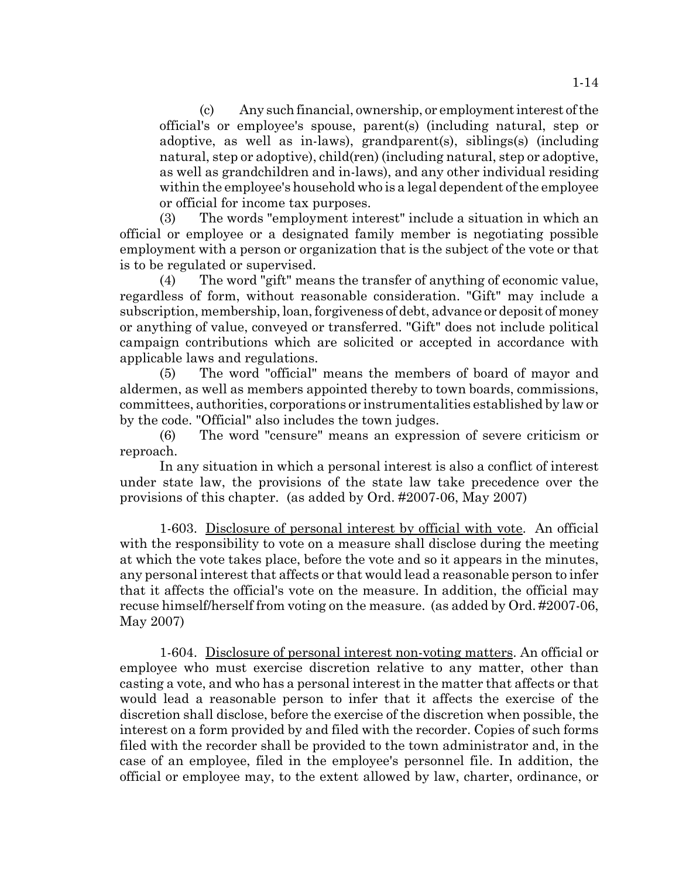(c) Any such financial, ownership, or employment interest of the official's or employee's spouse, parent(s) (including natural, step or adoptive, as well as in-laws), grandparent(s), siblings(s) (including natural, step or adoptive), child(ren) (including natural, step or adoptive, as well as grandchildren and in-laws), and any other individual residing within the employee's household who is a legal dependent of the employee or official for income tax purposes.

(3) The words "employment interest" include a situation in which an official or employee or a designated family member is negotiating possible employment with a person or organization that is the subject of the vote or that is to be regulated or supervised.

(4) The word "gift" means the transfer of anything of economic value, regardless of form, without reasonable consideration. "Gift" may include a subscription, membership, loan, forgiveness of debt, advance or deposit of money or anything of value, conveyed or transferred. "Gift" does not include political campaign contributions which are solicited or accepted in accordance with applicable laws and regulations.

(5) The word "official" means the members of board of mayor and aldermen, as well as members appointed thereby to town boards, commissions, committees, authorities, corporations or instrumentalities established by law or by the code. "Official" also includes the town judges.

(6) The word "censure" means an expression of severe criticism or reproach.

In any situation in which a personal interest is also a conflict of interest under state law, the provisions of the state law take precedence over the provisions of this chapter. (as added by Ord. #2007-06, May 2007)

1-603. Disclosure of personal interest by official with vote. An official with the responsibility to vote on a measure shall disclose during the meeting at which the vote takes place, before the vote and so it appears in the minutes, any personal interest that affects or that would lead a reasonable person to infer that it affects the official's vote on the measure. In addition, the official may recuse himself/herself from voting on the measure. (as added by Ord. #2007-06, May 2007)

1-604. Disclosure of personal interest non-voting matters. An official or employee who must exercise discretion relative to any matter, other than casting a vote, and who has a personal interest in the matter that affects or that would lead a reasonable person to infer that it affects the exercise of the discretion shall disclose, before the exercise of the discretion when possible, the interest on a form provided by and filed with the recorder. Copies of such forms filed with the recorder shall be provided to the town administrator and, in the case of an employee, filed in the employee's personnel file. In addition, the official or employee may, to the extent allowed by law, charter, ordinance, or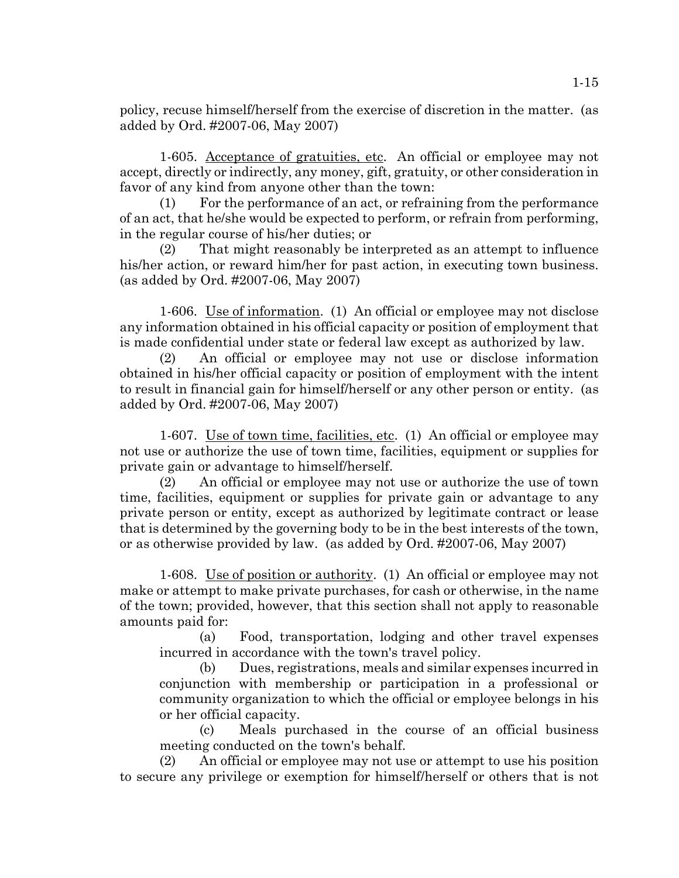policy, recuse himself/herself from the exercise of discretion in the matter. (as added by Ord. #2007-06, May 2007)

1-605. Acceptance of gratuities, etc. An official or employee may not accept, directly or indirectly, any money, gift, gratuity, or other consideration in favor of any kind from anyone other than the town:

(1) For the performance of an act, or refraining from the performance of an act, that he/she would be expected to perform, or refrain from performing, in the regular course of his/her duties; or

(2) That might reasonably be interpreted as an attempt to influence his/her action, or reward him/her for past action, in executing town business. (as added by Ord. #2007-06, May 2007)

1-606. Use of information. (1) An official or employee may not disclose any information obtained in his official capacity or position of employment that is made confidential under state or federal law except as authorized by law.

(2) An official or employee may not use or disclose information obtained in his/her official capacity or position of employment with the intent to result in financial gain for himself/herself or any other person or entity. (as added by Ord. #2007-06, May 2007)

1-607. Use of town time, facilities, etc. (1) An official or employee may not use or authorize the use of town time, facilities, equipment or supplies for private gain or advantage to himself/herself.

(2) An official or employee may not use or authorize the use of town time, facilities, equipment or supplies for private gain or advantage to any private person or entity, except as authorized by legitimate contract or lease that is determined by the governing body to be in the best interests of the town, or as otherwise provided by law. (as added by Ord. #2007-06, May 2007)

1-608. Use of position or authority. (1) An official or employee may not make or attempt to make private purchases, for cash or otherwise, in the name of the town; provided, however, that this section shall not apply to reasonable amounts paid for:

(a) Food, transportation, lodging and other travel expenses incurred in accordance with the town's travel policy.

(b) Dues, registrations, meals and similar expenses incurred in conjunction with membership or participation in a professional or community organization to which the official or employee belongs in his or her official capacity.

(c) Meals purchased in the course of an official business meeting conducted on the town's behalf.

(2) An official or employee may not use or attempt to use his position to secure any privilege or exemption for himself/herself or others that is not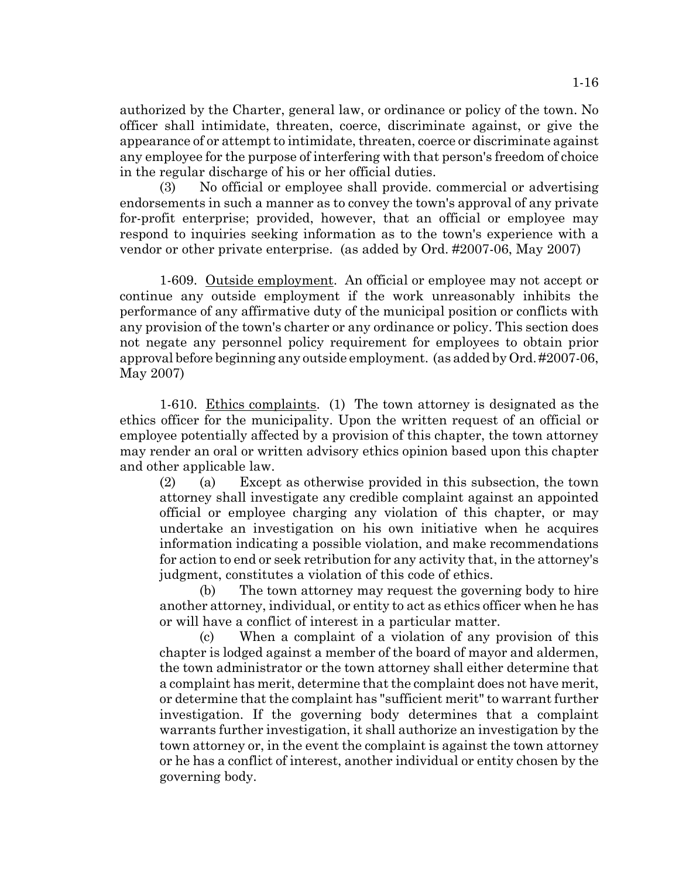authorized by the Charter, general law, or ordinance or policy of the town. No officer shall intimidate, threaten, coerce, discriminate against, or give the appearance of or attempt to intimidate, threaten, coerce or discriminate against any employee for the purpose of interfering with that person's freedom of choice in the regular discharge of his or her official duties.

(3) No official or employee shall provide. commercial or advertising endorsements in such a manner as to convey the town's approval of any private for-profit enterprise; provided, however, that an official or employee may respond to inquiries seeking information as to the town's experience with a vendor or other private enterprise. (as added by Ord. #2007-06, May 2007)

1-609. Outside employment. An official or employee may not accept or continue any outside employment if the work unreasonably inhibits the performance of any affirmative duty of the municipal position or conflicts with any provision of the town's charter or any ordinance or policy. This section does not negate any personnel policy requirement for employees to obtain prior approval before beginning any outside employment. (as added by Ord. #2007-06, May 2007)

1-610. Ethics complaints. (1) The town attorney is designated as the ethics officer for the municipality. Upon the written request of an official or employee potentially affected by a provision of this chapter, the town attorney may render an oral or written advisory ethics opinion based upon this chapter and other applicable law.

(2) (a) Except as otherwise provided in this subsection, the town attorney shall investigate any credible complaint against an appointed official or employee charging any violation of this chapter, or may undertake an investigation on his own initiative when he acquires information indicating a possible violation, and make recommendations for action to end or seek retribution for any activity that, in the attorney's judgment, constitutes a violation of this code of ethics.

(b) The town attorney may request the governing body to hire another attorney, individual, or entity to act as ethics officer when he has or will have a conflict of interest in a particular matter.

(c) When a complaint of a violation of any provision of this chapter is lodged against a member of the board of mayor and aldermen, the town administrator or the town attorney shall either determine that a complaint has merit, determine that the complaint does not have merit, or determine that the complaint has "sufficient merit" to warrant further investigation. If the governing body determines that a complaint warrants further investigation, it shall authorize an investigation by the town attorney or, in the event the complaint is against the town attorney or he has a conflict of interest, another individual or entity chosen by the governing body.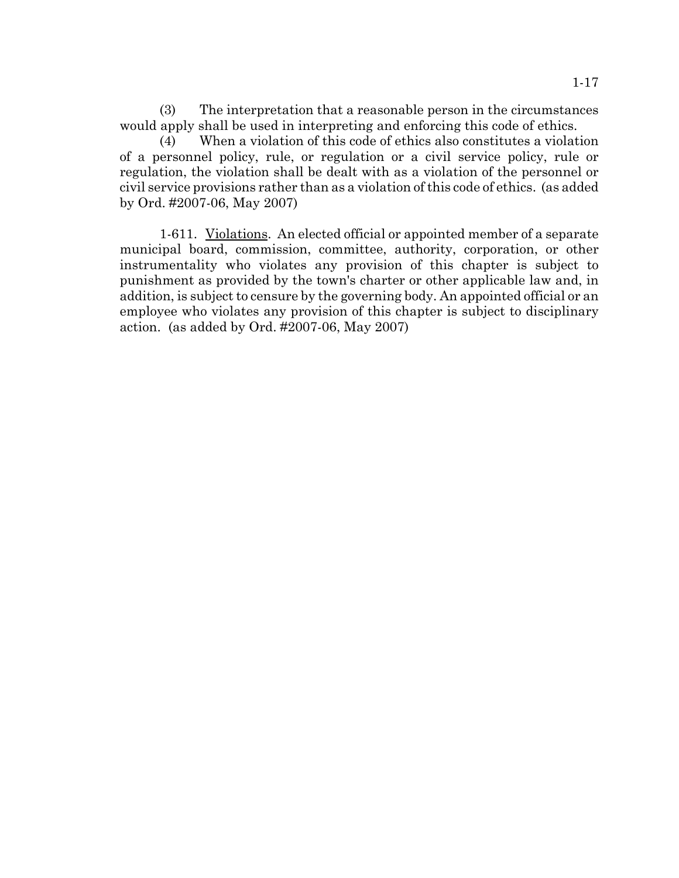(3) The interpretation that a reasonable person in the circumstances would apply shall be used in interpreting and enforcing this code of ethics.

(4) When a violation of this code of ethics also constitutes a violation of a personnel policy, rule, or regulation or a civil service policy, rule or regulation, the violation shall be dealt with as a violation of the personnel or civil service provisions rather than as a violation of this code of ethics. (as added by Ord. #2007-06, May 2007)

1-611. Violations. An elected official or appointed member of a separate municipal board, commission, committee, authority, corporation, or other instrumentality who violates any provision of this chapter is subject to punishment as provided by the town's charter or other applicable law and, in addition, is subject to censure by the governing body. An appointed official or an employee who violates any provision of this chapter is subject to disciplinary action. (as added by Ord. #2007-06, May 2007)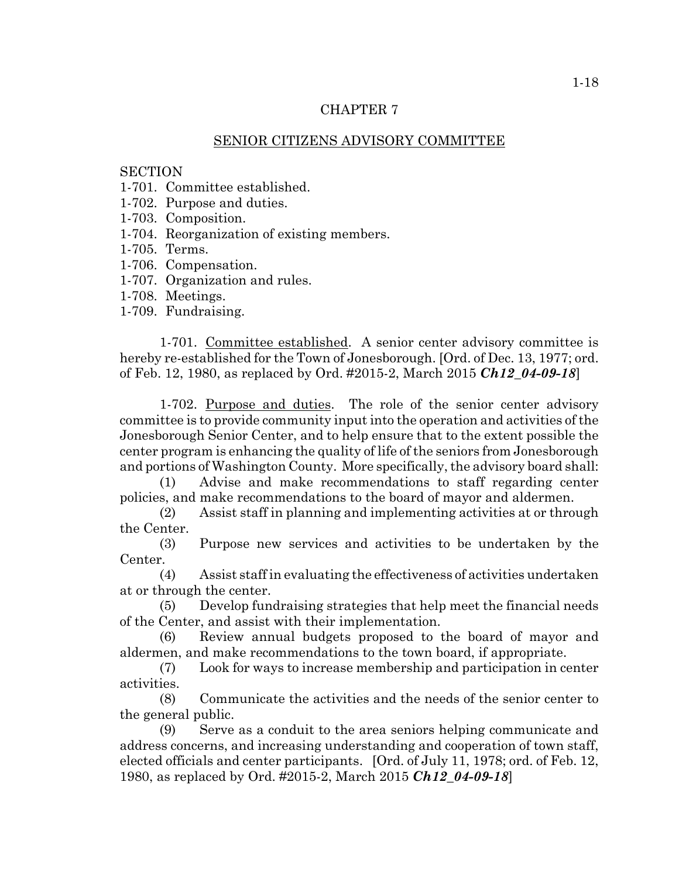## SENIOR CITIZENS ADVISORY COMMITTEE

#### **SECTION**

1-701. Committee established.

1-702. Purpose and duties.

- 1-703. Composition.
- 1-704. Reorganization of existing members.
- 1-705. Terms.
- 1-706. Compensation.
- 1-707. Organization and rules.
- 1-708. Meetings.
- 1-709. Fundraising.

1-701. Committee established. A senior center advisory committee is hereby re-established for the Town of Jonesborough. [Ord. of Dec. 13, 1977; ord. of Feb. 12, 1980, as replaced by Ord. #2015-2, March 2015 *Ch12\_04-09-18*]

1-702. Purpose and duties. The role of the senior center advisory committee is to provide community input into the operation and activities of the Jonesborough Senior Center, and to help ensure that to the extent possible the center program is enhancing the quality of life of the seniors from Jonesborough and portions of Washington County. More specifically, the advisory board shall:

(1) Advise and make recommendations to staff regarding center policies, and make recommendations to the board of mayor and aldermen.

(2) Assist staff in planning and implementing activities at or through the Center.

(3) Purpose new services and activities to be undertaken by the Center.

(4) Assist staff in evaluating the effectiveness of activities undertaken at or through the center.

(5) Develop fundraising strategies that help meet the financial needs of the Center, and assist with their implementation.

(6) Review annual budgets proposed to the board of mayor and aldermen, and make recommendations to the town board, if appropriate.

(7) Look for ways to increase membership and participation in center activities.

(8) Communicate the activities and the needs of the senior center to the general public.

(9) Serve as a conduit to the area seniors helping communicate and address concerns, and increasing understanding and cooperation of town staff, elected officials and center participants. [Ord. of July 11, 1978; ord. of Feb. 12, 1980, as replaced by Ord. #2015-2, March 2015 *Ch12\_04-09-18*]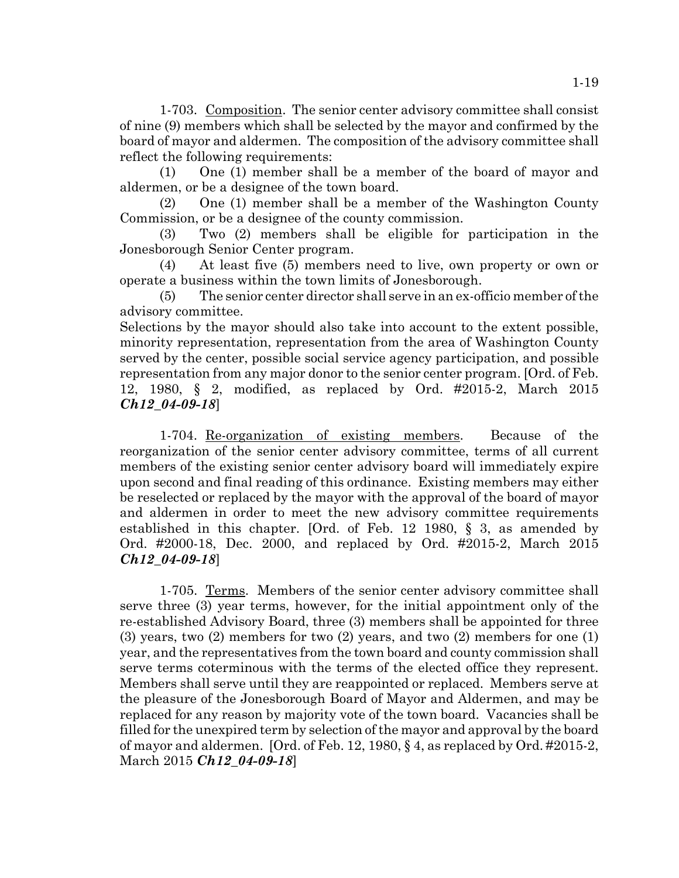1-703. Composition. The senior center advisory committee shall consist of nine (9) members which shall be selected by the mayor and confirmed by the board of mayor and aldermen. The composition of the advisory committee shall reflect the following requirements:

(1) One (1) member shall be a member of the board of mayor and aldermen, or be a designee of the town board.

(2) One (1) member shall be a member of the Washington County Commission, or be a designee of the county commission.

(3) Two (2) members shall be eligible for participation in the Jonesborough Senior Center program.

(4) At least five (5) members need to live, own property or own or operate a business within the town limits of Jonesborough.

(5) The senior center director shall serve in an ex-officio member of the advisory committee.

Selections by the mayor should also take into account to the extent possible, minority representation, representation from the area of Washington County served by the center, possible social service agency participation, and possible representation from any major donor to the senior center program. [Ord. of Feb. 12, 1980, § 2, modified, as replaced by Ord. #2015-2, March 2015 *Ch12\_04-09-18*]

1-704. Re-organization of existing members. Because of the reorganization of the senior center advisory committee, terms of all current members of the existing senior center advisory board will immediately expire upon second and final reading of this ordinance. Existing members may either be reselected or replaced by the mayor with the approval of the board of mayor and aldermen in order to meet the new advisory committee requirements established in this chapter. [Ord. of Feb. 12 1980, § 3, as amended by Ord. #2000-18, Dec. 2000, and replaced by Ord. #2015-2, March 2015 *Ch12\_04-09-18*]

1-705. Terms. Members of the senior center advisory committee shall serve three (3) year terms, however, for the initial appointment only of the re-established Advisory Board, three (3) members shall be appointed for three (3) years, two (2) members for two (2) years, and two (2) members for one (1) year, and the representatives from the town board and county commission shall serve terms coterminous with the terms of the elected office they represent. Members shall serve until they are reappointed or replaced. Members serve at the pleasure of the Jonesborough Board of Mayor and Aldermen, and may be replaced for any reason by majority vote of the town board. Vacancies shall be filled for the unexpired term by selection of the mayor and approval by the board of mayor and aldermen. [Ord. of Feb. 12, 1980,  $\S$  4, as replaced by Ord. #2015-2, March 2015 *Ch12\_04-09-18*]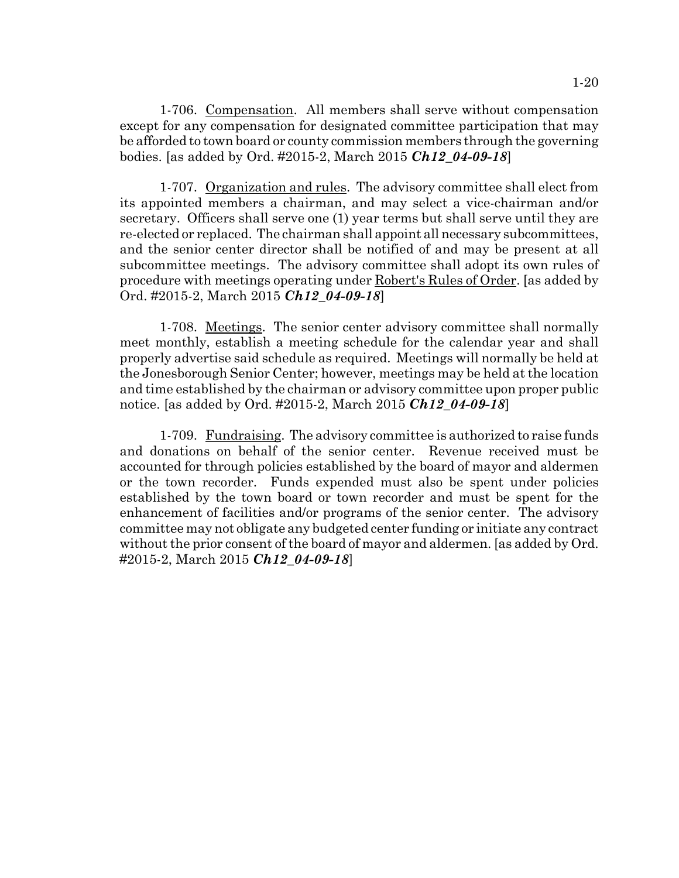1-706. Compensation. All members shall serve without compensation except for any compensation for designated committee participation that may be afforded to town board or county commission members through the governing bodies. [as added by Ord. #2015-2, March 2015 *Ch12\_04-09-18*]

1-707. Organization and rules. The advisory committee shall elect from its appointed members a chairman, and may select a vice-chairman and/or secretary. Officers shall serve one (1) year terms but shall serve until they are re-elected or replaced. The chairman shall appoint all necessary subcommittees, and the senior center director shall be notified of and may be present at all subcommittee meetings. The advisory committee shall adopt its own rules of procedure with meetings operating under Robert's Rules of Order. [as added by Ord. #2015-2, March 2015 *Ch12\_04-09-18*]

1-708. Meetings. The senior center advisory committee shall normally meet monthly, establish a meeting schedule for the calendar year and shall properly advertise said schedule as required. Meetings will normally be held at the Jonesborough Senior Center; however, meetings may be held at the location and time established by the chairman or advisory committee upon proper public notice. [as added by Ord. #2015-2, March 2015 *Ch12\_04-09-18*]

1-709. Fundraising. The advisory committee is authorized to raise funds and donations on behalf of the senior center. Revenue received must be accounted for through policies established by the board of mayor and aldermen or the town recorder. Funds expended must also be spent under policies established by the town board or town recorder and must be spent for the enhancement of facilities and/or programs of the senior center. The advisory committee may not obligate any budgeted center funding or initiate any contract without the prior consent of the board of mayor and aldermen. [as added by Ord. #2015-2, March 2015 *Ch12\_04-09-18*]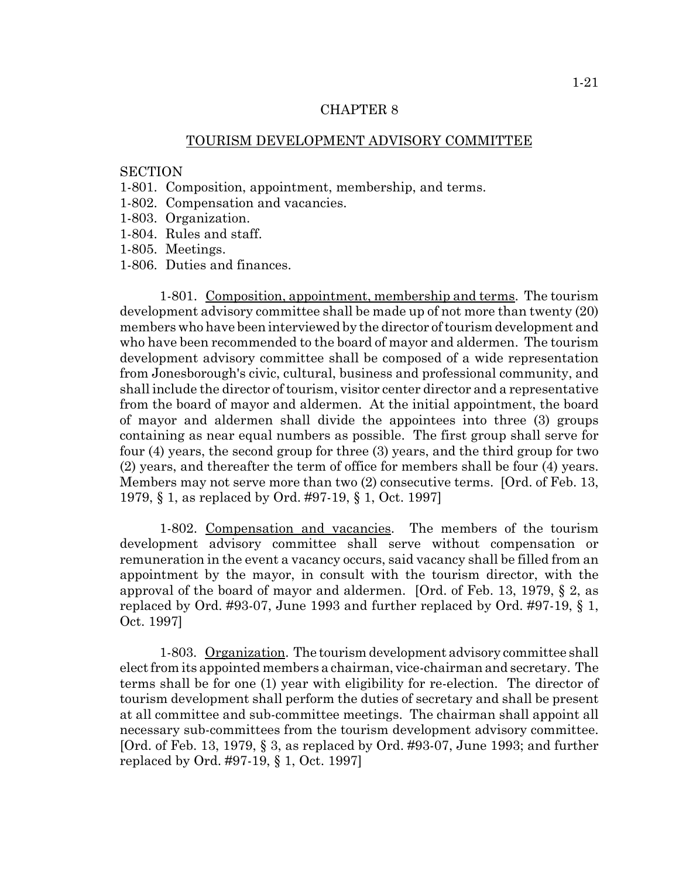#### TOURISM DEVELOPMENT ADVISORY COMMITTEE

# **SECTION**

- 1-801. Composition, appointment, membership, and terms.
- 1-802. Compensation and vacancies.
- 1-803. Organization.
- 1-804. Rules and staff.
- 1-805. Meetings.
- 1-806. Duties and finances.

1-801. Composition, appointment, membership and terms. The tourism development advisory committee shall be made up of not more than twenty (20) members who have been interviewed by the director of tourism development and who have been recommended to the board of mayor and aldermen. The tourism development advisory committee shall be composed of a wide representation from Jonesborough's civic, cultural, business and professional community, and shall include the director of tourism, visitor center director and a representative from the board of mayor and aldermen. At the initial appointment, the board of mayor and aldermen shall divide the appointees into three (3) groups containing as near equal numbers as possible. The first group shall serve for four (4) years, the second group for three (3) years, and the third group for two (2) years, and thereafter the term of office for members shall be four (4) years. Members may not serve more than two (2) consecutive terms. [Ord. of Feb. 13, 1979, § 1, as replaced by Ord. #97-19, § 1, Oct. 1997]

1-802. Compensation and vacancies. The members of the tourism development advisory committee shall serve without compensation or remuneration in the event a vacancy occurs, said vacancy shall be filled from an appointment by the mayor, in consult with the tourism director, with the approval of the board of mayor and aldermen. [Ord. of Feb. 13, 1979,  $\S 2$ , as replaced by Ord. #93-07, June 1993 and further replaced by Ord. #97-19, § 1, Oct. 1997]

1-803. Organization. The tourism development advisory committee shall elect from its appointed members a chairman, vice-chairman and secretary. The terms shall be for one (1) year with eligibility for re-election. The director of tourism development shall perform the duties of secretary and shall be present at all committee and sub-committee meetings. The chairman shall appoint all necessary sub-committees from the tourism development advisory committee. [Ord. of Feb. 13, 1979, § 3, as replaced by Ord. #93-07, June 1993; and further replaced by Ord. #97-19, § 1, Oct. 1997]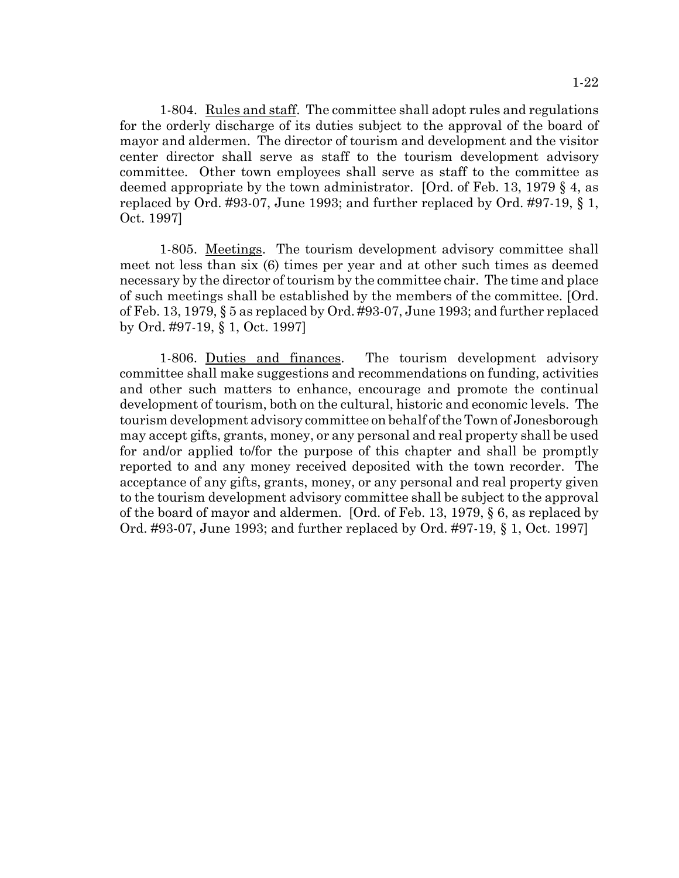1-804. Rules and staff. The committee shall adopt rules and regulations for the orderly discharge of its duties subject to the approval of the board of mayor and aldermen. The director of tourism and development and the visitor center director shall serve as staff to the tourism development advisory committee. Other town employees shall serve as staff to the committee as deemed appropriate by the town administrator. [Ord. of Feb. 13, 1979 § 4, as replaced by Ord. #93-07, June 1993; and further replaced by Ord. #97-19, § 1, Oct. 1997]

1-805. Meetings. The tourism development advisory committee shall meet not less than six (6) times per year and at other such times as deemed necessary by the director of tourism by the committee chair. The time and place of such meetings shall be established by the members of the committee. [Ord. of Feb. 13, 1979, § 5 as replaced by Ord. #93-07, June 1993; and further replaced by Ord. #97-19, § 1, Oct. 1997]

1-806. Duties and finances. The tourism development advisory committee shall make suggestions and recommendations on funding, activities and other such matters to enhance, encourage and promote the continual development of tourism, both on the cultural, historic and economic levels. The tourism development advisory committee on behalf of the Town of Jonesborough may accept gifts, grants, money, or any personal and real property shall be used for and/or applied to/for the purpose of this chapter and shall be promptly reported to and any money received deposited with the town recorder. The acceptance of any gifts, grants, money, or any personal and real property given to the tourism development advisory committee shall be subject to the approval of the board of mayor and aldermen. [Ord. of Feb. 13, 1979, § 6, as replaced by Ord. #93-07, June 1993; and further replaced by Ord. #97-19, § 1, Oct. 1997]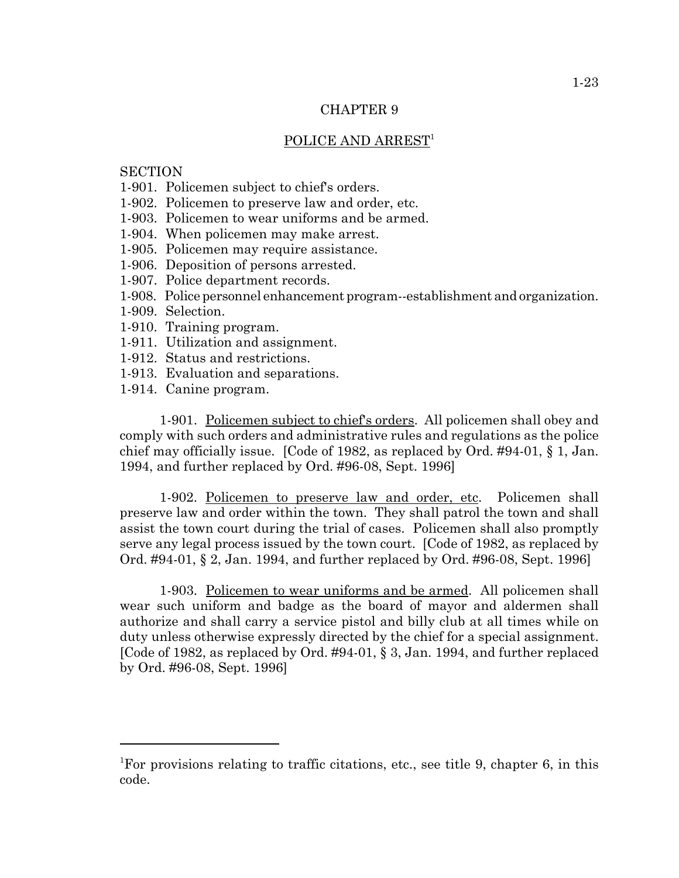#### POLICE AND ARREST<sup>1</sup>

# **SECTION**

- 1-901. Policemen subject to chief's orders.
- 1-902. Policemen to preserve law and order, etc.
- 1-903. Policemen to wear uniforms and be armed.
- 1-904. When policemen may make arrest.
- 1-905. Policemen may require assistance.
- 1-906. Deposition of persons arrested.
- 1-907. Police department records.
- 1-908. Police personnel enhancement program--establishment and organization.
- 1-909. Selection.
- 1-910. Training program.
- 1-911. Utilization and assignment.
- 1-912. Status and restrictions.
- 1-913. Evaluation and separations.
- 1-914. Canine program.

1-901. Policemen subject to chief's orders. All policemen shall obey and comply with such orders and administrative rules and regulations as the police chief may officially issue. [Code of 1982, as replaced by Ord. #94-01, § 1, Jan. 1994, and further replaced by Ord. #96-08, Sept. 1996]

1-902. Policemen to preserve law and order, etc. Policemen shall preserve law and order within the town. They shall patrol the town and shall assist the town court during the trial of cases. Policemen shall also promptly serve any legal process issued by the town court. [Code of 1982, as replaced by Ord. #94-01, § 2, Jan. 1994, and further replaced by Ord. #96-08, Sept. 1996]

1-903. Policemen to wear uniforms and be armed. All policemen shall wear such uniform and badge as the board of mayor and aldermen shall authorize and shall carry a service pistol and billy club at all times while on duty unless otherwise expressly directed by the chief for a special assignment. [Code of 1982, as replaced by Ord. #94-01, § 3, Jan. 1994, and further replaced by Ord. #96-08, Sept. 1996]

<sup>1</sup> For provisions relating to traffic citations, etc., see title 9, chapter 6, in this code.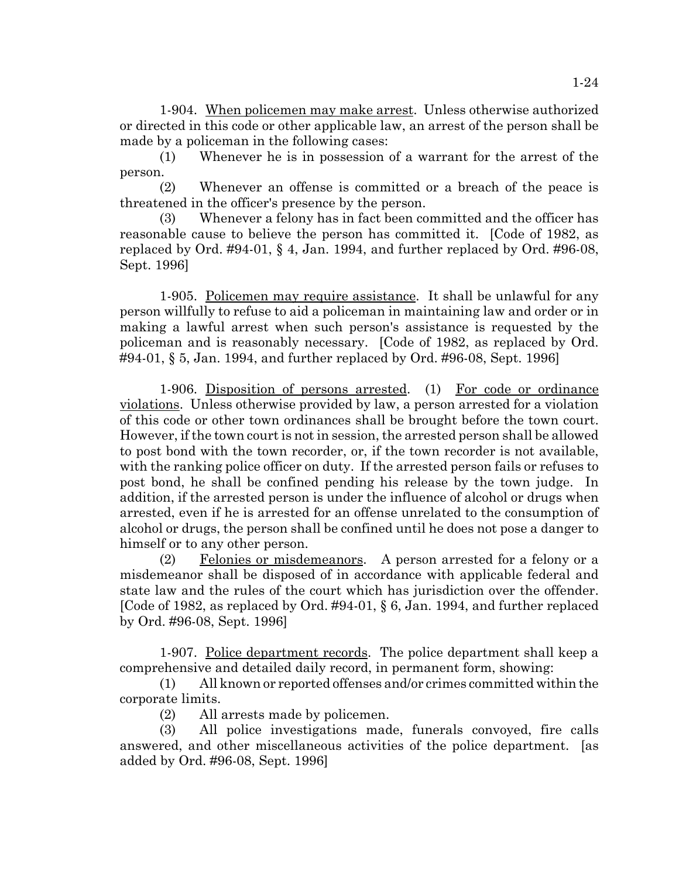1-904. When policemen may make arrest. Unless otherwise authorized or directed in this code or other applicable law, an arrest of the person shall be made by a policeman in the following cases:

(1) Whenever he is in possession of a warrant for the arrest of the person.

(2) Whenever an offense is committed or a breach of the peace is threatened in the officer's presence by the person.

(3) Whenever a felony has in fact been committed and the officer has reasonable cause to believe the person has committed it. [Code of 1982, as replaced by Ord. #94-01, § 4, Jan. 1994, and further replaced by Ord. #96-08, Sept. 1996]

1-905. Policemen may require assistance. It shall be unlawful for any person willfully to refuse to aid a policeman in maintaining law and order or in making a lawful arrest when such person's assistance is requested by the policeman and is reasonably necessary. [Code of 1982, as replaced by Ord. #94-01, § 5, Jan. 1994, and further replaced by Ord. #96-08, Sept. 1996]

1-906. Disposition of persons arrested. (1) For code or ordinance violations. Unless otherwise provided by law, a person arrested for a violation of this code or other town ordinances shall be brought before the town court. However, if the town court is not in session, the arrested person shall be allowed to post bond with the town recorder, or, if the town recorder is not available, with the ranking police officer on duty. If the arrested person fails or refuses to post bond, he shall be confined pending his release by the town judge. In addition, if the arrested person is under the influence of alcohol or drugs when arrested, even if he is arrested for an offense unrelated to the consumption of alcohol or drugs, the person shall be confined until he does not pose a danger to himself or to any other person.

(2) Felonies or misdemeanors. A person arrested for a felony or a misdemeanor shall be disposed of in accordance with applicable federal and state law and the rules of the court which has jurisdiction over the offender. [Code of 1982, as replaced by Ord. #94-01, § 6, Jan. 1994, and further replaced by Ord. #96-08, Sept. 1996]

1-907. Police department records. The police department shall keep a comprehensive and detailed daily record, in permanent form, showing:

(1) All known or reported offenses and/or crimes committed within the corporate limits.

(2) All arrests made by policemen.

(3) All police investigations made, funerals convoyed, fire calls answered, and other miscellaneous activities of the police department. [as added by Ord. #96-08, Sept. 1996]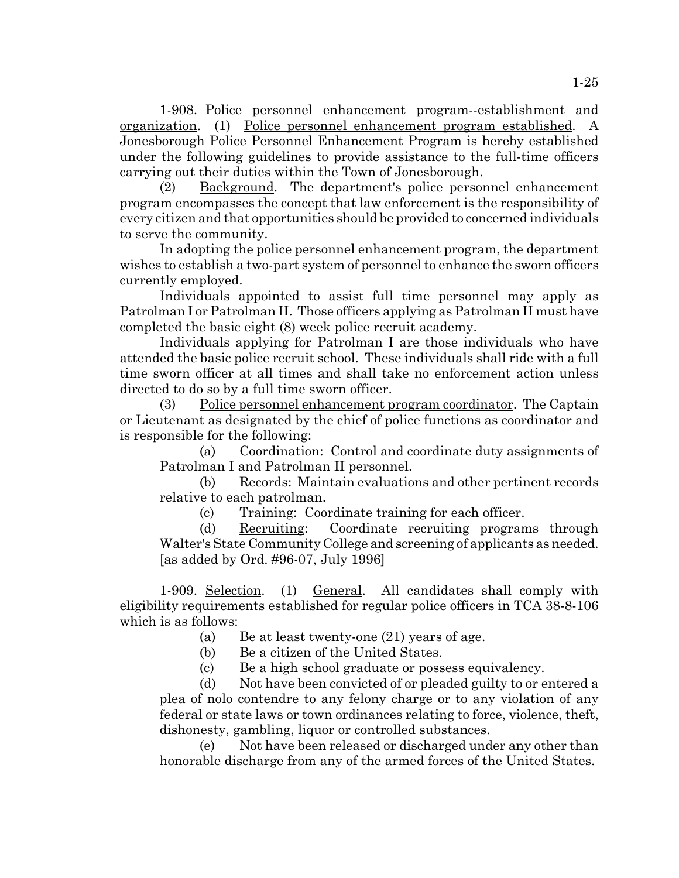1-908. Police personnel enhancement program--establishment and organization. (1) Police personnel enhancement program established. A Jonesborough Police Personnel Enhancement Program is hereby established under the following guidelines to provide assistance to the full-time officers carrying out their duties within the Town of Jonesborough.

(2) Background. The department's police personnel enhancement program encompasses the concept that law enforcement is the responsibility of every citizen and that opportunities should be provided to concerned individuals to serve the community.

In adopting the police personnel enhancement program, the department wishes to establish a two-part system of personnel to enhance the sworn officers currently employed.

Individuals appointed to assist full time personnel may apply as Patrolman I or Patrolman II. Those officers applying as Patrolman II must have completed the basic eight (8) week police recruit academy.

Individuals applying for Patrolman I are those individuals who have attended the basic police recruit school. These individuals shall ride with a full time sworn officer at all times and shall take no enforcement action unless directed to do so by a full time sworn officer.

(3) Police personnel enhancement program coordinator. The Captain or Lieutenant as designated by the chief of police functions as coordinator and is responsible for the following:

(a) Coordination: Control and coordinate duty assignments of Patrolman I and Patrolman II personnel.

(b) Records: Maintain evaluations and other pertinent records relative to each patrolman.

(c) Training: Coordinate training for each officer.

(d) Recruiting: Coordinate recruiting programs through Walter's State Community College and screening of applicants as needed. [as added by Ord. #96-07, July 1996]

1-909. Selection. (1) General. All candidates shall comply with eligibility requirements established for regular police officers in  $TCA$  38-8-106</u> which is as follows:

(a) Be at least twenty-one (21) years of age.

- (b) Be a citizen of the United States.
- (c) Be a high school graduate or possess equivalency.

(d) Not have been convicted of or pleaded guilty to or entered a plea of nolo contendre to any felony charge or to any violation of any federal or state laws or town ordinances relating to force, violence, theft, dishonesty, gambling, liquor or controlled substances.

(e) Not have been released or discharged under any other than honorable discharge from any of the armed forces of the United States.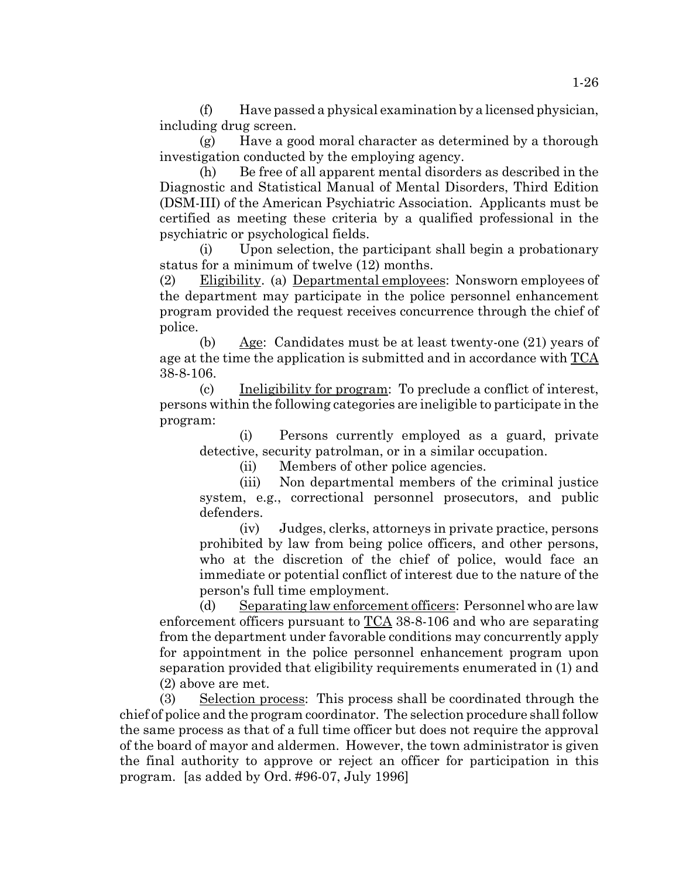(f) Have passed a physical examination by a licensed physician, including drug screen.

(g) Have a good moral character as determined by a thorough investigation conducted by the employing agency.

(h) Be free of all apparent mental disorders as described in the Diagnostic and Statistical Manual of Mental Disorders, Third Edition (DSM-III) of the American Psychiatric Association. Applicants must be certified as meeting these criteria by a qualified professional in the psychiatric or psychological fields.

(i) Upon selection, the participant shall begin a probationary status for a minimum of twelve (12) months.

(2) Eligibility. (a) Departmental employees: Nonsworn employees of the department may participate in the police personnel enhancement program provided the request receives concurrence through the chief of police.

(b) Age: Candidates must be at least twenty-one (21) years of age at the time the application is submitted and in accordance with  $TCA$ </u> 38-8-106.

(c) Ineligibility for program: To preclude a conflict of interest, persons within the following categories are ineligible to participate in the program:

(i) Persons currently employed as a guard, private detective, security patrolman, or in a similar occupation.

(ii) Members of other police agencies.

(iii) Non departmental members of the criminal justice system, e.g., correctional personnel prosecutors, and public defenders.

(iv) Judges, clerks, attorneys in private practice, persons prohibited by law from being police officers, and other persons, who at the discretion of the chief of police, would face an immediate or potential conflict of interest due to the nature of the person's full time employment.

(d) Separating law enforcement officers: Personnel who are law enforcement officers pursuant to TCA 38-8-106 and who are separating from the department under favorable conditions may concurrently apply for appointment in the police personnel enhancement program upon separation provided that eligibility requirements enumerated in (1) and (2) above are met.

(3) Selection process: This process shall be coordinated through the chief of police and the program coordinator. The selection procedure shall follow the same process as that of a full time officer but does not require the approval of the board of mayor and aldermen. However, the town administrator is given the final authority to approve or reject an officer for participation in this program. [as added by Ord. #96-07, July 1996]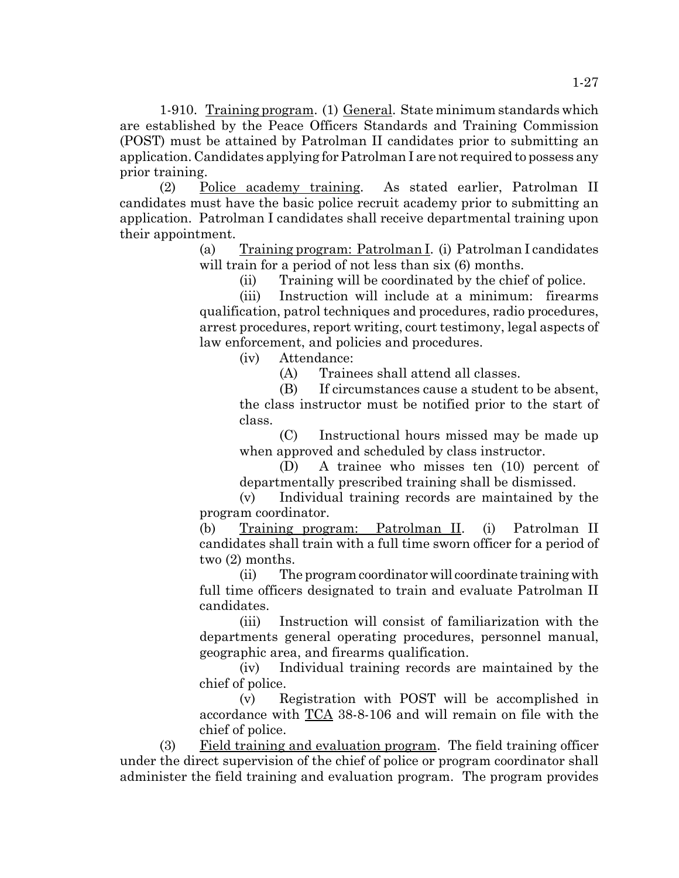1-910. Training program. (1) General. State minimum standards which are established by the Peace Officers Standards and Training Commission (POST) must be attained by Patrolman II candidates prior to submitting an application. Candidates applying for Patrolman I are not required to possess any prior training.

(2) Police academy training. As stated earlier, Patrolman II candidates must have the basic police recruit academy prior to submitting an application. Patrolman I candidates shall receive departmental training upon their appointment.

> (a) Training program: Patrolman I. (i) Patrolman I candidates will train for a period of not less than six  $(6)$  months.

> > (ii) Training will be coordinated by the chief of police.

(iii) Instruction will include at a minimum: firearms qualification, patrol techniques and procedures, radio procedures, arrest procedures, report writing, court testimony, legal aspects of law enforcement, and policies and procedures.

(iv) Attendance:

(A) Trainees shall attend all classes.

(B) If circumstances cause a student to be absent, the class instructor must be notified prior to the start of class.

(C) Instructional hours missed may be made up when approved and scheduled by class instructor.

(D) A trainee who misses ten (10) percent of departmentally prescribed training shall be dismissed.

(v) Individual training records are maintained by the program coordinator.

(b) Training program: Patrolman II. (i) Patrolman II candidates shall train with a full time sworn officer for a period of two (2) months.

(ii) The program coordinator will coordinate training with full time officers designated to train and evaluate Patrolman II candidates.

(iii) Instruction will consist of familiarization with the departments general operating procedures, personnel manual, geographic area, and firearms qualification.

(iv) Individual training records are maintained by the chief of police.

(v) Registration with POST will be accomplished in accordance with TCA 38-8-106 and will remain on file with the chief of police.

(3) Field training and evaluation program. The field training officer under the direct supervision of the chief of police or program coordinator shall administer the field training and evaluation program. The program provides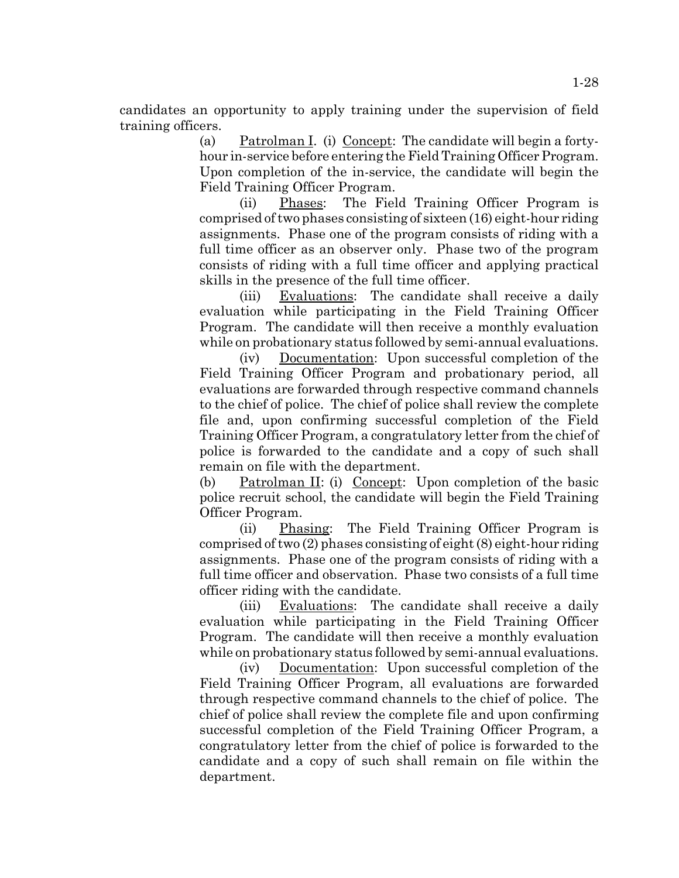candidates an opportunity to apply training under the supervision of field training officers.

> (a) Patrolman I. (i) Concept: The candidate will begin a fortyhour in-service before entering the Field Training Officer Program. Upon completion of the in-service, the candidate will begin the Field Training Officer Program.

> (ii) Phases: The Field Training Officer Program is comprised of two phases consisting of sixteen (16) eight-hour riding assignments. Phase one of the program consists of riding with a full time officer as an observer only. Phase two of the program consists of riding with a full time officer and applying practical skills in the presence of the full time officer.

> (iii) Evaluations: The candidate shall receive a daily evaluation while participating in the Field Training Officer Program. The candidate will then receive a monthly evaluation while on probationary status followed by semi-annual evaluations.

> (iv) Documentation: Upon successful completion of the Field Training Officer Program and probationary period, all evaluations are forwarded through respective command channels to the chief of police. The chief of police shall review the complete file and, upon confirming successful completion of the Field Training Officer Program, a congratulatory letter from the chief of police is forwarded to the candidate and a copy of such shall remain on file with the department.

> (b) Patrolman II: (i) Concept: Upon completion of the basic police recruit school, the candidate will begin the Field Training Officer Program.

> (ii) Phasing: The Field Training Officer Program is comprised of two (2) phases consisting of eight (8) eight-hour riding assignments. Phase one of the program consists of riding with a full time officer and observation. Phase two consists of a full time officer riding with the candidate.

> (iii) Evaluations: The candidate shall receive a daily evaluation while participating in the Field Training Officer Program. The candidate will then receive a monthly evaluation while on probationary status followed by semi-annual evaluations.

> (iv) Documentation: Upon successful completion of the Field Training Officer Program, all evaluations are forwarded through respective command channels to the chief of police. The chief of police shall review the complete file and upon confirming successful completion of the Field Training Officer Program, a congratulatory letter from the chief of police is forwarded to the candidate and a copy of such shall remain on file within the department.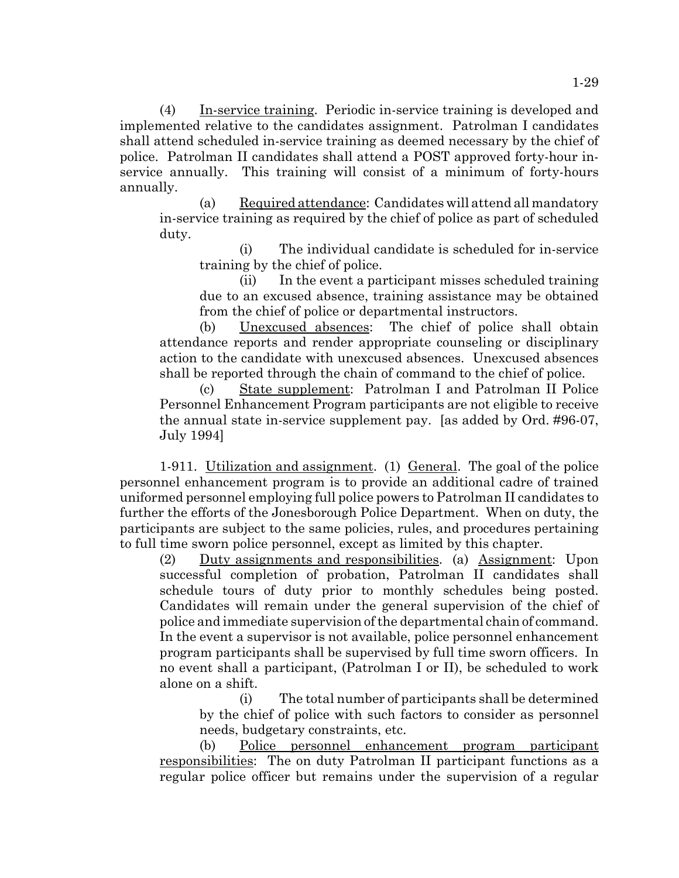(4) In-service training. Periodic in-service training is developed and implemented relative to the candidates assignment. Patrolman I candidates shall attend scheduled in-service training as deemed necessary by the chief of police. Patrolman II candidates shall attend a POST approved forty-hour inservice annually. This training will consist of a minimum of forty-hours annually.

(a) Required attendance: Candidates will attend all mandatory in-service training as required by the chief of police as part of scheduled duty.

(i) The individual candidate is scheduled for in-service training by the chief of police.

(ii) In the event a participant misses scheduled training due to an excused absence, training assistance may be obtained from the chief of police or departmental instructors.

(b) Unexcused absences: The chief of police shall obtain attendance reports and render appropriate counseling or disciplinary action to the candidate with unexcused absences. Unexcused absences shall be reported through the chain of command to the chief of police.

(c) State supplement: Patrolman I and Patrolman II Police Personnel Enhancement Program participants are not eligible to receive the annual state in-service supplement pay. [as added by Ord. #96-07, July 1994]

1-911. Utilization and assignment. (1) General. The goal of the police personnel enhancement program is to provide an additional cadre of trained uniformed personnel employing full police powers to Patrolman II candidates to further the efforts of the Jonesborough Police Department. When on duty, the participants are subject to the same policies, rules, and procedures pertaining to full time sworn police personnel, except as limited by this chapter.

(2) Duty assignments and responsibilities. (a) Assignment: Upon successful completion of probation, Patrolman II candidates shall schedule tours of duty prior to monthly schedules being posted. Candidates will remain under the general supervision of the chief of police and immediate supervision of the departmental chain of command. In the event a supervisor is not available, police personnel enhancement program participants shall be supervised by full time sworn officers. In no event shall a participant, (Patrolman I or II), be scheduled to work alone on a shift.

(i) The total number of participants shall be determined by the chief of police with such factors to consider as personnel needs, budgetary constraints, etc.

(b) Police personnel enhancement program participant responsibilities: The on duty Patrolman II participant functions as a regular police officer but remains under the supervision of a regular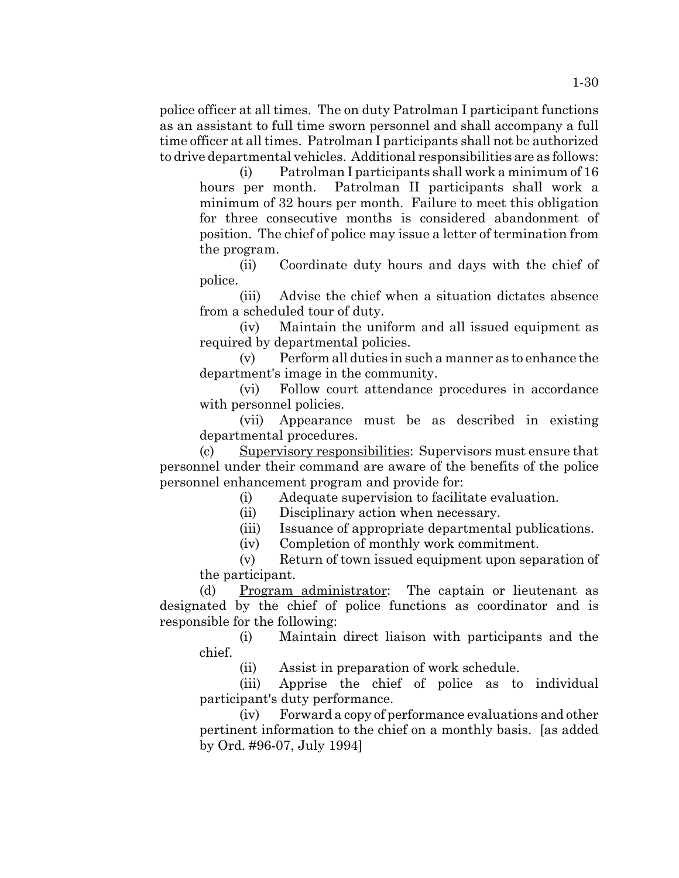police officer at all times. The on duty Patrolman I participant functions as an assistant to full time sworn personnel and shall accompany a full time officer at all times. Patrolman I participants shall not be authorized to drive departmental vehicles. Additional responsibilities are as follows:

(i) Patrolman I participants shall work a minimum of 16 hours per month. Patrolman II participants shall work a minimum of 32 hours per month. Failure to meet this obligation for three consecutive months is considered abandonment of position. The chief of police may issue a letter of termination from the program.

(ii) Coordinate duty hours and days with the chief of police.

(iii) Advise the chief when a situation dictates absence from a scheduled tour of duty.

(iv) Maintain the uniform and all issued equipment as required by departmental policies.

(v) Perform all duties in such a manner as to enhance the department's image in the community.

(vi) Follow court attendance procedures in accordance with personnel policies.

(vii) Appearance must be as described in existing departmental procedures.

(c) Supervisory responsibilities: Supervisors must ensure that personnel under their command are aware of the benefits of the police personnel enhancement program and provide for:

(i) Adequate supervision to facilitate evaluation.

(ii) Disciplinary action when necessary.

(iii) Issuance of appropriate departmental publications.

(iv) Completion of monthly work commitment.

(v) Return of town issued equipment upon separation of the participant.

(d) Program administrator: The captain or lieutenant as designated by the chief of police functions as coordinator and is responsible for the following:

(i) Maintain direct liaison with participants and the chief.

(ii) Assist in preparation of work schedule.

(iii) Apprise the chief of police as to individual participant's duty performance.

(iv) Forward a copy of performance evaluations and other pertinent information to the chief on a monthly basis. [as added by Ord. #96-07, July 1994]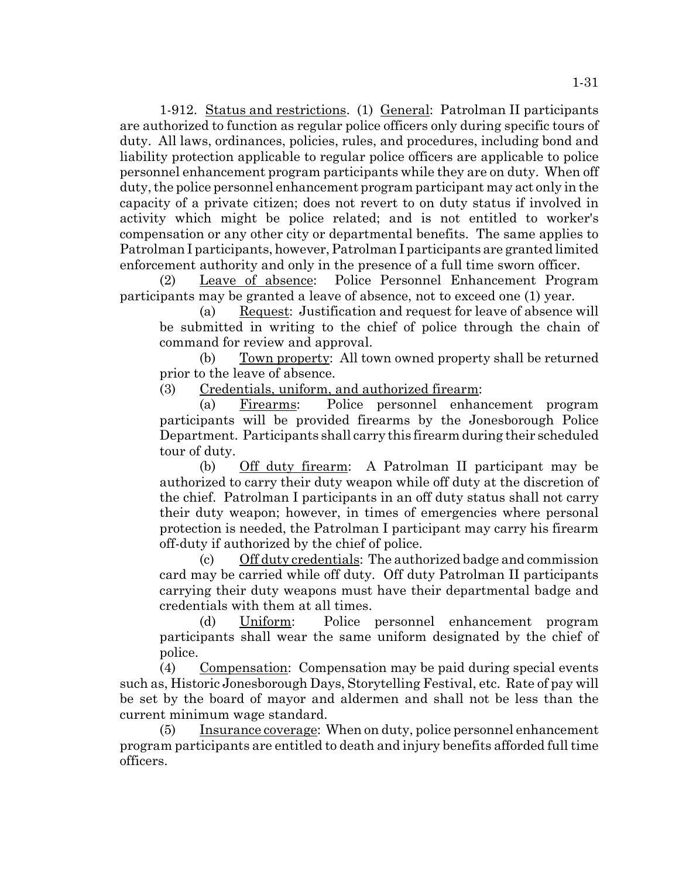1-912. Status and restrictions. (1) General: Patrolman II participants are authorized to function as regular police officers only during specific tours of duty. All laws, ordinances, policies, rules, and procedures, including bond and liability protection applicable to regular police officers are applicable to police personnel enhancement program participants while they are on duty. When off duty, the police personnel enhancement program participant may act only in the capacity of a private citizen; does not revert to on duty status if involved in activity which might be police related; and is not entitled to worker's compensation or any other city or departmental benefits. The same applies to Patrolman I participants, however, Patrolman I participants are granted limited enforcement authority and only in the presence of a full time sworn officer.

(2) Leave of absence: Police Personnel Enhancement Program participants may be granted a leave of absence, not to exceed one (1) year.

(a) Request: Justification and request for leave of absence will be submitted in writing to the chief of police through the chain of command for review and approval.

(b) Town property: All town owned property shall be returned prior to the leave of absence.

(3) Credentials, uniform, and authorized firearm:

(a) Firearms: Police personnel enhancement program participants will be provided firearms by the Jonesborough Police Department. Participants shall carry this firearm during their scheduled tour of duty.

(b) Off duty firearm: A Patrolman II participant may be authorized to carry their duty weapon while off duty at the discretion of the chief. Patrolman I participants in an off duty status shall not carry their duty weapon; however, in times of emergencies where personal protection is needed, the Patrolman I participant may carry his firearm off-duty if authorized by the chief of police.

(c) Off duty credentials: The authorized badge and commission card may be carried while off duty. Off duty Patrolman II participants carrying their duty weapons must have their departmental badge and credentials with them at all times.

(d) Uniform: Police personnel enhancement program participants shall wear the same uniform designated by the chief of police.

(4) Compensation: Compensation may be paid during special events such as, Historic Jonesborough Days, Storytelling Festival, etc. Rate of pay will be set by the board of mayor and aldermen and shall not be less than the current minimum wage standard.

(5) Insurance coverage: When on duty, police personnel enhancement program participants are entitled to death and injury benefits afforded full time officers.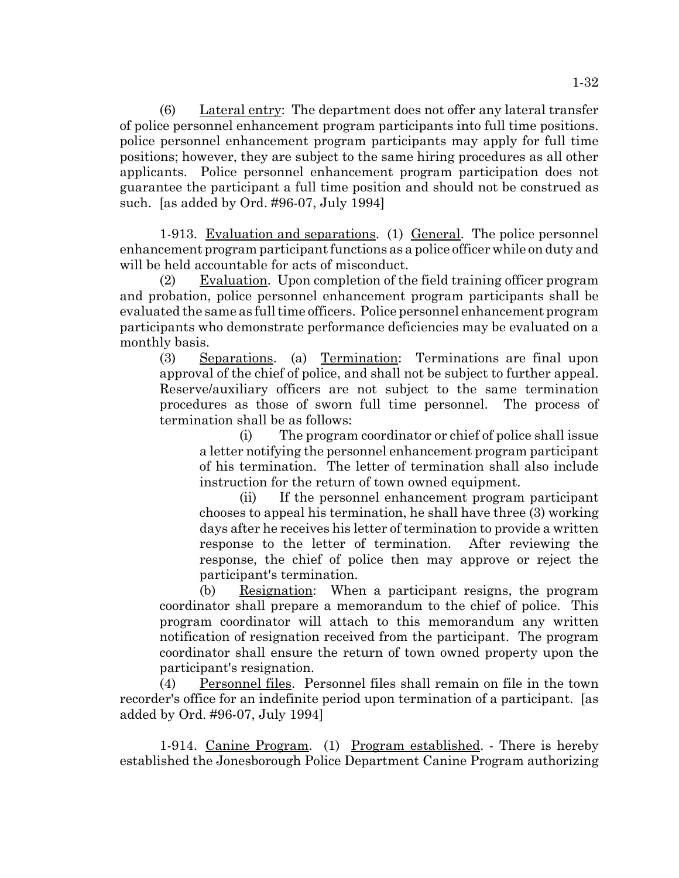$(6)$  Lateral entry: The department does not offer any lateral transfer of police personnel enhancement program participants into full time positions. police personnel enhancement program participants may apply for full time positions; however, they are subject to the same hiring procedures as all other applicants. Police personnel enhancement program participation does not guarantee the participant a full time position and should not be construed as such. [as added by Ord. #96-07, July 1994]

1-913. Evaluation and separations. (1) General. The police personnel enhancement program participant functions as a police officer while on duty and will be held accountable for acts of misconduct.

(2) Evaluation. Upon completion of the field training officer program and probation, police personnel enhancement program participants shall be evaluated the same as full time officers. Police personnel enhancement program participants who demonstrate performance deficiencies may be evaluated on a monthly basis.

(3) Separations. (a) Termination: Terminations are final upon approval of the chief of police, and shall not be subject to further appeal. Reserve/auxiliary officers are not subject to the same termination procedures as those of sworn full time personnel. The process of termination shall be as follows:

(i) The program coordinator or chief of police shall issue a letter notifying the personnel enhancement program participant of his termination. The letter of termination shall also include instruction for the return of town owned equipment.

(ii) If the personnel enhancement program participant chooses to appeal his termination, he shall have three (3) working days after he receives his letter of termination to provide a written response to the letter of termination. After reviewing the response, the chief of police then may approve or reject the participant's termination.

(b) Resignation: When a participant resigns, the program coordinator shall prepare a memorandum to the chief of police. This program coordinator will attach to this memorandum any written notification of resignation received from the participant. The program coordinator shall ensure the return of town owned property upon the participant's resignation.

(4) Personnel files. Personnel files shall remain on file in the town recorder's office for an indefinite period upon termination of a participant. [as added by Ord. #96-07, July 1994]

1-914. Canine Program. (1) Program established. - There is hereby established the Jonesborough Police Department Canine Program authorizing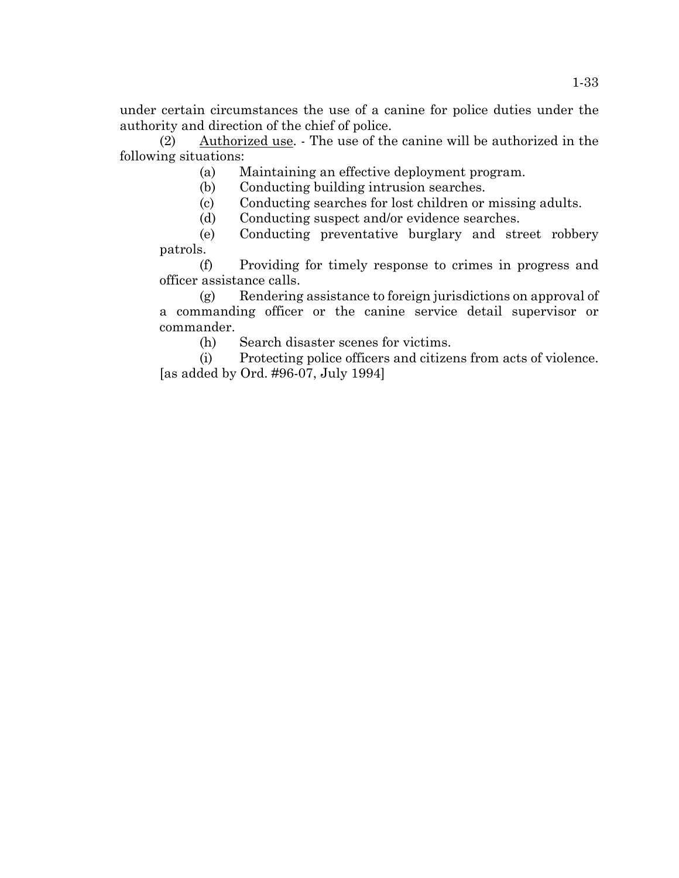under certain circumstances the use of a canine for police duties under the authority and direction of the chief of police.

(2) Authorized use. - The use of the canine will be authorized in the following situations:

(a) Maintaining an effective deployment program.

(b) Conducting building intrusion searches.

(c) Conducting searches for lost children or missing adults.

(d) Conducting suspect and/or evidence searches.

(e) Conducting preventative burglary and street robbery patrols.

(f) Providing for timely response to crimes in progress and officer assistance calls.

(g) Rendering assistance to foreign jurisdictions on approval of a commanding officer or the canine service detail supervisor or commander.

(h) Search disaster scenes for victims.

(i) Protecting police officers and citizens from acts of violence. [as added by Ord. #96-07, July 1994]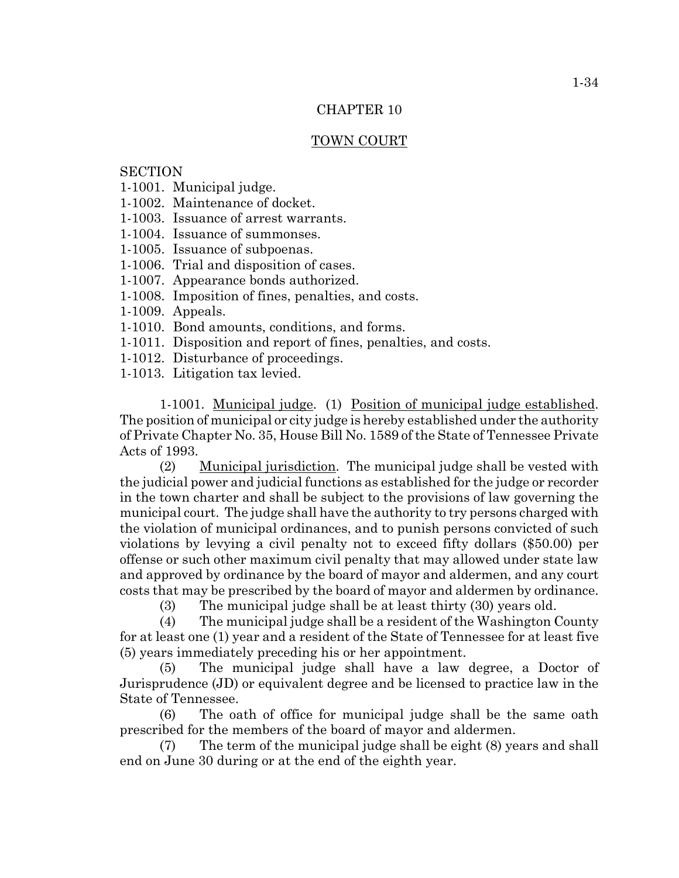#### TOWN COURT

# **SECTION**

- 1-1001. Municipal judge.
- 1-1002. Maintenance of docket.
- 1-1003. Issuance of arrest warrants.
- 1-1004. Issuance of summonses.
- 1-1005. Issuance of subpoenas.
- 1-1006. Trial and disposition of cases.
- 1-1007. Appearance bonds authorized.
- 1-1008. Imposition of fines, penalties, and costs.
- 1-1009. Appeals.
- 1-1010. Bond amounts, conditions, and forms.
- 1-1011. Disposition and report of fines, penalties, and costs.
- 1-1012. Disturbance of proceedings.
- 1-1013. Litigation tax levied.

1-1001. Municipal judge. (1) Position of municipal judge established. The position of municipal or city judge is hereby established under the authority of Private Chapter No. 35, House Bill No. 1589 of the State of Tennessee Private Acts of 1993.

(2) Municipal jurisdiction. The municipal judge shall be vested with the judicial power and judicial functions as established for the judge or recorder in the town charter and shall be subject to the provisions of law governing the municipal court. The judge shall have the authority to try persons charged with the violation of municipal ordinances, and to punish persons convicted of such violations by levying a civil penalty not to exceed fifty dollars (\$50.00) per offense or such other maximum civil penalty that may allowed under state law and approved by ordinance by the board of mayor and aldermen, and any court costs that may be prescribed by the board of mayor and aldermen by ordinance.

(3) The municipal judge shall be at least thirty (30) years old.

(4) The municipal judge shall be a resident of the Washington County for at least one (1) year and a resident of the State of Tennessee for at least five (5) years immediately preceding his or her appointment.

(5) The municipal judge shall have a law degree, a Doctor of Jurisprudence (JD) or equivalent degree and be licensed to practice law in the State of Tennessee.

(6) The oath of office for municipal judge shall be the same oath prescribed for the members of the board of mayor and aldermen.

(7) The term of the municipal judge shall be eight (8) years and shall end on June 30 during or at the end of the eighth year.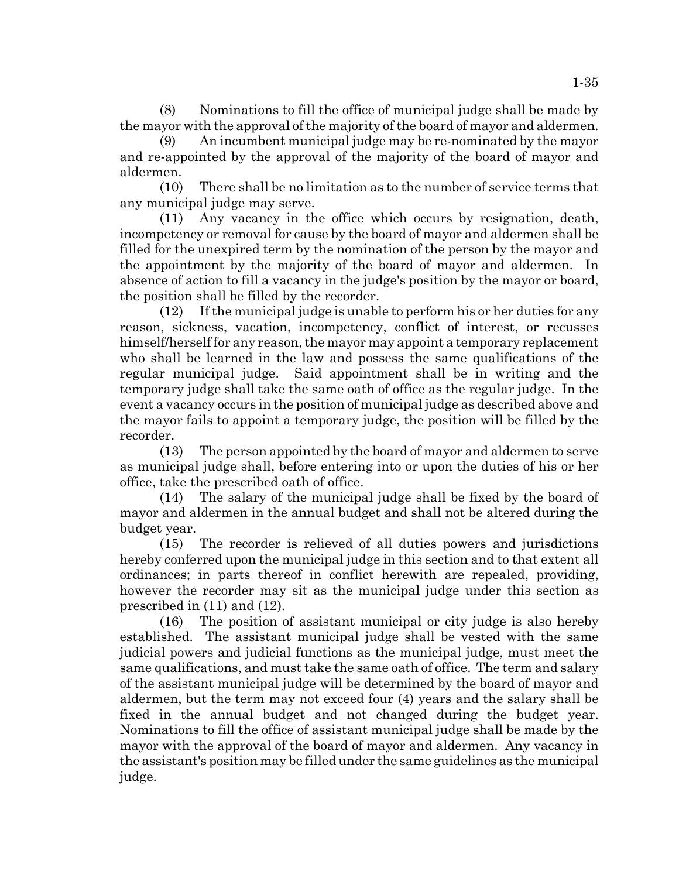(8) Nominations to fill the office of municipal judge shall be made by the mayor with the approval of the majority of the board of mayor and aldermen.

(9) An incumbent municipal judge may be re-nominated by the mayor and re-appointed by the approval of the majority of the board of mayor and aldermen.

(10) There shall be no limitation as to the number of service terms that any municipal judge may serve.

(11) Any vacancy in the office which occurs by resignation, death, incompetency or removal for cause by the board of mayor and aldermen shall be filled for the unexpired term by the nomination of the person by the mayor and the appointment by the majority of the board of mayor and aldermen. In absence of action to fill a vacancy in the judge's position by the mayor or board, the position shall be filled by the recorder.

(12) If the municipal judge is unable to perform his or her duties for any reason, sickness, vacation, incompetency, conflict of interest, or recusses himself/herself for any reason, the mayor may appoint a temporary replacement who shall be learned in the law and possess the same qualifications of the regular municipal judge. Said appointment shall be in writing and the temporary judge shall take the same oath of office as the regular judge. In the event a vacancy occurs in the position of municipal judge as described above and the mayor fails to appoint a temporary judge, the position will be filled by the recorder.

(13) The person appointed by the board of mayor and aldermen to serve as municipal judge shall, before entering into or upon the duties of his or her office, take the prescribed oath of office.

(14) The salary of the municipal judge shall be fixed by the board of mayor and aldermen in the annual budget and shall not be altered during the budget year.

(15) The recorder is relieved of all duties powers and jurisdictions hereby conferred upon the municipal judge in this section and to that extent all ordinances; in parts thereof in conflict herewith are repealed, providing, however the recorder may sit as the municipal judge under this section as prescribed in (11) and (12).

(16) The position of assistant municipal or city judge is also hereby established. The assistant municipal judge shall be vested with the same judicial powers and judicial functions as the municipal judge, must meet the same qualifications, and must take the same oath of office. The term and salary of the assistant municipal judge will be determined by the board of mayor and aldermen, but the term may not exceed four (4) years and the salary shall be fixed in the annual budget and not changed during the budget year. Nominations to fill the office of assistant municipal judge shall be made by the mayor with the approval of the board of mayor and aldermen. Any vacancy in the assistant's position may be filled under the same guidelines as the municipal judge.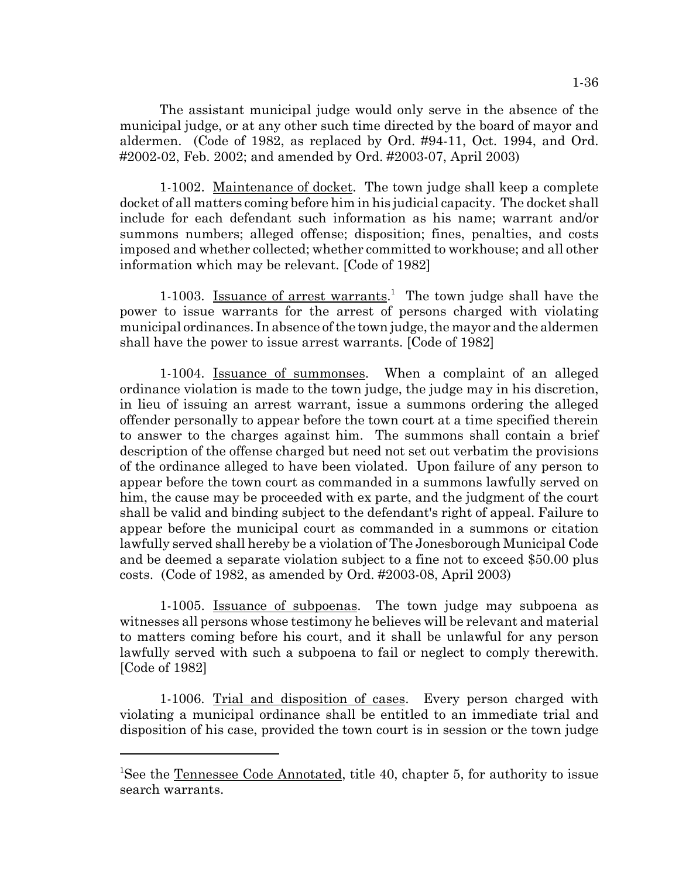The assistant municipal judge would only serve in the absence of the municipal judge, or at any other such time directed by the board of mayor and aldermen. (Code of 1982, as replaced by Ord. #94-11, Oct. 1994, and Ord. #2002-02, Feb. 2002; and amended by Ord. #2003-07, April 2003)

1-1002. Maintenance of docket. The town judge shall keep a complete docket of all matters coming before him in his judicial capacity. The docket shall include for each defendant such information as his name; warrant and/or summons numbers; alleged offense; disposition; fines, penalties, and costs imposed and whether collected; whether committed to workhouse; and all other information which may be relevant. [Code of 1982]

1-1003. Issuance of arrest warrants.<sup>1</sup> The town judge shall have the power to issue warrants for the arrest of persons charged with violating municipal ordinances. In absence of the town judge, the mayor and the aldermen shall have the power to issue arrest warrants. [Code of 1982]

1-1004. Issuance of summonses. When a complaint of an alleged ordinance violation is made to the town judge, the judge may in his discretion, in lieu of issuing an arrest warrant, issue a summons ordering the alleged offender personally to appear before the town court at a time specified therein to answer to the charges against him. The summons shall contain a brief description of the offense charged but need not set out verbatim the provisions of the ordinance alleged to have been violated. Upon failure of any person to appear before the town court as commanded in a summons lawfully served on him, the cause may be proceeded with ex parte, and the judgment of the court shall be valid and binding subject to the defendant's right of appeal. Failure to appear before the municipal court as commanded in a summons or citation lawfully served shall hereby be a violation of The Jonesborough Municipal Code and be deemed a separate violation subject to a fine not to exceed \$50.00 plus costs. (Code of 1982, as amended by Ord. #2003-08, April 2003)

1-1005. Issuance of subpoenas. The town judge may subpoena as witnesses all persons whose testimony he believes will be relevant and material to matters coming before his court, and it shall be unlawful for any person lawfully served with such a subpoena to fail or neglect to comply therewith. [Code of 1982]

1-1006. Trial and disposition of cases. Every person charged with violating a municipal ordinance shall be entitled to an immediate trial and disposition of his case, provided the town court is in session or the town judge

<sup>&</sup>lt;sup>1</sup>See the Tennessee Code Annotated, title 40, chapter 5, for authority to issue search warrants.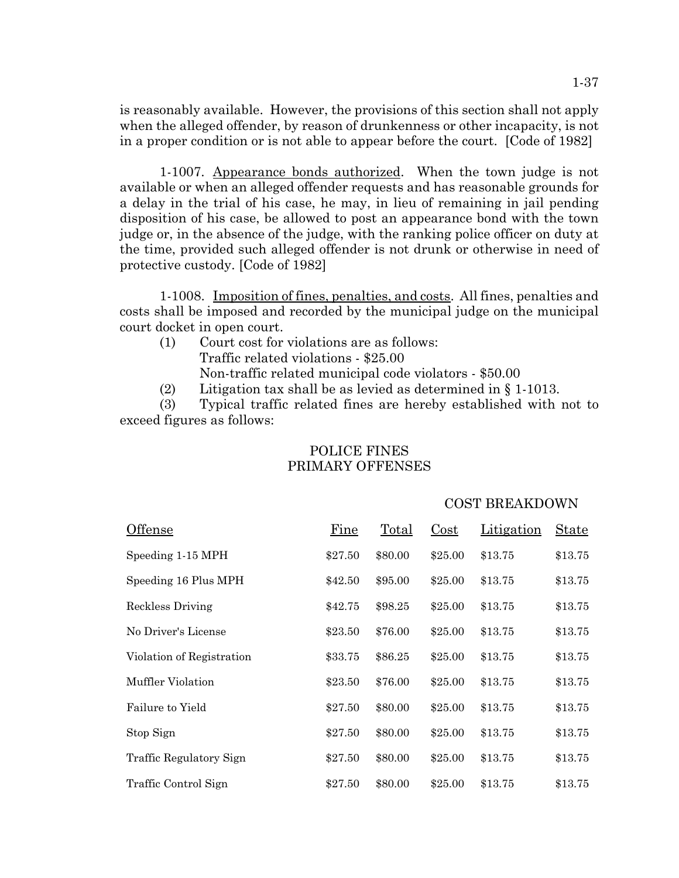is reasonably available. However, the provisions of this section shall not apply when the alleged offender, by reason of drunkenness or other incapacity, is not in a proper condition or is not able to appear before the court. [Code of 1982]

1-1007. Appearance bonds authorized. When the town judge is not available or when an alleged offender requests and has reasonable grounds for a delay in the trial of his case, he may, in lieu of remaining in jail pending disposition of his case, be allowed to post an appearance bond with the town judge or, in the absence of the judge, with the ranking police officer on duty at the time, provided such alleged offender is not drunk or otherwise in need of protective custody. [Code of 1982]

1-1008. Imposition of fines, penalties, and costs. All fines, penalties and costs shall be imposed and recorded by the municipal judge on the municipal court docket in open court.

- (1) Court cost for violations are as follows:
	- Traffic related violations \$25.00

Non-traffic related municipal code violators - \$50.00

(2) Litigation tax shall be as levied as determined in § 1-1013.

(3) Typical traffic related fines are hereby established with not to exceed figures as follows:

| Offense                   | Fine    | Total   | Cost    | Litigation | <b>State</b> |
|---------------------------|---------|---------|---------|------------|--------------|
| Speeding 1-15 MPH         | \$27.50 | \$80.00 | \$25.00 | \$13.75    | \$13.75      |
| Speeding 16 Plus MPH      | \$42.50 | \$95.00 | \$25.00 | \$13.75    | \$13.75      |
| Reckless Driving          | \$42.75 | \$98.25 | \$25.00 | \$13.75    | \$13.75      |
| No Driver's License       | \$23.50 | \$76.00 | \$25.00 | \$13.75    | \$13.75      |
| Violation of Registration | \$33.75 | \$86.25 | \$25.00 | \$13.75    | \$13.75      |
| Muffler Violation         | \$23.50 | \$76.00 | \$25.00 | \$13.75    | \$13.75      |
| Failure to Yield          | \$27.50 | \$80.00 | \$25.00 | \$13.75    | \$13.75      |
| Stop Sign                 | \$27.50 | \$80.00 | \$25.00 | \$13.75    | \$13.75      |
| Traffic Regulatory Sign   | \$27.50 | \$80.00 | \$25.00 | \$13.75    | \$13.75      |
| Traffic Control Sign      | \$27.50 | \$80.00 | \$25.00 | \$13.75    | \$13.75      |

## POLICE FINES PRIMARY OFFENSES

#### COST BREAKDOWN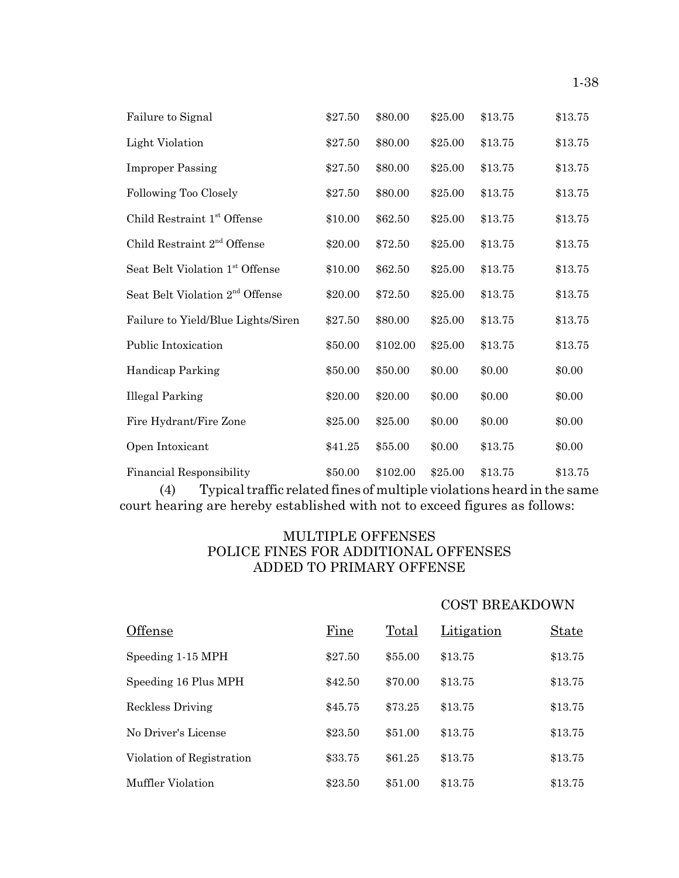| Failure to Signal                           | \$27.50 | \$80.00  | \$25.00 | \$13.75 | \$13.75 |
|---------------------------------------------|---------|----------|---------|---------|---------|
| Light Violation                             | \$27.50 | \$80.00  | \$25.00 | \$13.75 | \$13.75 |
| <b>Improper Passing</b>                     | \$27.50 | \$80.00  | \$25.00 | \$13.75 | \$13.75 |
| Following Too Closely                       | \$27.50 | \$80.00  | \$25.00 | \$13.75 | \$13.75 |
| Child Restraint 1 <sup>st</sup> Offense     | \$10.00 | \$62.50  | \$25.00 | \$13.75 | \$13.75 |
| Child Restraint 2 <sup>nd</sup> Offense     | \$20.00 | \$72.50  | \$25.00 | \$13.75 | \$13.75 |
| Seat Belt Violation 1st Offense             | \$10.00 | \$62.50  | \$25.00 | \$13.75 | \$13.75 |
| Seat Belt Violation 2 <sup>nd</sup> Offense | \$20.00 | \$72.50  | \$25.00 | \$13.75 | \$13.75 |
| Failure to Yield/Blue Lights/Siren          | \$27.50 | \$80.00  | \$25.00 | \$13.75 | \$13.75 |
| Public Intoxication                         | \$50.00 | \$102.00 | \$25.00 | \$13.75 | \$13.75 |
| Handicap Parking                            | \$50.00 | \$50.00  | \$0.00  | \$0.00  | \$0.00  |
| <b>Illegal Parking</b>                      | \$20.00 | \$20.00  | \$0.00  | \$0.00  | \$0.00  |
| Fire Hydrant/Fire Zone                      | \$25.00 | \$25.00  | \$0.00  | \$0.00  | \$0.00  |
| Open Intoxicant                             | \$41.25 | \$55.00  | \$0.00  | \$13.75 | \$0.00  |
| <b>Financial Responsibility</b>             | \$50.00 | \$102.00 | \$25.00 | \$13.75 | \$13.75 |

(4) Typical traffic related fines of multiple violations heard in the same court hearing are hereby established with not to exceed figures as follows:

# MULTIPLE OFFENSES POLICE FINES FOR ADDITIONAL OFFENSES ADDED TO PRIMARY OFFENSE

# COST BREAKDOWN

| Offense                   | Fine    | Total   | Litigation | <b>State</b> |
|---------------------------|---------|---------|------------|--------------|
| Speeding 1-15 MPH         | \$27.50 | \$55.00 | \$13.75    | \$13.75      |
| Speeding 16 Plus MPH      | \$42.50 | \$70.00 | \$13.75    | \$13.75      |
| Reckless Driving          | \$45.75 | \$73.25 | \$13.75    | \$13.75      |
| No Driver's License       | \$23.50 | \$51.00 | \$13.75    | \$13.75      |
| Violation of Registration | \$33.75 | \$61.25 | \$13.75    | \$13.75      |
| Muffler Violation         | \$23.50 | \$51.00 | \$13.75    | \$13.75      |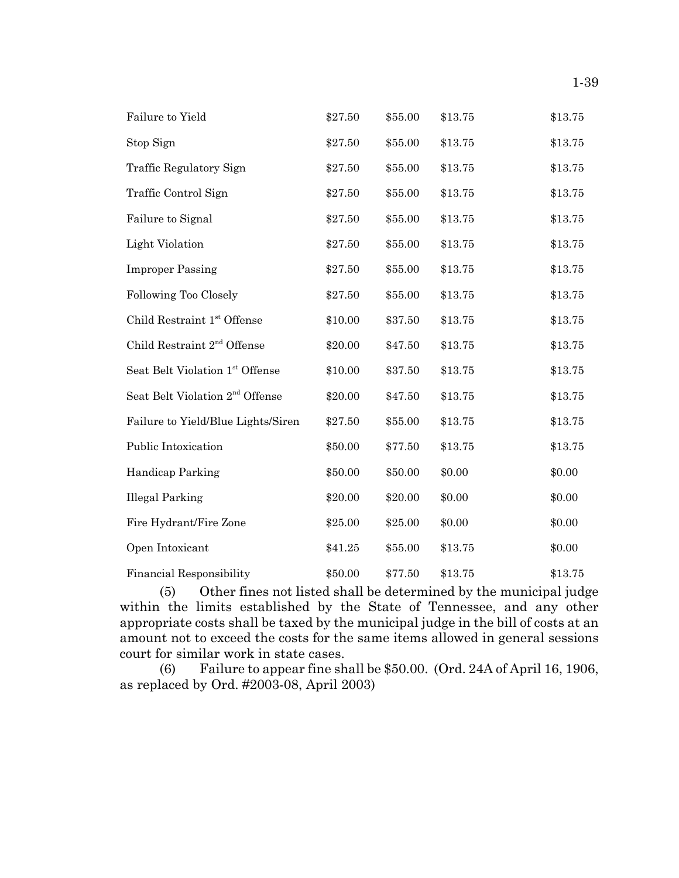| Failure to Yield                            | \$27.50 | \$55.00 | \$13.75 | \$13.75 |
|---------------------------------------------|---------|---------|---------|---------|
| Stop Sign                                   | \$27.50 | \$55.00 | \$13.75 | \$13.75 |
| Traffic Regulatory Sign                     | \$27.50 | \$55.00 | \$13.75 | \$13.75 |
| Traffic Control Sign                        | \$27.50 | \$55.00 | \$13.75 | \$13.75 |
| Failure to Signal                           | \$27.50 | \$55.00 | \$13.75 | \$13.75 |
| <b>Light Violation</b>                      | \$27.50 | \$55.00 | \$13.75 | \$13.75 |
| <b>Improper Passing</b>                     | \$27.50 | \$55.00 | \$13.75 | \$13.75 |
| Following Too Closely                       | \$27.50 | \$55.00 | \$13.75 | \$13.75 |
| Child Restraint 1st Offense                 | \$10.00 | \$37.50 | \$13.75 | \$13.75 |
| Child Restraint 2 <sup>nd</sup> Offense     | \$20.00 | \$47.50 | \$13.75 | \$13.75 |
| Seat Belt Violation 1st Offense             | \$10.00 | \$37.50 | \$13.75 | \$13.75 |
| Seat Belt Violation 2 <sup>nd</sup> Offense | \$20.00 | \$47.50 | \$13.75 | \$13.75 |
| Failure to Yield/Blue Lights/Siren          | \$27.50 | \$55.00 | \$13.75 | \$13.75 |
| Public Intoxication                         | \$50.00 | \$77.50 | \$13.75 | \$13.75 |
| Handicap Parking                            | \$50.00 | \$50.00 | \$0.00  | \$0.00  |
| <b>Illegal Parking</b>                      | \$20.00 | \$20.00 | \$0.00  | \$0.00  |
| Fire Hydrant/Fire Zone                      | \$25.00 | \$25.00 | \$0.00  | \$0.00  |
| Open Intoxicant                             | \$41.25 | \$55.00 | \$13.75 | \$0.00  |
| <b>Financial Responsibility</b>             | \$50.00 | \$77.50 | \$13.75 | \$13.75 |

(5) Other fines not listed shall be determined by the municipal judge within the limits established by the State of Tennessee, and any other appropriate costs shall be taxed by the municipal judge in the bill of costs at an amount not to exceed the costs for the same items allowed in general sessions court for similar work in state cases.

(6) Failure to appear fine shall be \$50.00. (Ord. 24A of April 16, 1906, as replaced by Ord. #2003-08, April 2003)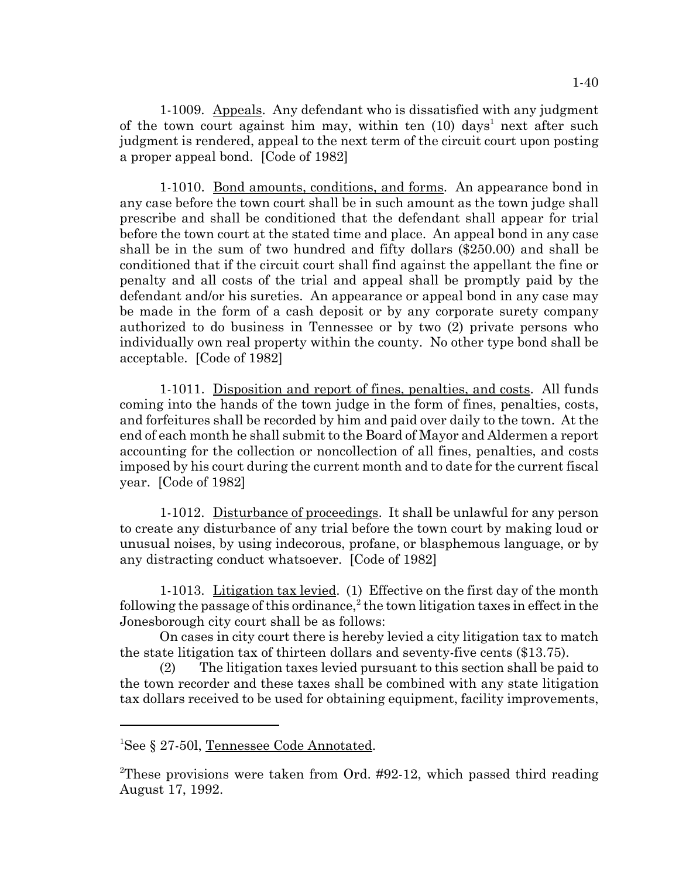1-1009. Appeals. Any defendant who is dissatisfied with any judgment of the town court against him may, within ten  $(10)$  days<sup>1</sup> next after such judgment is rendered, appeal to the next term of the circuit court upon posting a proper appeal bond. [Code of 1982]

1-1010. Bond amounts, conditions, and forms. An appearance bond in any case before the town court shall be in such amount as the town judge shall prescribe and shall be conditioned that the defendant shall appear for trial before the town court at the stated time and place. An appeal bond in any case shall be in the sum of two hundred and fifty dollars (\$250.00) and shall be conditioned that if the circuit court shall find against the appellant the fine or penalty and all costs of the trial and appeal shall be promptly paid by the defendant and/or his sureties. An appearance or appeal bond in any case may be made in the form of a cash deposit or by any corporate surety company authorized to do business in Tennessee or by two (2) private persons who individually own real property within the county. No other type bond shall be acceptable. [Code of 1982]

1-1011. Disposition and report of fines, penalties, and costs. All funds coming into the hands of the town judge in the form of fines, penalties, costs, and forfeitures shall be recorded by him and paid over daily to the town. At the end of each month he shall submit to the Board of Mayor and Aldermen a report accounting for the collection or noncollection of all fines, penalties, and costs imposed by his court during the current month and to date for the current fiscal year. [Code of 1982]

1-1012. Disturbance of proceedings. It shall be unlawful for any person to create any disturbance of any trial before the town court by making loud or unusual noises, by using indecorous, profane, or blasphemous language, or by any distracting conduct whatsoever. [Code of 1982]

1-1013. Litigation tax levied. (1) Effective on the first day of the month following the passage of this ordinance,<sup>2</sup> the town litigation taxes in effect in the Jonesborough city court shall be as follows:

On cases in city court there is hereby levied a city litigation tax to match the state litigation tax of thirteen dollars and seventy-five cents (\$13.75).

(2) The litigation taxes levied pursuant to this section shall be paid to the town recorder and these taxes shall be combined with any state litigation tax dollars received to be used for obtaining equipment, facility improvements,

<sup>&</sup>lt;sup>1</sup>See § 27-50l, Tennessee Code Annotated.

<sup>&</sup>lt;sup>2</sup>These provisions were taken from Ord. #92-12, which passed third reading August 17, 1992.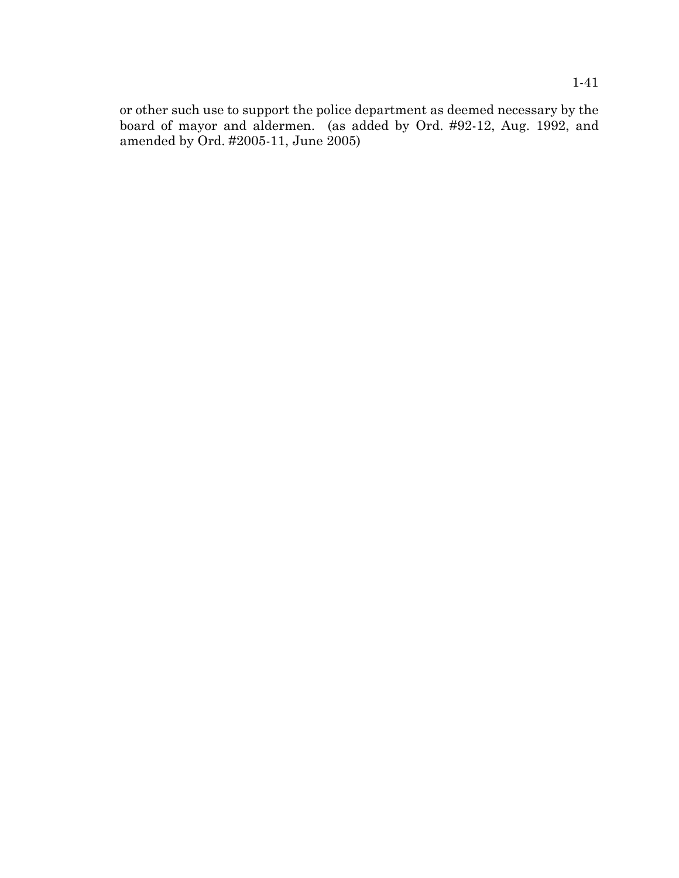or other such use to support the police department as deemed necessary by the board of mayor and aldermen. (as added by Ord. #92-12, Aug. 1992, and amended by Ord. #2005-11, June 2005)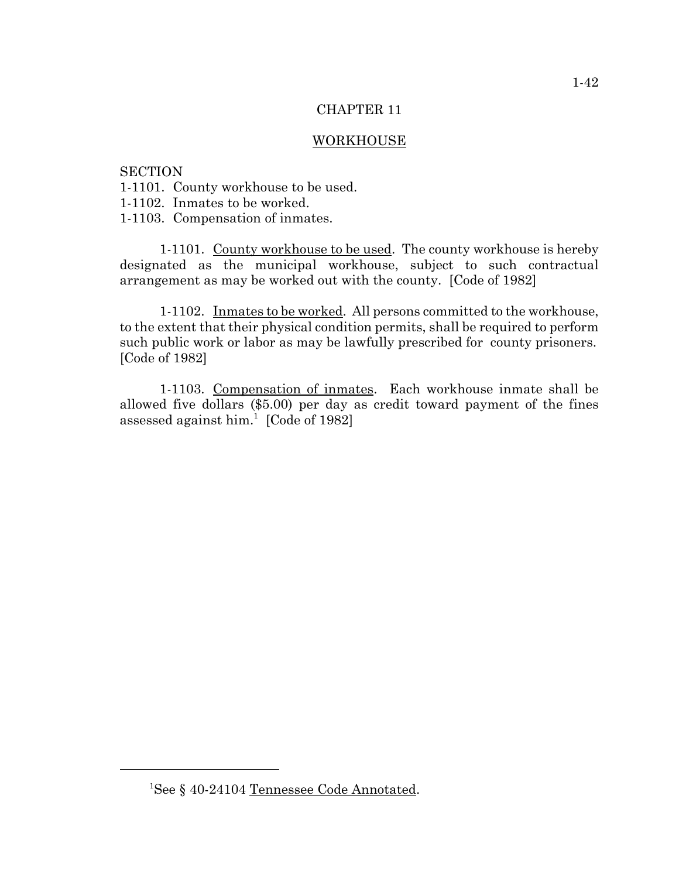## CHAPTER 11

### WORKHOUSE

## **SECTION**

- 1-1101. County workhouse to be used.
- 1-1102. Inmates to be worked.
- 1-1103. Compensation of inmates.

1-1101. County workhouse to be used. The county workhouse is hereby designated as the municipal workhouse, subject to such contractual arrangement as may be worked out with the county. [Code of 1982]

1-1102. Inmates to be worked. All persons committed to the workhouse, to the extent that their physical condition permits, shall be required to perform such public work or labor as may be lawfully prescribed for county prisoners. [Code of 1982]

1-1103. Compensation of inmates. Each workhouse inmate shall be allowed five dollars (\$5.00) per day as credit toward payment of the fines assessed against him.<sup>1</sup> [Code of 1982]

<sup>1</sup> See § 40-24104 Tennessee Code Annotated.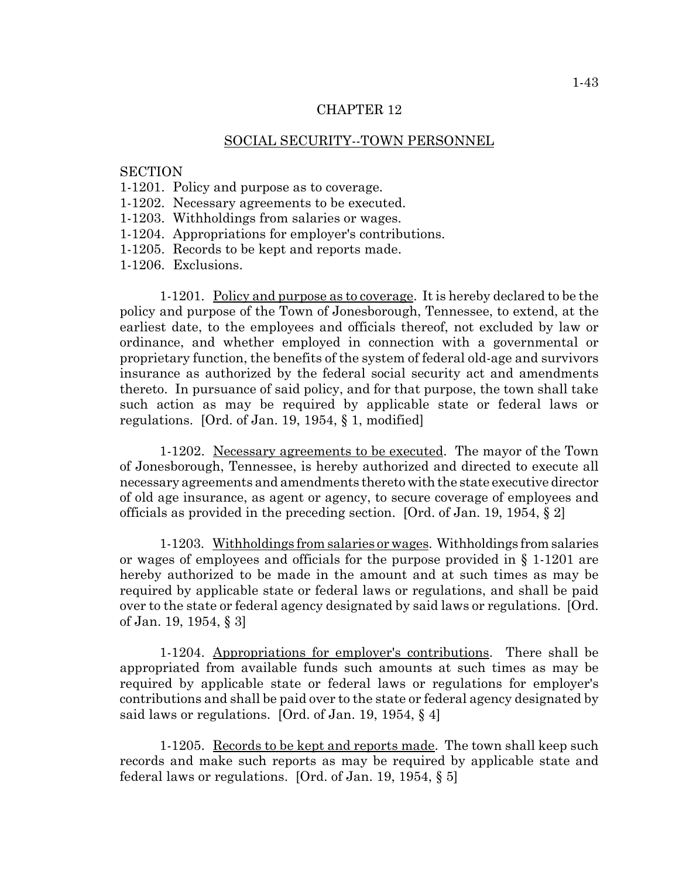#### CHAPTER 12

#### SOCIAL SECURITY--TOWN PERSONNEL

### **SECTION**

- 1-1201. Policy and purpose as to coverage.
- 1-1202. Necessary agreements to be executed.
- 1-1203. Withholdings from salaries or wages.
- 1-1204. Appropriations for employer's contributions.
- 1-1205. Records to be kept and reports made.
- 1-1206. Exclusions.

1-1201. Policy and purpose as to coverage. It is hereby declared to be the policy and purpose of the Town of Jonesborough, Tennessee, to extend, at the earliest date, to the employees and officials thereof, not excluded by law or ordinance, and whether employed in connection with a governmental or proprietary function, the benefits of the system of federal old-age and survivors insurance as authorized by the federal social security act and amendments thereto. In pursuance of said policy, and for that purpose, the town shall take such action as may be required by applicable state or federal laws or regulations. [Ord. of Jan. 19, 1954, § 1, modified]

1-1202. Necessary agreements to be executed. The mayor of the Town of Jonesborough, Tennessee, is hereby authorized and directed to execute all necessary agreements and amendments thereto with the state executive director of old age insurance, as agent or agency, to secure coverage of employees and officials as provided in the preceding section. [Ord. of Jan. 19, 1954,  $\S$  2]

1-1203. Withholdings from salaries or wages. Withholdings from salaries or wages of employees and officials for the purpose provided in § 1-1201 are hereby authorized to be made in the amount and at such times as may be required by applicable state or federal laws or regulations, and shall be paid over to the state or federal agency designated by said laws or regulations. [Ord. of Jan. 19, 1954, § 3]

1-1204. Appropriations for employer's contributions. There shall be appropriated from available funds such amounts at such times as may be required by applicable state or federal laws or regulations for employer's contributions and shall be paid over to the state or federal agency designated by said laws or regulations. [Ord. of Jan. 19, 1954, § 4]

1-1205. Records to be kept and reports made. The town shall keep such records and make such reports as may be required by applicable state and federal laws or regulations. [Ord. of Jan. 19, 1954, § 5]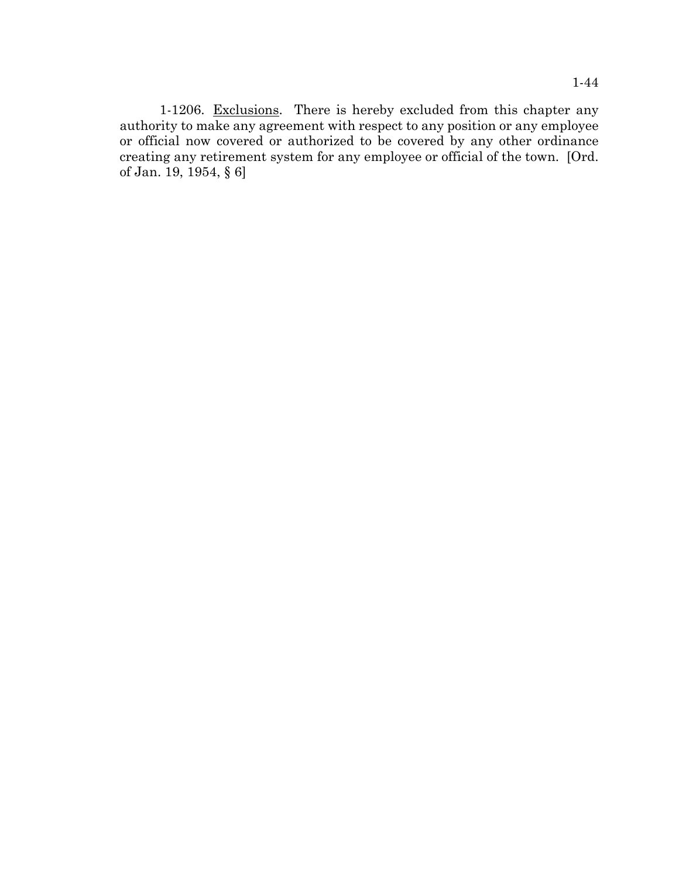1-1206. Exclusions. There is hereby excluded from this chapter any authority to make any agreement with respect to any position or any employee or official now covered or authorized to be covered by any other ordinance creating any retirement system for any employee or official of the town. [Ord. of Jan. 19, 1954, § 6]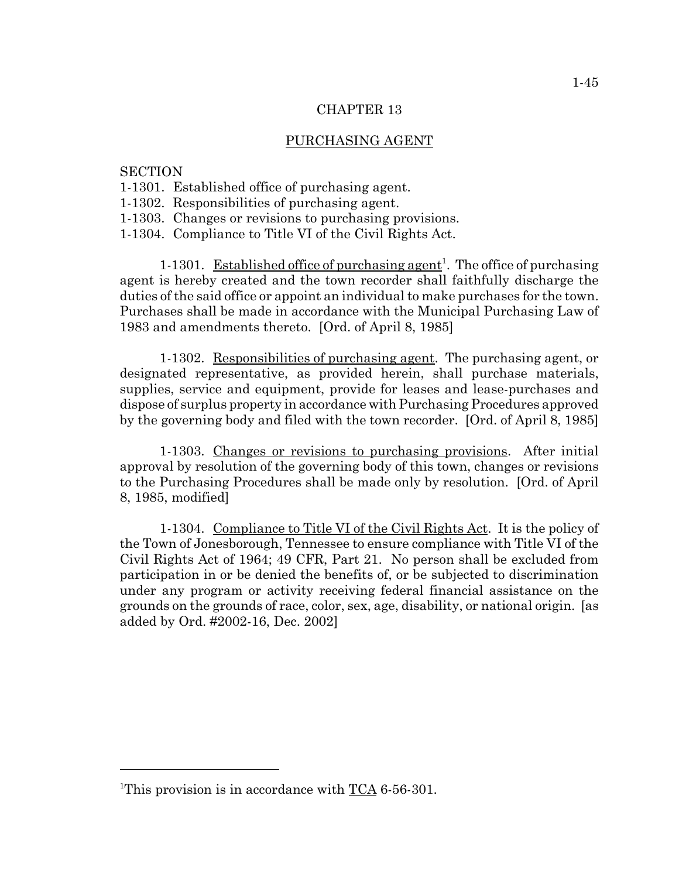### CHAPTER 13

### PURCHASING AGENT

#### **SECTION**

- 1-1301. Established office of purchasing agent.
- 1-1302. Responsibilities of purchasing agent.
- 1-1303. Changes or revisions to purchasing provisions.
- 1-1304. Compliance to Title VI of the Civil Rights Act.

1-1301. Established office of purchasing agent<sup>1</sup>. The office of purchasing agent is hereby created and the town recorder shall faithfully discharge the duties of the said office or appoint an individual to make purchases for the town. Purchases shall be made in accordance with the Municipal Purchasing Law of 1983 and amendments thereto. [Ord. of April 8, 1985]

1-1302. Responsibilities of purchasing agent. The purchasing agent, or designated representative, as provided herein, shall purchase materials, supplies, service and equipment, provide for leases and lease-purchases and dispose of surplus property in accordance with Purchasing Procedures approved by the governing body and filed with the town recorder. [Ord. of April 8, 1985]

1-1303. Changes or revisions to purchasing provisions. After initial approval by resolution of the governing body of this town, changes or revisions to the Purchasing Procedures shall be made only by resolution. [Ord. of April 8, 1985, modified]

1-1304. Compliance to Title VI of the Civil Rights Act. It is the policy of the Town of Jonesborough, Tennessee to ensure compliance with Title VI of the Civil Rights Act of 1964; 49 CFR, Part 21. No person shall be excluded from participation in or be denied the benefits of, or be subjected to discrimination under any program or activity receiving federal financial assistance on the grounds on the grounds of race, color, sex, age, disability, or national origin. [as added by Ord. #2002-16, Dec. 2002]

<sup>&</sup>lt;sup>1</sup>This provision is in accordance with  $TCA$  6-56-301.</u>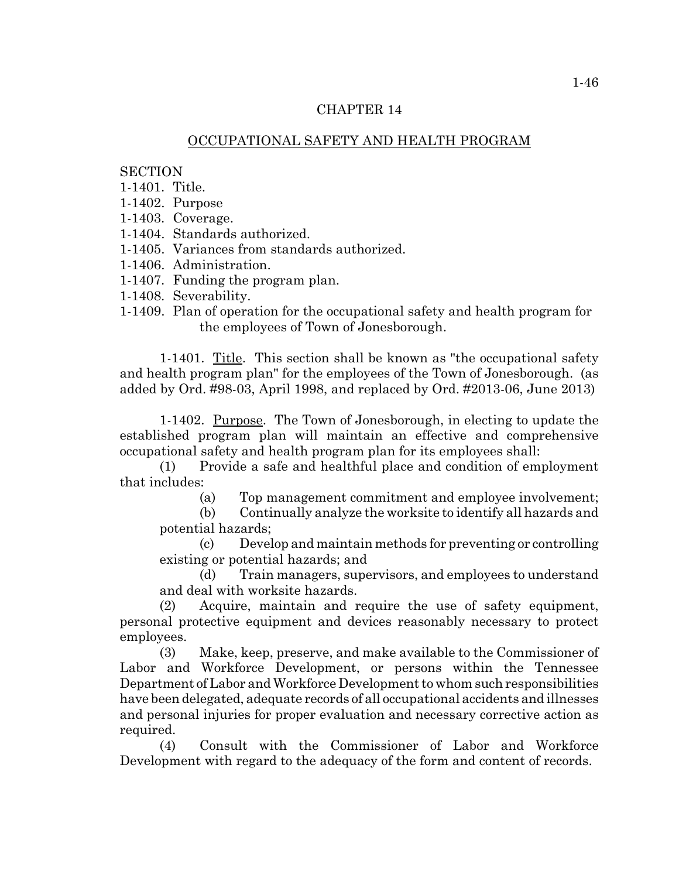### CHAPTER 14

## OCCUPATIONAL SAFETY AND HEALTH PROGRAM

### **SECTION**

- 1-1401. Title.
- 1-1402. Purpose
- 1-1403. Coverage.
- 1-1404. Standards authorized.
- 1-1405. Variances from standards authorized.
- 1-1406. Administration.
- 1-1407. Funding the program plan.
- 1-1408. Severability.
- 1-1409. Plan of operation for the occupational safety and health program for the employees of Town of Jonesborough.

1-1401. Title. This section shall be known as "the occupational safety and health program plan" for the employees of the Town of Jonesborough. (as added by Ord. #98-03, April 1998, and replaced by Ord. #2013-06, June 2013)

1-1402. Purpose. The Town of Jonesborough, in electing to update the established program plan will maintain an effective and comprehensive occupational safety and health program plan for its employees shall:

(1) Provide a safe and healthful place and condition of employment that includes:

(a) Top management commitment and employee involvement;

(b) Continually analyze the worksite to identify all hazards and potential hazards;

(c) Develop and maintain methods for preventing or controlling existing or potential hazards; and

(d) Train managers, supervisors, and employees to understand and deal with worksite hazards.

(2) Acquire, maintain and require the use of safety equipment, personal protective equipment and devices reasonably necessary to protect employees.

(3) Make, keep, preserve, and make available to the Commissioner of Labor and Workforce Development, or persons within the Tennessee Department of Labor and Workforce Development to whom such responsibilities have been delegated, adequate records of all occupational accidents and illnesses and personal injuries for proper evaluation and necessary corrective action as required.

(4) Consult with the Commissioner of Labor and Workforce Development with regard to the adequacy of the form and content of records.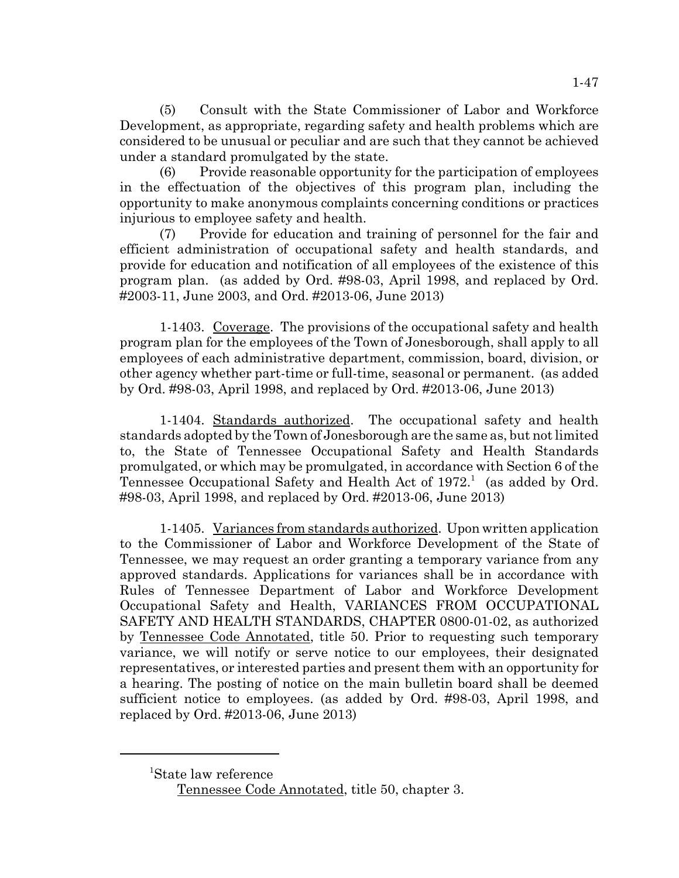(5) Consult with the State Commissioner of Labor and Workforce Development, as appropriate, regarding safety and health problems which are considered to be unusual or peculiar and are such that they cannot be achieved under a standard promulgated by the state.

(6) Provide reasonable opportunity for the participation of employees in the effectuation of the objectives of this program plan, including the opportunity to make anonymous complaints concerning conditions or practices injurious to employee safety and health.

(7) Provide for education and training of personnel for the fair and efficient administration of occupational safety and health standards, and provide for education and notification of all employees of the existence of this program plan. (as added by Ord. #98-03, April 1998, and replaced by Ord. #2003-11, June 2003, and Ord. #2013-06, June 2013)

1-1403. Coverage. The provisions of the occupational safety and health program plan for the employees of the Town of Jonesborough, shall apply to all employees of each administrative department, commission, board, division, or other agency whether part-time or full-time, seasonal or permanent. (as added by Ord. #98-03, April 1998, and replaced by Ord. #2013-06, June 2013)

1-1404. Standards authorized. The occupational safety and health standards adopted by the Town of Jonesborough are the same as, but not limited to, the State of Tennessee Occupational Safety and Health Standards promulgated, or which may be promulgated, in accordance with Section 6 of the Tennessee Occupational Safety and Health Act of  $1972<sup>1</sup>$  (as added by Ord. #98-03, April 1998, and replaced by Ord. #2013-06, June 2013)

1-1405. Variances from standards authorized. Upon written application to the Commissioner of Labor and Workforce Development of the State of Tennessee, we may request an order granting a temporary variance from any approved standards. Applications for variances shall be in accordance with Rules of Tennessee Department of Labor and Workforce Development Occupational Safety and Health, VARIANCES FROM OCCUPATIONAL SAFETY AND HEALTH STANDARDS, CHAPTER 0800-01-02, as authorized by Tennessee Code Annotated, title 50. Prior to requesting such temporary variance, we will notify or serve notice to our employees, their designated representatives, or interested parties and present them with an opportunity for a hearing. The posting of notice on the main bulletin board shall be deemed sufficient notice to employees. (as added by Ord. #98-03, April 1998, and replaced by Ord. #2013-06, June 2013)

<sup>1</sup> State law reference

Tennessee Code Annotated, title 50, chapter 3.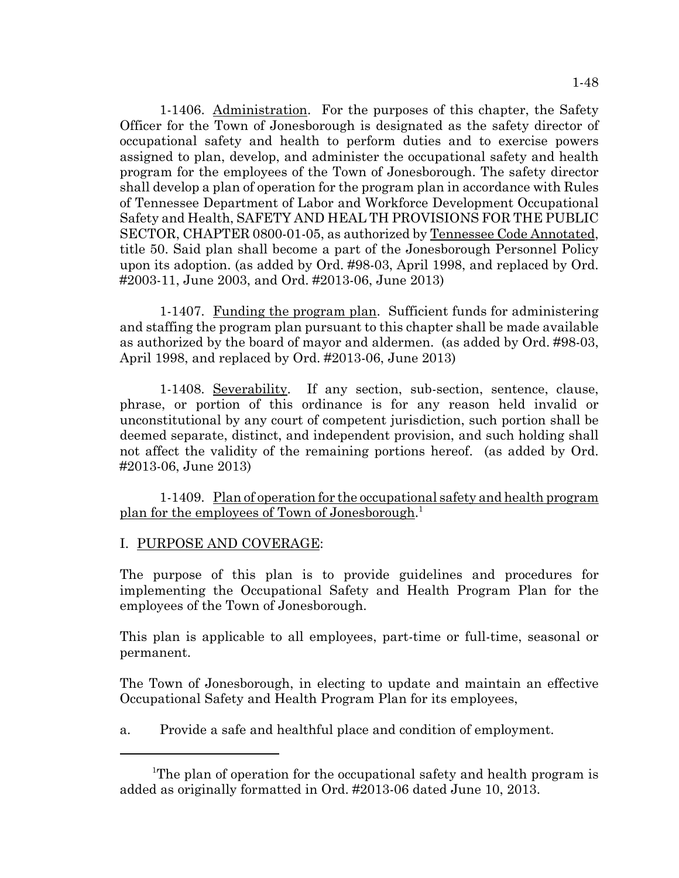1-1406. Administration. For the purposes of this chapter, the Safety Officer for the Town of Jonesborough is designated as the safety director of occupational safety and health to perform duties and to exercise powers assigned to plan, develop, and administer the occupational safety and health program for the employees of the Town of Jonesborough. The safety director shall develop a plan of operation for the program plan in accordance with Rules of Tennessee Department of Labor and Workforce Development Occupational Safety and Health, SAFETY AND HEAL TH PROVISIONS FOR THE PUBLIC SECTOR, CHAPTER 0800-01-05, as authorized by Tennessee Code Annotated, title 50. Said plan shall become a part of the Jonesborough Personnel Policy upon its adoption. (as added by Ord. #98-03, April 1998, and replaced by Ord. #2003-11, June 2003, and Ord. #2013-06, June 2013)

1-1407. Funding the program plan. Sufficient funds for administering and staffing the program plan pursuant to this chapter shall be made available as authorized by the board of mayor and aldermen. (as added by Ord. #98-03, April 1998, and replaced by Ord. #2013-06, June 2013)

1-1408. Severability. If any section, sub-section, sentence, clause, phrase, or portion of this ordinance is for any reason held invalid or unconstitutional by any court of competent jurisdiction, such portion shall be deemed separate, distinct, and independent provision, and such holding shall not affect the validity of the remaining portions hereof. (as added by Ord. #2013-06, June 2013)

1-1409. Plan of operation for the occupational safety and health program plan for the employees of Town of Jonesborough.<sup>1</sup>

## I. PURPOSE AND COVERAGE:

The purpose of this plan is to provide guidelines and procedures for implementing the Occupational Safety and Health Program Plan for the employees of the Town of Jonesborough.

This plan is applicable to all employees, part-time or full-time, seasonal or permanent.

The Town of Jonesborough, in electing to update and maintain an effective Occupational Safety and Health Program Plan for its employees,

a. Provide a safe and healthful place and condition of employment.

<sup>&</sup>lt;sup>1</sup>The plan of operation for the occupational safety and health program is added as originally formatted in Ord. #2013-06 dated June 10, 2013.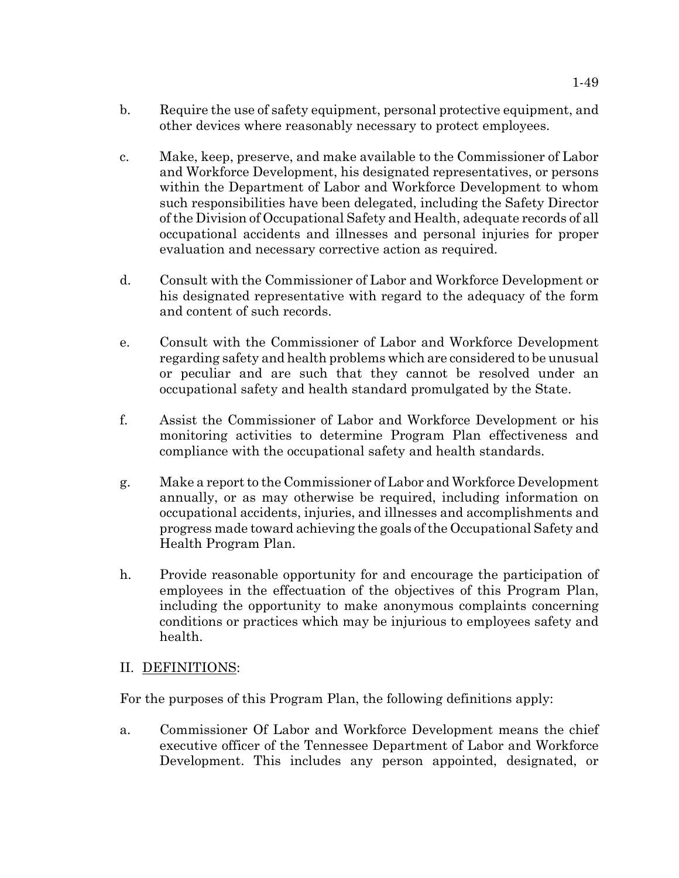- b. Require the use of safety equipment, personal protective equipment, and other devices where reasonably necessary to protect employees.
- c. Make, keep, preserve, and make available to the Commissioner of Labor and Workforce Development, his designated representatives, or persons within the Department of Labor and Workforce Development to whom such responsibilities have been delegated, including the Safety Director of the Division of Occupational Safety and Health, adequate records of all occupational accidents and illnesses and personal injuries for proper evaluation and necessary corrective action as required.
- d. Consult with the Commissioner of Labor and Workforce Development or his designated representative with regard to the adequacy of the form and content of such records.
- e. Consult with the Commissioner of Labor and Workforce Development regarding safety and health problems which are considered to be unusual or peculiar and are such that they cannot be resolved under an occupational safety and health standard promulgated by the State.
- f. Assist the Commissioner of Labor and Workforce Development or his monitoring activities to determine Program Plan effectiveness and compliance with the occupational safety and health standards.
- g. Make a report to the Commissioner of Labor and Workforce Development annually, or as may otherwise be required, including information on occupational accidents, injuries, and illnesses and accomplishments and progress made toward achieving the goals of the Occupational Safety and Health Program Plan.
- h. Provide reasonable opportunity for and encourage the participation of employees in the effectuation of the objectives of this Program Plan, including the opportunity to make anonymous complaints concerning conditions or practices which may be injurious to employees safety and health.

# II. DEFINITIONS:

For the purposes of this Program Plan, the following definitions apply:

a. Commissioner Of Labor and Workforce Development means the chief executive officer of the Tennessee Department of Labor and Workforce Development. This includes any person appointed, designated, or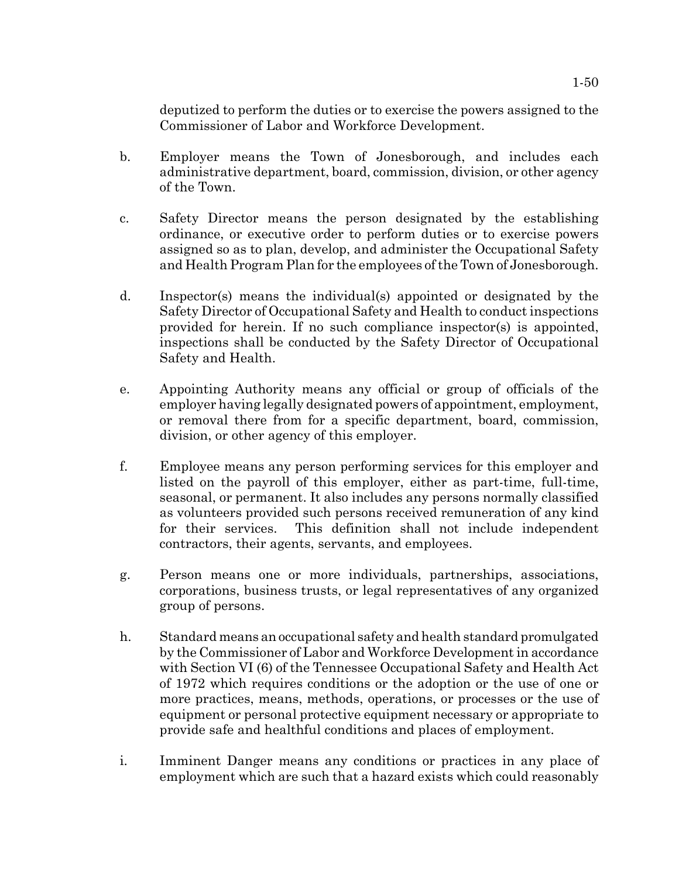deputized to perform the duties or to exercise the powers assigned to the Commissioner of Labor and Workforce Development.

- b. Employer means the Town of Jonesborough, and includes each administrative department, board, commission, division, or other agency of the Town.
- c. Safety Director means the person designated by the establishing ordinance, or executive order to perform duties or to exercise powers assigned so as to plan, develop, and administer the Occupational Safety and Health Program Plan for the employees of the Town of Jonesborough.
- d. Inspector(s) means the individual(s) appointed or designated by the Safety Director of Occupational Safety and Health to conduct inspections provided for herein. If no such compliance inspector(s) is appointed, inspections shall be conducted by the Safety Director of Occupational Safety and Health.
- e. Appointing Authority means any official or group of officials of the employer having legally designated powers of appointment, employment, or removal there from for a specific department, board, commission, division, or other agency of this employer.
- f. Employee means any person performing services for this employer and listed on the payroll of this employer, either as part-time, full-time, seasonal, or permanent. It also includes any persons normally classified as volunteers provided such persons received remuneration of any kind for their services. This definition shall not include independent contractors, their agents, servants, and employees.
- g. Person means one or more individuals, partnerships, associations, corporations, business trusts, or legal representatives of any organized group of persons.
- h. Standard means an occupational safety and health standard promulgated by the Commissioner of Labor and Workforce Development in accordance with Section VI (6) of the Tennessee Occupational Safety and Health Act of 1972 which requires conditions or the adoption or the use of one or more practices, means, methods, operations, or processes or the use of equipment or personal protective equipment necessary or appropriate to provide safe and healthful conditions and places of employment.
- i. Imminent Danger means any conditions or practices in any place of employment which are such that a hazard exists which could reasonably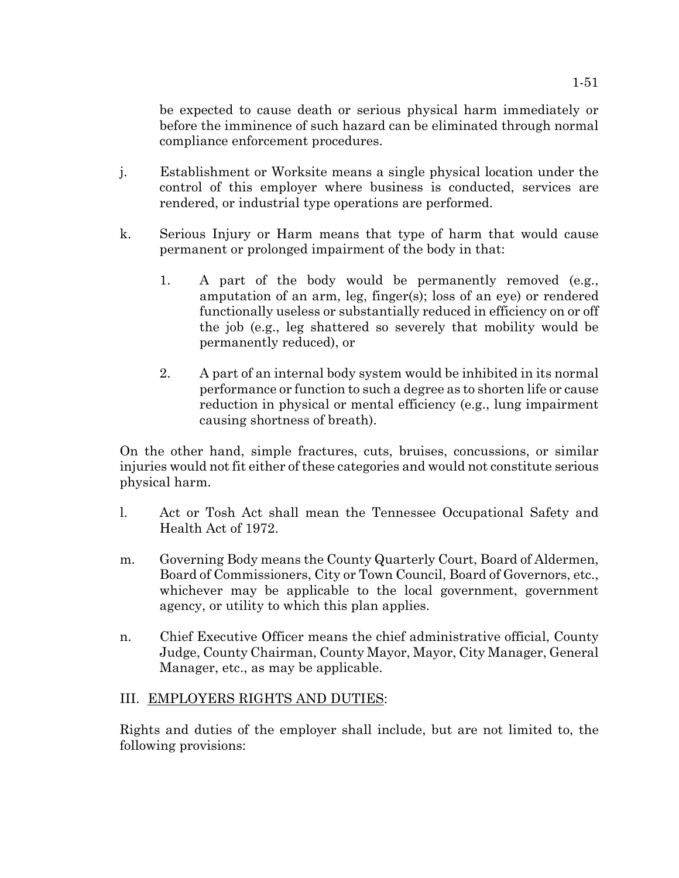be expected to cause death or serious physical harm immediately or before the imminence of such hazard can be eliminated through normal compliance enforcement procedures.

- j. Establishment or Worksite means a single physical location under the control of this employer where business is conducted, services are rendered, or industrial type operations are performed.
- k. Serious Injury or Harm means that type of harm that would cause permanent or prolonged impairment of the body in that:
	- 1. A part of the body would be permanently removed (e.g., amputation of an arm, leg, finger(s); loss of an eye) or rendered functionally useless or substantially reduced in efficiency on or off the job (e.g., leg shattered so severely that mobility would be permanently reduced), or
	- 2. A part of an internal body system would be inhibited in its normal performance or function to such a degree as to shorten life or cause reduction in physical or mental efficiency (e.g., lung impairment causing shortness of breath).

On the other hand, simple fractures, cuts, bruises, concussions, or similar injuries would not fit either of these categories and would not constitute serious physical harm.

- l. Act or Tosh Act shall mean the Tennessee Occupational Safety and Health Act of 1972.
- m. Governing Body means the County Quarterly Court, Board of Aldermen, Board of Commissioners, City or Town Council, Board of Governors, etc., whichever may be applicable to the local government, government agency, or utility to which this plan applies.
- n. Chief Executive Officer means the chief administrative official, County Judge, County Chairman, County Mayor, Mayor, City Manager, General Manager, etc., as may be applicable.

## III. EMPLOYERS RIGHTS AND DUTIES:

Rights and duties of the employer shall include, but are not limited to, the following provisions: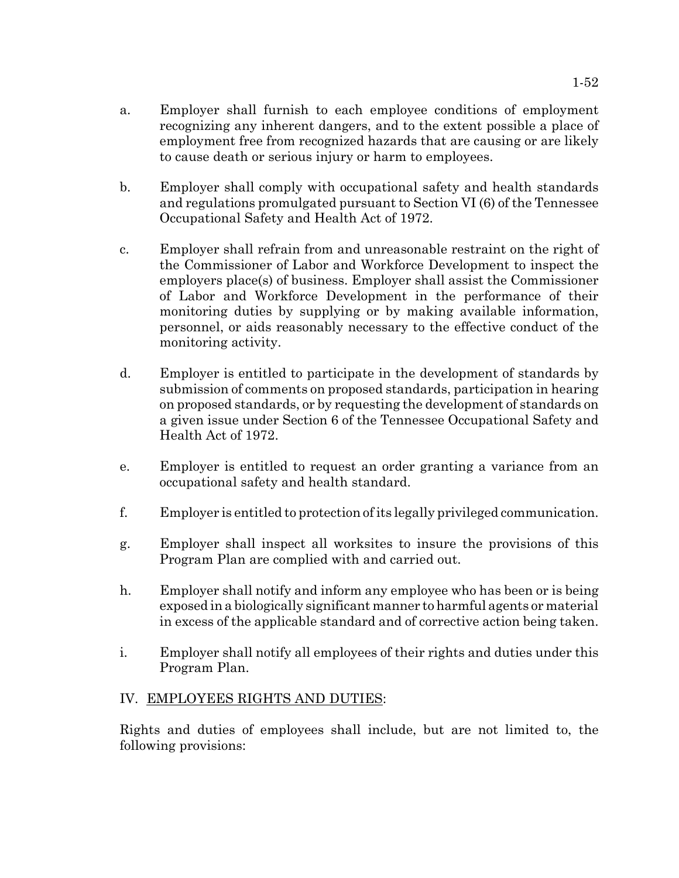- a. Employer shall furnish to each employee conditions of employment recognizing any inherent dangers, and to the extent possible a place of employment free from recognized hazards that are causing or are likely to cause death or serious injury or harm to employees.
- b. Employer shall comply with occupational safety and health standards and regulations promulgated pursuant to Section VI (6) of the Tennessee Occupational Safety and Health Act of 1972.
- c. Employer shall refrain from and unreasonable restraint on the right of the Commissioner of Labor and Workforce Development to inspect the employers place(s) of business. Employer shall assist the Commissioner of Labor and Workforce Development in the performance of their monitoring duties by supplying or by making available information, personnel, or aids reasonably necessary to the effective conduct of the monitoring activity.
- d. Employer is entitled to participate in the development of standards by submission of comments on proposed standards, participation in hearing on proposed standards, or by requesting the development of standards on a given issue under Section 6 of the Tennessee Occupational Safety and Health Act of 1972.
- e. Employer is entitled to request an order granting a variance from an occupational safety and health standard.
- f. Employer is entitled to protection of its legally privileged communication.
- g. Employer shall inspect all worksites to insure the provisions of this Program Plan are complied with and carried out.
- h. Employer shall notify and inform any employee who has been or is being exposed in a biologically significant manner to harmful agents or material in excess of the applicable standard and of corrective action being taken.
- i. Employer shall notify all employees of their rights and duties under this Program Plan.

## IV. EMPLOYEES RIGHTS AND DUTIES:

Rights and duties of employees shall include, but are not limited to, the following provisions: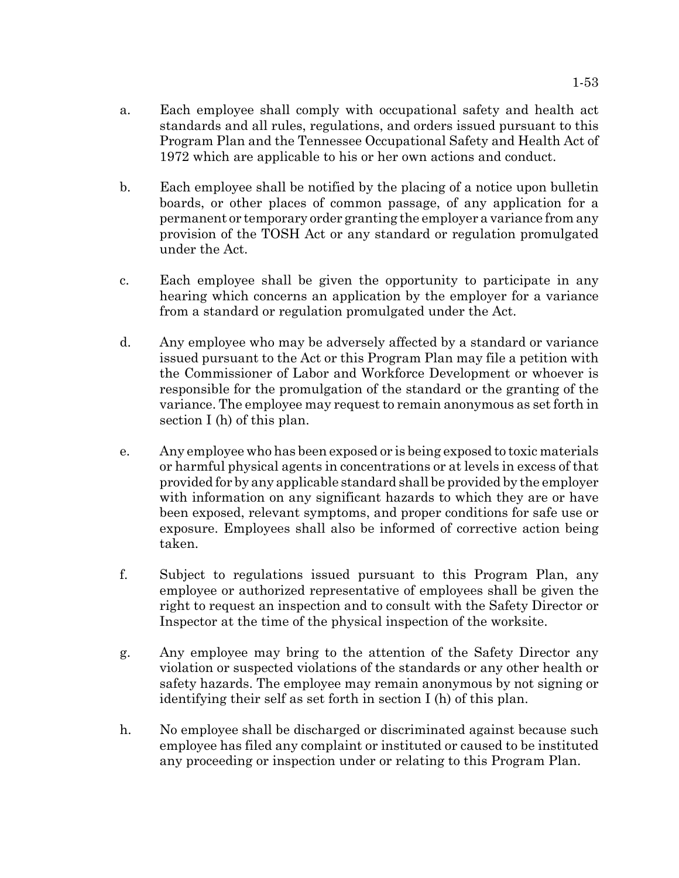- a. Each employee shall comply with occupational safety and health act standards and all rules, regulations, and orders issued pursuant to this Program Plan and the Tennessee Occupational Safety and Health Act of 1972 which are applicable to his or her own actions and conduct.
- b. Each employee shall be notified by the placing of a notice upon bulletin boards, or other places of common passage, of any application for a permanent or temporary order granting the employer a variance from any provision of the TOSH Act or any standard or regulation promulgated under the Act.
- c. Each employee shall be given the opportunity to participate in any hearing which concerns an application by the employer for a variance from a standard or regulation promulgated under the Act.
- d. Any employee who may be adversely affected by a standard or variance issued pursuant to the Act or this Program Plan may file a petition with the Commissioner of Labor and Workforce Development or whoever is responsible for the promulgation of the standard or the granting of the variance. The employee may request to remain anonymous as set forth in section I (h) of this plan.
- e. Any employee who has been exposed or is being exposed to toxic materials or harmful physical agents in concentrations or at levels in excess of that provided for by any applicable standard shall be provided by the employer with information on any significant hazards to which they are or have been exposed, relevant symptoms, and proper conditions for safe use or exposure. Employees shall also be informed of corrective action being taken.
- f. Subject to regulations issued pursuant to this Program Plan, any employee or authorized representative of employees shall be given the right to request an inspection and to consult with the Safety Director or Inspector at the time of the physical inspection of the worksite.
- g. Any employee may bring to the attention of the Safety Director any violation or suspected violations of the standards or any other health or safety hazards. The employee may remain anonymous by not signing or identifying their self as set forth in section I (h) of this plan.
- h. No employee shall be discharged or discriminated against because such employee has filed any complaint or instituted or caused to be instituted any proceeding or inspection under or relating to this Program Plan.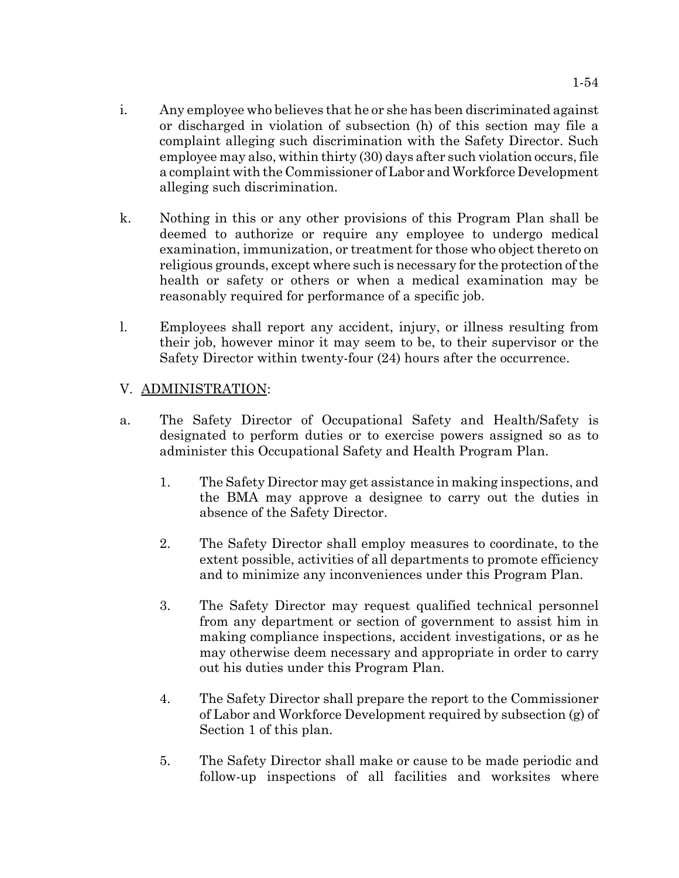- i. Any employee who believes that he or she has been discriminated against or discharged in violation of subsection (h) of this section may file a complaint alleging such discrimination with the Safety Director. Such employee may also, within thirty (30) days after such violation occurs, file a complaint with the Commissioner of Labor and Workforce Development alleging such discrimination.
- k. Nothing in this or any other provisions of this Program Plan shall be deemed to authorize or require any employee to undergo medical examination, immunization, or treatment for those who object thereto on religious grounds, except where such is necessary for the protection of the health or safety or others or when a medical examination may be reasonably required for performance of a specific job.
- l. Employees shall report any accident, injury, or illness resulting from their job, however minor it may seem to be, to their supervisor or the Safety Director within twenty-four (24) hours after the occurrence.

# V. ADMINISTRATION:

- a. The Safety Director of Occupational Safety and Health/Safety is designated to perform duties or to exercise powers assigned so as to administer this Occupational Safety and Health Program Plan.
	- 1. The Safety Director may get assistance in making inspections, and the BMA may approve a designee to carry out the duties in absence of the Safety Director.
	- 2. The Safety Director shall employ measures to coordinate, to the extent possible, activities of all departments to promote efficiency and to minimize any inconveniences under this Program Plan.
	- 3. The Safety Director may request qualified technical personnel from any department or section of government to assist him in making compliance inspections, accident investigations, or as he may otherwise deem necessary and appropriate in order to carry out his duties under this Program Plan.
	- 4. The Safety Director shall prepare the report to the Commissioner of Labor and Workforce Development required by subsection (g) of Section 1 of this plan.
	- 5. The Safety Director shall make or cause to be made periodic and follow-up inspections of all facilities and worksites where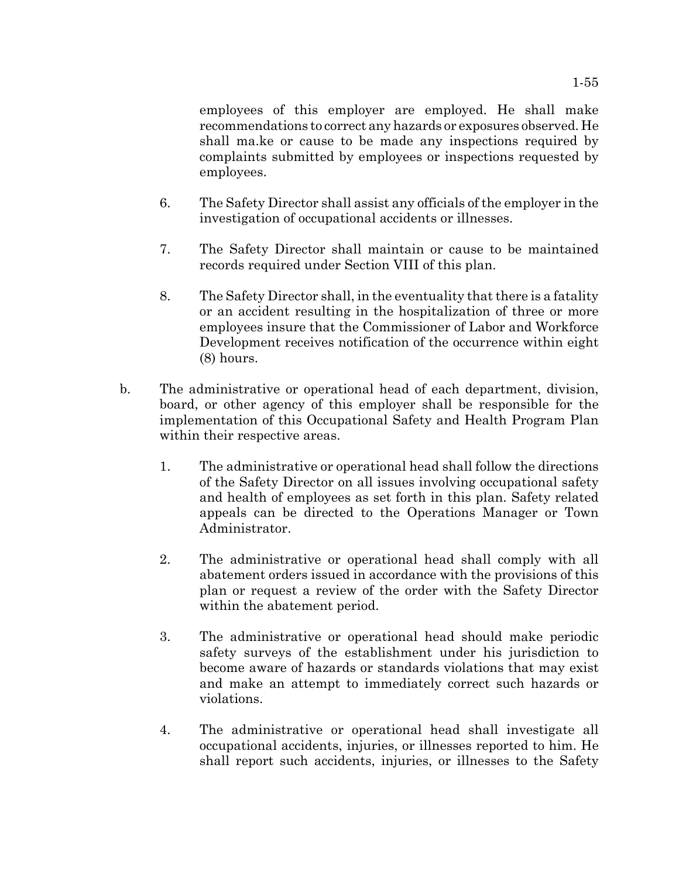employees of this employer are employed. He shall make recommendations to correct any hazards or exposures observed. He shall ma.ke or cause to be made any inspections required by complaints submitted by employees or inspections requested by employees.

- 6. The Safety Director shall assist any officials of the employer in the investigation of occupational accidents or illnesses.
- 7. The Safety Director shall maintain or cause to be maintained records required under Section VIII of this plan.
- 8. The Safety Director shall, in the eventuality that there is a fatality or an accident resulting in the hospitalization of three or more employees insure that the Commissioner of Labor and Workforce Development receives notification of the occurrence within eight (8) hours.
- b. The administrative or operational head of each department, division, board, or other agency of this employer shall be responsible for the implementation of this Occupational Safety and Health Program Plan within their respective areas.
	- 1. The administrative or operational head shall follow the directions of the Safety Director on all issues involving occupational safety and health of employees as set forth in this plan. Safety related appeals can be directed to the Operations Manager or Town Administrator.
	- 2. The administrative or operational head shall comply with all abatement orders issued in accordance with the provisions of this plan or request a review of the order with the Safety Director within the abatement period.
	- 3. The administrative or operational head should make periodic safety surveys of the establishment under his jurisdiction to become aware of hazards or standards violations that may exist and make an attempt to immediately correct such hazards or violations.
	- 4. The administrative or operational head shall investigate all occupational accidents, injuries, or illnesses reported to him. He shall report such accidents, injuries, or illnesses to the Safety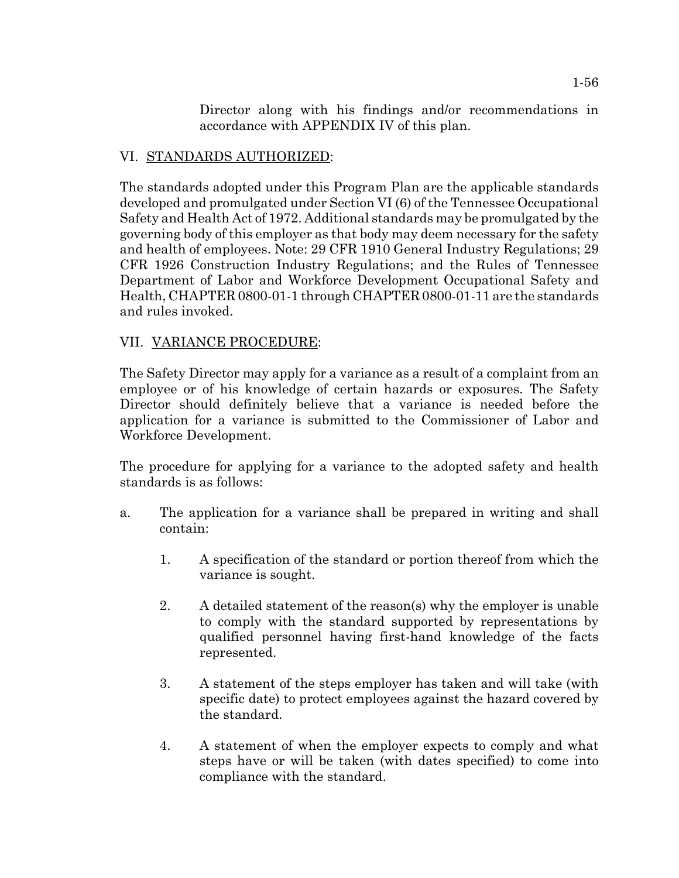Director along with his findings and/or recommendations in accordance with APPENDIX IV of this plan.

# VI. STANDARDS AUTHORIZED:

The standards adopted under this Program Plan are the applicable standards developed and promulgated under Section VI (6) of the Tennessee Occupational Safety and Health Act of 1972. Additional standards may be promulgated by the governing body of this employer as that body may deem necessary for the safety and health of employees. Note: 29 CFR 1910 General Industry Regulations; 29 CFR 1926 Construction Industry Regulations; and the Rules of Tennessee Department of Labor and Workforce Development Occupational Safety and Health, CHAPTER 0800-01-1 through CHAPTER 0800-01-11 are the standards and rules invoked.

# VII. VARIANCE PROCEDURE:

The Safety Director may apply for a variance as a result of a complaint from an employee or of his knowledge of certain hazards or exposures. The Safety Director should definitely believe that a variance is needed before the application for a variance is submitted to the Commissioner of Labor and Workforce Development.

The procedure for applying for a variance to the adopted safety and health standards is as follows:

- a. The application for a variance shall be prepared in writing and shall contain:
	- 1. A specification of the standard or portion thereof from which the variance is sought.
	- 2. A detailed statement of the reason(s) why the employer is unable to comply with the standard supported by representations by qualified personnel having first-hand knowledge of the facts represented.
	- 3. A statement of the steps employer has taken and will take (with specific date) to protect employees against the hazard covered by the standard.
	- 4. A statement of when the employer expects to comply and what steps have or will be taken (with dates specified) to come into compliance with the standard.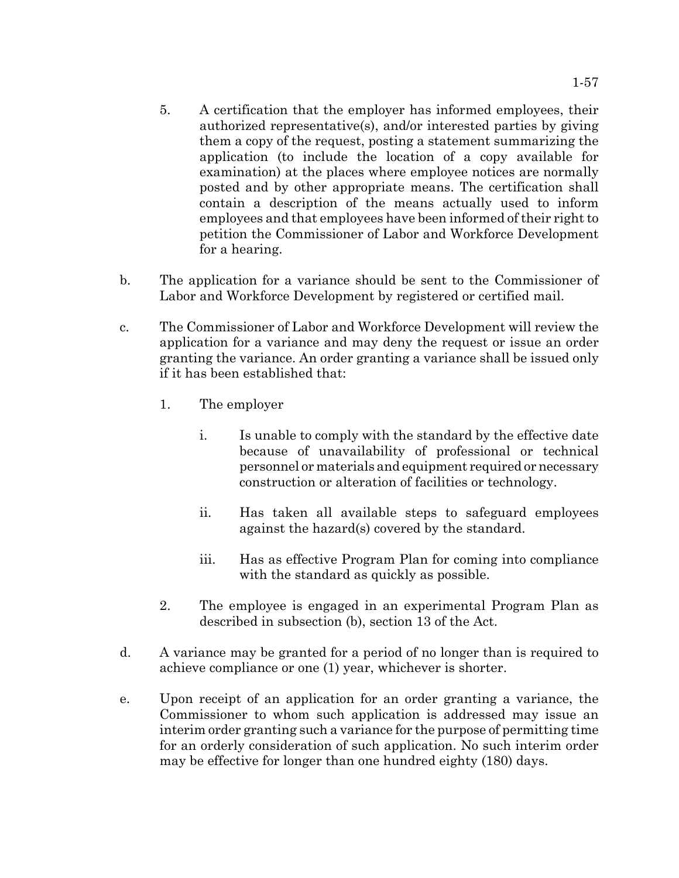- 5. A certification that the employer has informed employees, their authorized representative(s), and/or interested parties by giving them a copy of the request, posting a statement summarizing the application (to include the location of a copy available for examination) at the places where employee notices are normally posted and by other appropriate means. The certification shall contain a description of the means actually used to inform employees and that employees have been informed of their right to petition the Commissioner of Labor and Workforce Development for a hearing.
- b. The application for a variance should be sent to the Commissioner of Labor and Workforce Development by registered or certified mail.
- c. The Commissioner of Labor and Workforce Development will review the application for a variance and may deny the request or issue an order granting the variance. An order granting a variance shall be issued only if it has been established that:
	- 1. The employer
		- i. Is unable to comply with the standard by the effective date because of unavailability of professional or technical personnel or materials and equipment required or necessary construction or alteration of facilities or technology.
		- ii. Has taken all available steps to safeguard employees against the hazard(s) covered by the standard.
		- iii. Has as effective Program Plan for coming into compliance with the standard as quickly as possible.
	- 2. The employee is engaged in an experimental Program Plan as described in subsection (b), section 13 of the Act.
- d. A variance may be granted for a period of no longer than is required to achieve compliance or one (1) year, whichever is shorter.
- e. Upon receipt of an application for an order granting a variance, the Commissioner to whom such application is addressed may issue an interim order granting such a variance for the purpose of permitting time for an orderly consideration of such application. No such interim order may be effective for longer than one hundred eighty (180) days.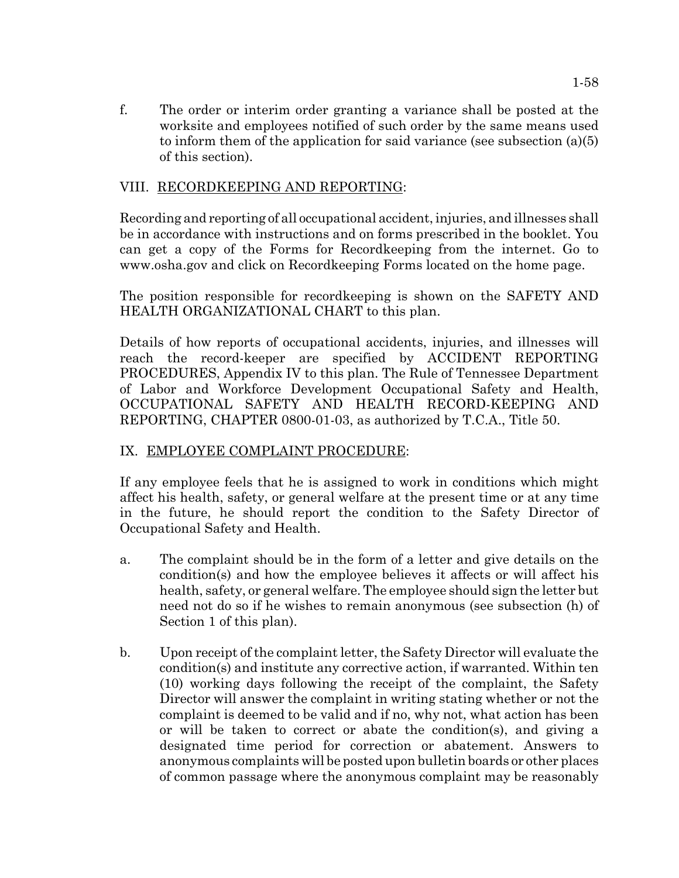f. The order or interim order granting a variance shall be posted at the worksite and employees notified of such order by the same means used to inform them of the application for said variance (see subsection (a)(5) of this section).

# VIII. RECORDKEEPING AND REPORTING:

Recording and reporting of all occupational accident, injuries, and illnesses shall be in accordance with instructions and on forms prescribed in the booklet. You can get a copy of the Forms for Recordkeeping from the internet. Go to www.osha.gov and click on Recordkeeping Forms located on the home page.

The position responsible for recordkeeping is shown on the SAFETY AND HEALTH ORGANIZATIONAL CHART to this plan.

Details of how reports of occupational accidents, injuries, and illnesses will reach the record-keeper are specified by ACCIDENT REPORTING PROCEDURES, Appendix IV to this plan. The Rule of Tennessee Department of Labor and Workforce Development Occupational Safety and Health, OCCUPATIONAL SAFETY AND HEALTH RECORD-KEEPING AND REPORTING, CHAPTER 0800-01-03, as authorized by T.C.A., Title 50.

## IX. EMPLOYEE COMPLAINT PROCEDURE:

If any employee feels that he is assigned to work in conditions which might affect his health, safety, or general welfare at the present time or at any time in the future, he should report the condition to the Safety Director of Occupational Safety and Health.

- a. The complaint should be in the form of a letter and give details on the condition(s) and how the employee believes it affects or will affect his health, safety, or general welfare. The employee should sign the letter but need not do so if he wishes to remain anonymous (see subsection (h) of Section 1 of this plan).
- b. Upon receipt of the complaint letter, the Safety Director will evaluate the condition(s) and institute any corrective action, if warranted. Within ten (10) working days following the receipt of the complaint, the Safety Director will answer the complaint in writing stating whether or not the complaint is deemed to be valid and if no, why not, what action has been or will be taken to correct or abate the condition(s), and giving a designated time period for correction or abatement. Answers to anonymous complaints will be posted upon bulletin boards or other places of common passage where the anonymous complaint may be reasonably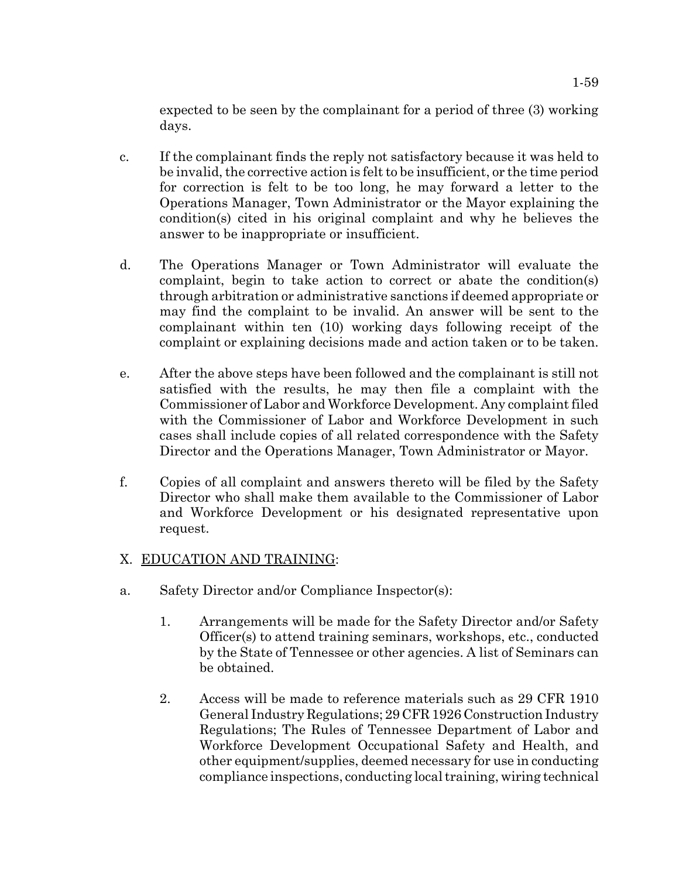expected to be seen by the complainant for a period of three (3) working days.

- c. If the complainant finds the reply not satisfactory because it was held to be invalid, the corrective action is felt to be insufficient, or the time period for correction is felt to be too long, he may forward a letter to the Operations Manager, Town Administrator or the Mayor explaining the condition(s) cited in his original complaint and why he believes the answer to be inappropriate or insufficient.
- d. The Operations Manager or Town Administrator will evaluate the complaint, begin to take action to correct or abate the condition(s) through arbitration or administrative sanctions if deemed appropriate or may find the complaint to be invalid. An answer will be sent to the complainant within ten (10) working days following receipt of the complaint or explaining decisions made and action taken or to be taken.
- e. After the above steps have been followed and the complainant is still not satisfied with the results, he may then file a complaint with the Commissioner of Labor and Workforce Development. Any complaint filed with the Commissioner of Labor and Workforce Development in such cases shall include copies of all related correspondence with the Safety Director and the Operations Manager, Town Administrator or Mayor.
- f. Copies of all complaint and answers thereto will be filed by the Safety Director who shall make them available to the Commissioner of Labor and Workforce Development or his designated representative upon request.

# X. EDUCATION AND TRAINING:

- a. Safety Director and/or Compliance Inspector(s):
	- 1. Arrangements will be made for the Safety Director and/or Safety Officer(s) to attend training seminars, workshops, etc., conducted by the State of Tennessee or other agencies. A list of Seminars can be obtained.
	- 2. Access will be made to reference materials such as 29 CFR 1910 General Industry Regulations; 29 CFR 1926 Construction Industry Regulations; The Rules of Tennessee Department of Labor and Workforce Development Occupational Safety and Health, and other equipment/supplies, deemed necessary for use in conducting compliance inspections, conducting local training, wiring technical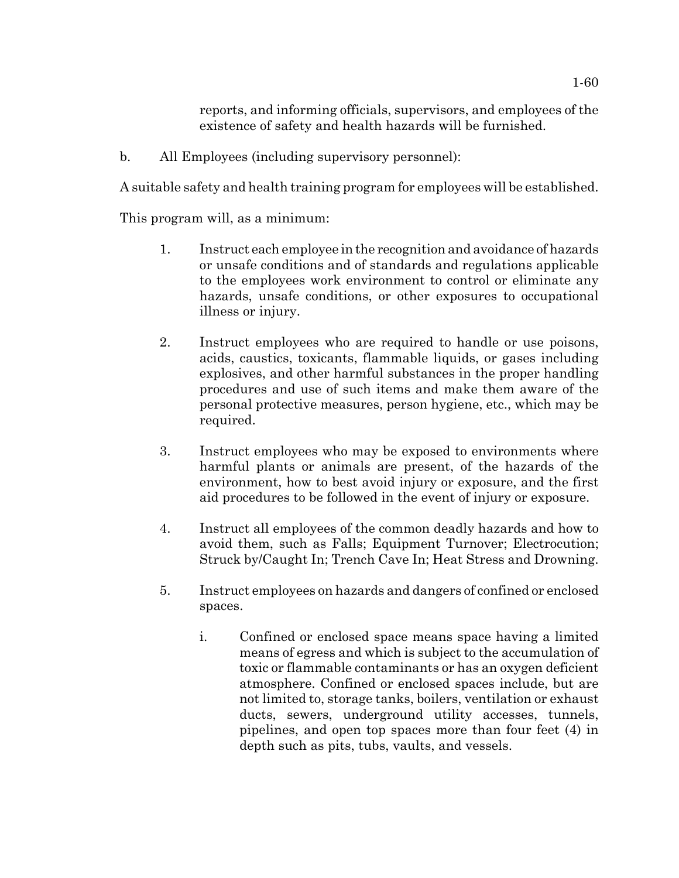reports, and informing officials, supervisors, and employees of the existence of safety and health hazards will be furnished.

b. All Employees (including supervisory personnel):

A suitable safety and health training program for employees will be established.

This program will, as a minimum:

- 1. Instruct each employee in the recognition and avoidance of hazards or unsafe conditions and of standards and regulations applicable to the employees work environment to control or eliminate any hazards, unsafe conditions, or other exposures to occupational illness or injury.
- 2. Instruct employees who are required to handle or use poisons, acids, caustics, toxicants, flammable liquids, or gases including explosives, and other harmful substances in the proper handling procedures and use of such items and make them aware of the personal protective measures, person hygiene, etc., which may be required.
- 3. Instruct employees who may be exposed to environments where harmful plants or animals are present, of the hazards of the environment, how to best avoid injury or exposure, and the first aid procedures to be followed in the event of injury or exposure.
- 4. Instruct all employees of the common deadly hazards and how to avoid them, such as Falls; Equipment Turnover; Electrocution; Struck by/Caught In; Trench Cave In; Heat Stress and Drowning.
- 5. Instruct employees on hazards and dangers of confined or enclosed spaces.
	- i. Confined or enclosed space means space having a limited means of egress and which is subject to the accumulation of toxic or flammable contaminants or has an oxygen deficient atmosphere. Confined or enclosed spaces include, but are not limited to, storage tanks, boilers, ventilation or exhaust ducts, sewers, underground utility accesses, tunnels, pipelines, and open top spaces more than four feet (4) in depth such as pits, tubs, vaults, and vessels.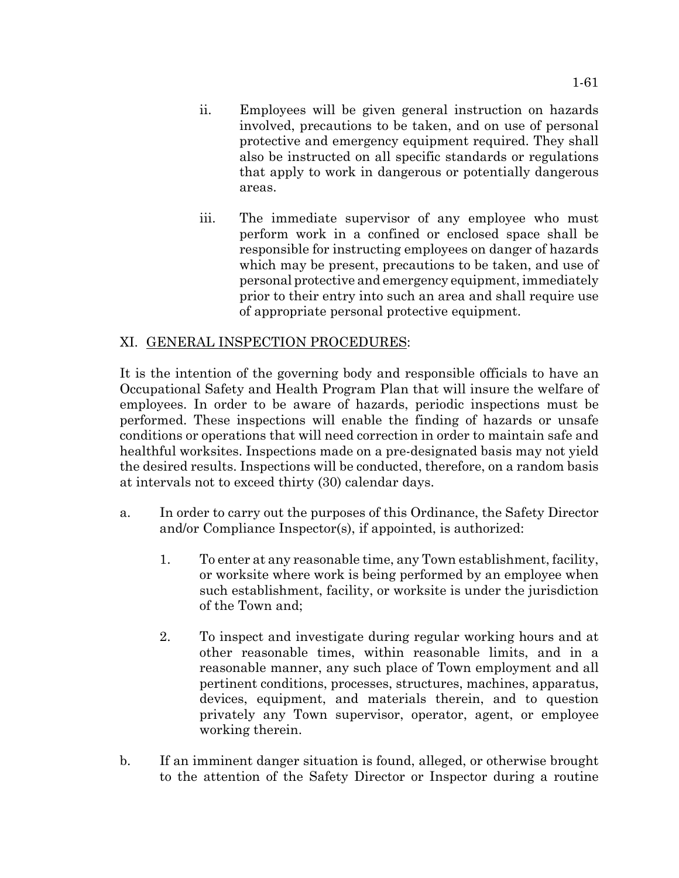- ii. Employees will be given general instruction on hazards involved, precautions to be taken, and on use of personal protective and emergency equipment required. They shall also be instructed on all specific standards or regulations that apply to work in dangerous or potentially dangerous areas.
- iii. The immediate supervisor of any employee who must perform work in a confined or enclosed space shall be responsible for instructing employees on danger of hazards which may be present, precautions to be taken, and use of personal protective and emergency equipment, immediately prior to their entry into such an area and shall require use of appropriate personal protective equipment.

# XI. GENERAL INSPECTION PROCEDURES:

It is the intention of the governing body and responsible officials to have an Occupational Safety and Health Program Plan that will insure the welfare of employees. In order to be aware of hazards, periodic inspections must be performed. These inspections will enable the finding of hazards or unsafe conditions or operations that will need correction in order to maintain safe and healthful worksites. Inspections made on a pre-designated basis may not yield the desired results. Inspections will be conducted, therefore, on a random basis at intervals not to exceed thirty (30) calendar days.

- a. In order to carry out the purposes of this Ordinance, the Safety Director and/or Compliance Inspector(s), if appointed, is authorized:
	- 1. To enter at any reasonable time, any Town establishment, facility, or worksite where work is being performed by an employee when such establishment, facility, or worksite is under the jurisdiction of the Town and;
	- 2. To inspect and investigate during regular working hours and at other reasonable times, within reasonable limits, and in a reasonable manner, any such place of Town employment and all pertinent conditions, processes, structures, machines, apparatus, devices, equipment, and materials therein, and to question privately any Town supervisor, operator, agent, or employee working therein.
- b. If an imminent danger situation is found, alleged, or otherwise brought to the attention of the Safety Director or Inspector during a routine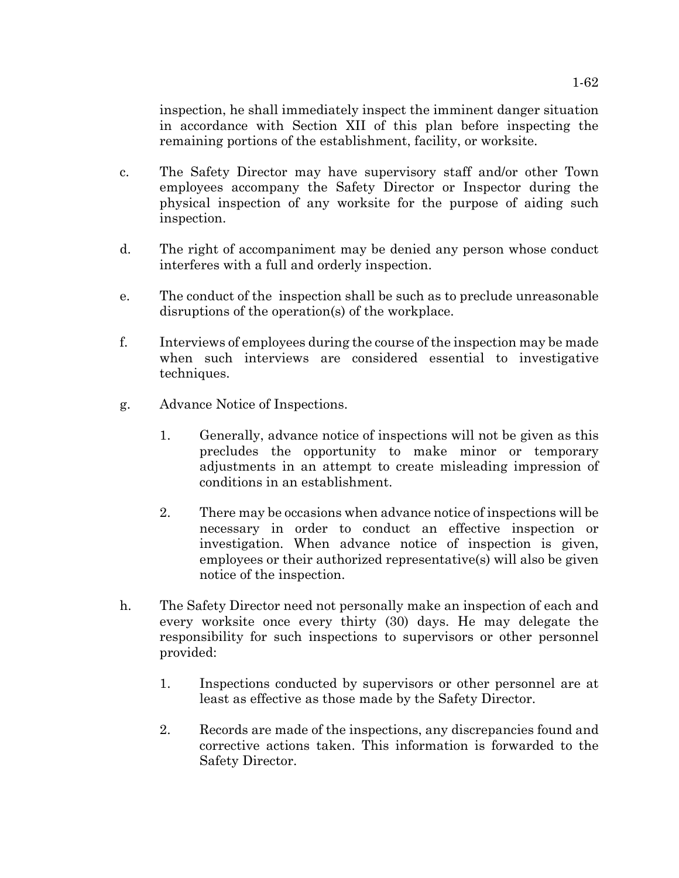inspection, he shall immediately inspect the imminent danger situation in accordance with Section XII of this plan before inspecting the remaining portions of the establishment, facility, or worksite.

- c. The Safety Director may have supervisory staff and/or other Town employees accompany the Safety Director or Inspector during the physical inspection of any worksite for the purpose of aiding such inspection.
- d. The right of accompaniment may be denied any person whose conduct interferes with a full and orderly inspection.
- e. The conduct of the inspection shall be such as to preclude unreasonable disruptions of the operation(s) of the workplace.
- f. Interviews of employees during the course of the inspection may be made when such interviews are considered essential to investigative techniques.
- g. Advance Notice of Inspections.
	- 1. Generally, advance notice of inspections will not be given as this precludes the opportunity to make minor or temporary adjustments in an attempt to create misleading impression of conditions in an establishment.
	- 2. There may be occasions when advance notice of inspections will be necessary in order to conduct an effective inspection or investigation. When advance notice of inspection is given, employees or their authorized representative(s) will also be given notice of the inspection.
- h. The Safety Director need not personally make an inspection of each and every worksite once every thirty (30) days. He may delegate the responsibility for such inspections to supervisors or other personnel provided:
	- 1. Inspections conducted by supervisors or other personnel are at least as effective as those made by the Safety Director.
	- 2. Records are made of the inspections, any discrepancies found and corrective actions taken. This information is forwarded to the Safety Director.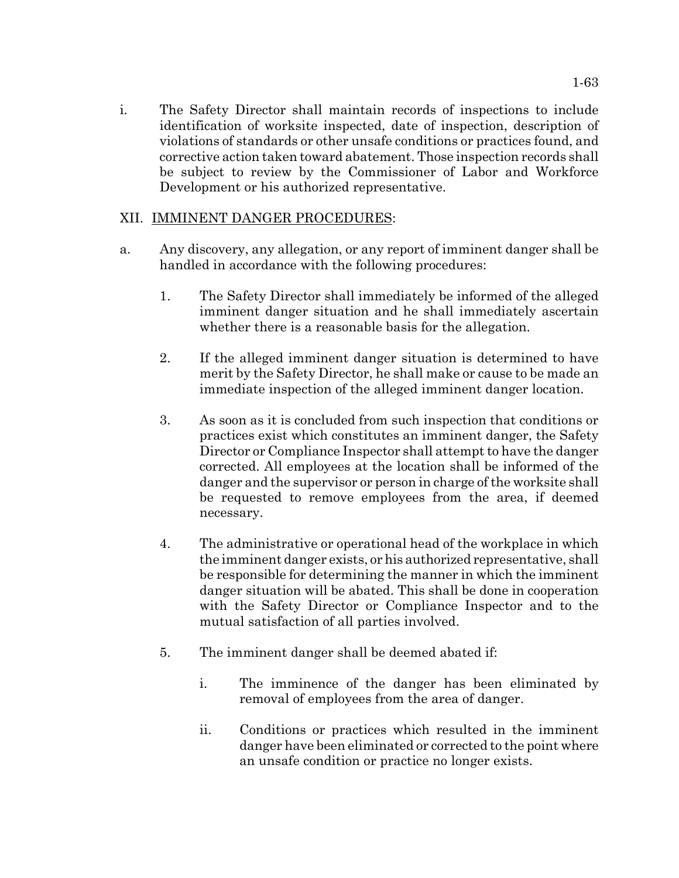i. The Safety Director shall maintain records of inspections to include identification of worksite inspected, date of inspection, description of violations of standards or other unsafe conditions or practices found, and corrective action taken toward abatement. Those inspection records shall be subject to review by the Commissioner of Labor and Workforce Development or his authorized representative.

# XII. IMMINENT DANGER PROCEDURES:

- a. Any discovery, any allegation, or any report of imminent danger shall be handled in accordance with the following procedures:
	- 1. The Safety Director shall immediately be informed of the alleged imminent danger situation and he shall immediately ascertain whether there is a reasonable basis for the allegation.
	- 2. If the alleged imminent danger situation is determined to have merit by the Safety Director, he shall make or cause to be made an immediate inspection of the alleged imminent danger location.
	- 3. As soon as it is concluded from such inspection that conditions or practices exist which constitutes an imminent danger, the Safety Director or Compliance Inspector shall attempt to have the danger corrected. All employees at the location shall be informed of the danger and the supervisor or person in charge of the worksite shall be requested to remove employees from the area, if deemed necessary.
	- 4. The administrative or operational head of the workplace in which the imminent danger exists, or his authorized representative, shall be responsible for determining the manner in which the imminent danger situation will be abated. This shall be done in cooperation with the Safety Director or Compliance Inspector and to the mutual satisfaction of all parties involved.
	- 5. The imminent danger shall be deemed abated if:
		- i. The imminence of the danger has been eliminated by removal of employees from the area of danger.
		- ii. Conditions or practices which resulted in the imminent danger have been eliminated or corrected to the point where an unsafe condition or practice no longer exists.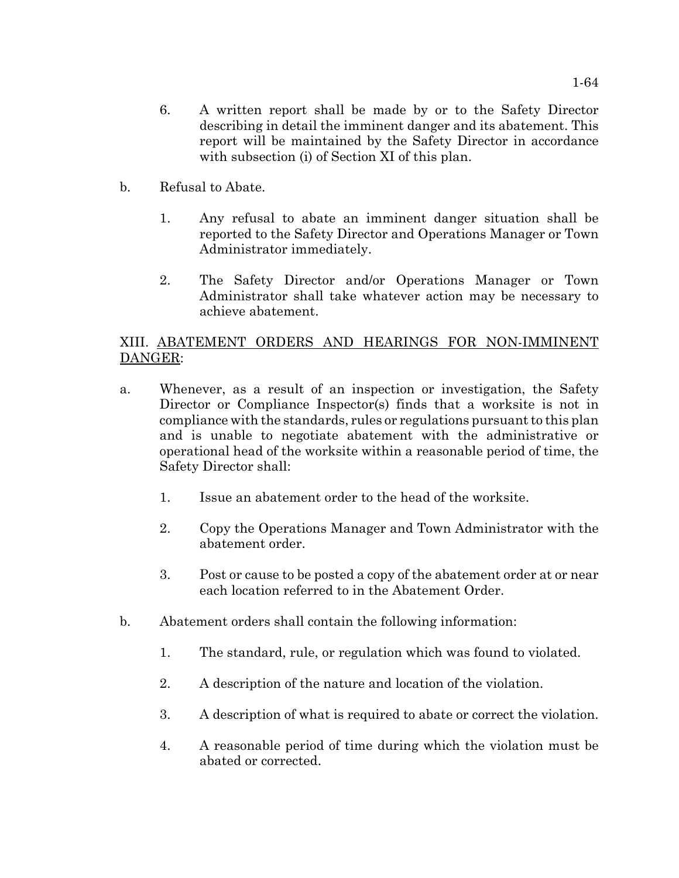- 6. A written report shall be made by or to the Safety Director describing in detail the imminent danger and its abatement. This report will be maintained by the Safety Director in accordance with subsection (i) of Section XI of this plan.
- b. Refusal to Abate.
	- 1. Any refusal to abate an imminent danger situation shall be reported to the Safety Director and Operations Manager or Town Administrator immediately.
	- 2. The Safety Director and/or Operations Manager or Town Administrator shall take whatever action may be necessary to achieve abatement.

# XIII. ABATEMENT ORDERS AND HEARINGS FOR NON-IMMINENT DANGER:

- a. Whenever, as a result of an inspection or investigation, the Safety Director or Compliance Inspector(s) finds that a worksite is not in compliance with the standards, rules or regulations pursuant to this plan and is unable to negotiate abatement with the administrative or operational head of the worksite within a reasonable period of time, the Safety Director shall:
	- 1. Issue an abatement order to the head of the worksite.
	- 2. Copy the Operations Manager and Town Administrator with the abatement order.
	- 3. Post or cause to be posted a copy of the abatement order at or near each location referred to in the Abatement Order.
- b. Abatement orders shall contain the following information:
	- 1. The standard, rule, or regulation which was found to violated.
	- 2. A description of the nature and location of the violation.
	- 3. A description of what is required to abate or correct the violation.
	- 4. A reasonable period of time during which the violation must be abated or corrected.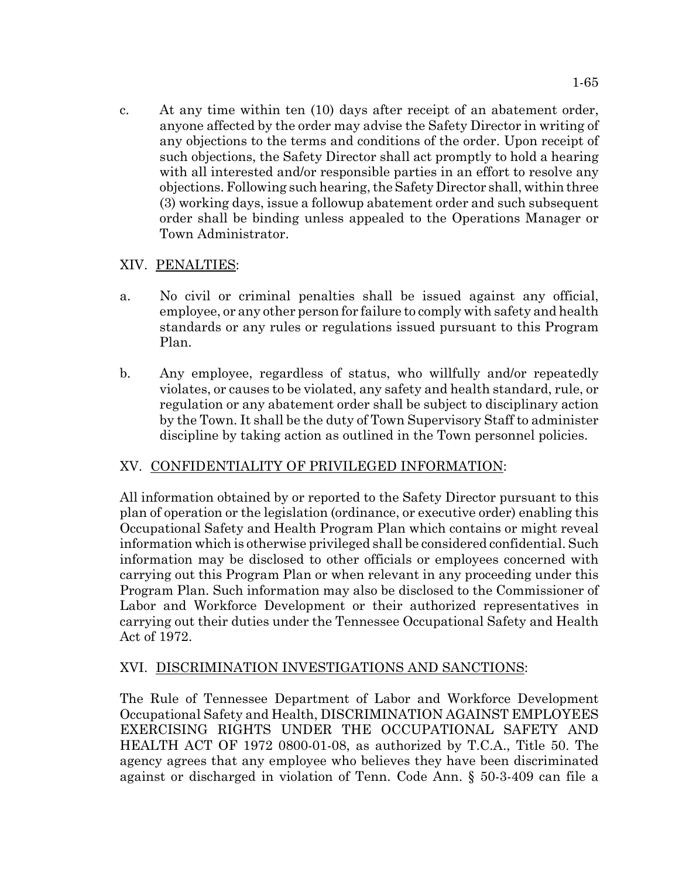c. At any time within ten (10) days after receipt of an abatement order, anyone affected by the order may advise the Safety Director in writing of any objections to the terms and conditions of the order. Upon receipt of such objections, the Safety Director shall act promptly to hold a hearing with all interested and/or responsible parties in an effort to resolve any objections. Following such hearing, the Safety Director shall, within three (3) working days, issue a followup abatement order and such subsequent order shall be binding unless appealed to the Operations Manager or Town Administrator.

# XIV. PENALTIES:

- a. No civil or criminal penalties shall be issued against any official, employee, or any other person for failure to comply with safety and health standards or any rules or regulations issued pursuant to this Program Plan.
- b. Any employee, regardless of status, who willfully and/or repeatedly violates, or causes to be violated, any safety and health standard, rule, or regulation or any abatement order shall be subject to disciplinary action by the Town. It shall be the duty of Town Supervisory Staff to administer discipline by taking action as outlined in the Town personnel policies.

# XV. CONFIDENTIALITY OF PRIVILEGED INFORMATION:

All information obtained by or reported to the Safety Director pursuant to this plan of operation or the legislation (ordinance, or executive order) enabling this Occupational Safety and Health Program Plan which contains or might reveal information which is otherwise privileged shall be considered confidential. Such information may be disclosed to other officials or employees concerned with carrying out this Program Plan or when relevant in any proceeding under this Program Plan. Such information may also be disclosed to the Commissioner of Labor and Workforce Development or their authorized representatives in carrying out their duties under the Tennessee Occupational Safety and Health Act of 1972.

## XVI. DISCRIMINATION INVESTIGATIONS AND SANCTIONS:

The Rule of Tennessee Department of Labor and Workforce Development Occupational Safety and Health, DISCRIMINATION AGAINST EMPLOYEES EXERCISING RIGHTS UNDER THE OCCUPATIONAL SAFETY AND HEALTH ACT OF 1972 0800-01-08, as authorized by T.C.A., Title 50. The agency agrees that any employee who believes they have been discriminated against or discharged in violation of Tenn. Code Ann. § 50-3-409 can file a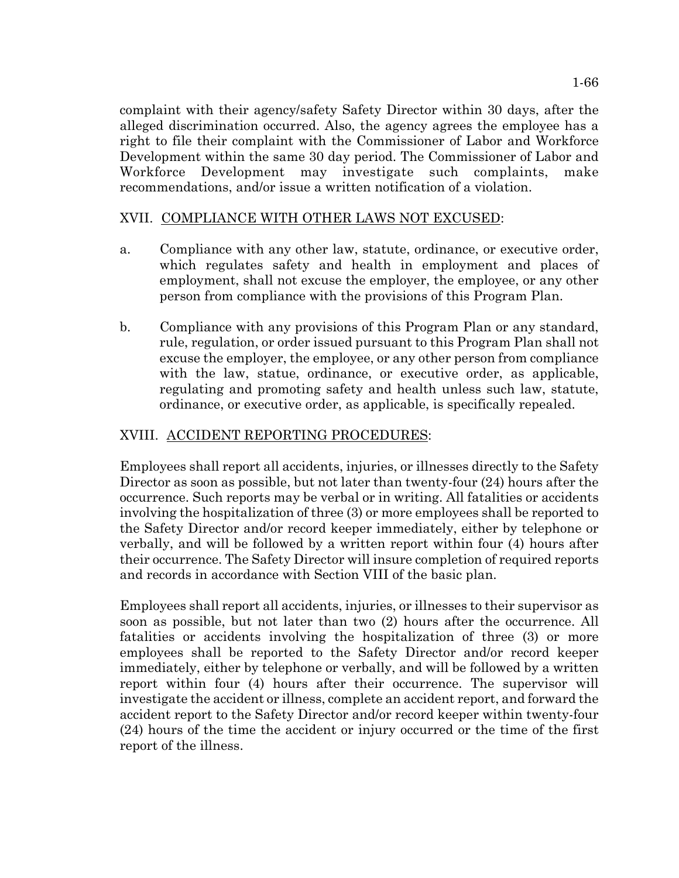complaint with their agency/safety Safety Director within 30 days, after the alleged discrimination occurred. Also, the agency agrees the employee has a right to file their complaint with the Commissioner of Labor and Workforce Development within the same 30 day period. The Commissioner of Labor and Workforce Development may investigate such complaints, make recommendations, and/or issue a written notification of a violation.

# XVII. COMPLIANCE WITH OTHER LAWS NOT EXCUSED:

- a. Compliance with any other law, statute, ordinance, or executive order, which regulates safety and health in employment and places of employment, shall not excuse the employer, the employee, or any other person from compliance with the provisions of this Program Plan.
- b. Compliance with any provisions of this Program Plan or any standard, rule, regulation, or order issued pursuant to this Program Plan shall not excuse the employer, the employee, or any other person from compliance with the law, statue, ordinance, or executive order, as applicable, regulating and promoting safety and health unless such law, statute, ordinance, or executive order, as applicable, is specifically repealed.

# XVIII. ACCIDENT REPORTING PROCEDURES:

Employees shall report all accidents, injuries, or illnesses directly to the Safety Director as soon as possible, but not later than twenty-four (24) hours after the occurrence. Such reports may be verbal or in writing. All fatalities or accidents involving the hospitalization of three (3) or more employees shall be reported to the Safety Director and/or record keeper immediately, either by telephone or verbally, and will be followed by a written report within four (4) hours after their occurrence. The Safety Director will insure completion of required reports and records in accordance with Section VIII of the basic plan.

Employees shall report all accidents, injuries, or illnesses to their supervisor as soon as possible, but not later than two (2) hours after the occurrence. All fatalities or accidents involving the hospitalization of three (3) or more employees shall be reported to the Safety Director and/or record keeper immediately, either by telephone or verbally, and will be followed by a written report within four (4) hours after their occurrence. The supervisor will investigate the accident or illness, complete an accident report, and forward the accident report to the Safety Director and/or record keeper within twenty-four (24) hours of the time the accident or injury occurred or the time of the first report of the illness.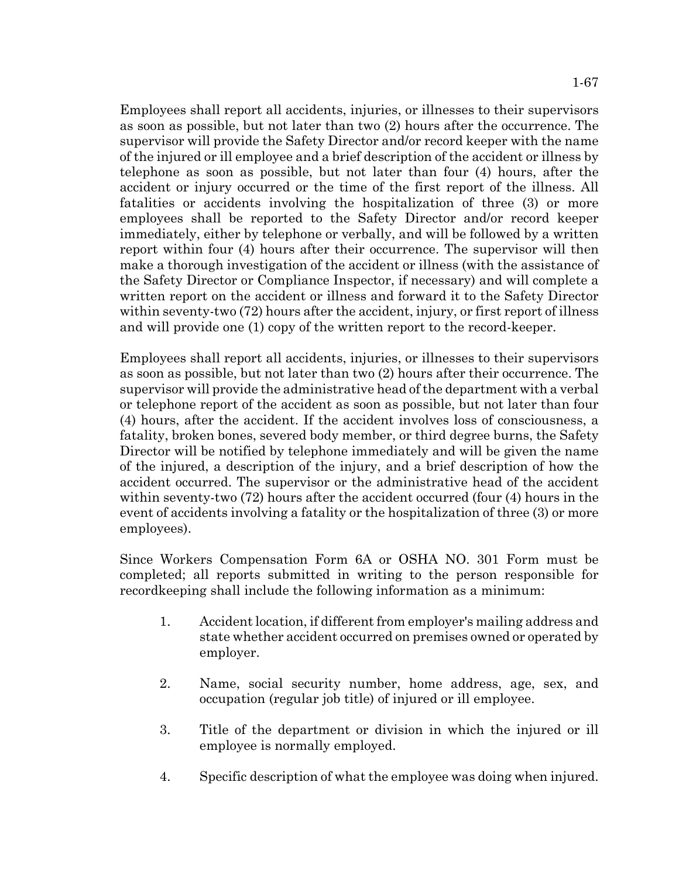Employees shall report all accidents, injuries, or illnesses to their supervisors as soon as possible, but not later than two (2) hours after the occurrence. The supervisor will provide the Safety Director and/or record keeper with the name of the injured or ill employee and a brief description of the accident or illness by telephone as soon as possible, but not later than four (4) hours, after the accident or injury occurred or the time of the first report of the illness. All fatalities or accidents involving the hospitalization of three (3) or more employees shall be reported to the Safety Director and/or record keeper immediately, either by telephone or verbally, and will be followed by a written report within four (4) hours after their occurrence. The supervisor will then make a thorough investigation of the accident or illness (with the assistance of the Safety Director or Compliance Inspector, if necessary) and will complete a written report on the accident or illness and forward it to the Safety Director within seventy-two (72) hours after the accident, injury, or first report of illness and will provide one (1) copy of the written report to the record-keeper.

Employees shall report all accidents, injuries, or illnesses to their supervisors as soon as possible, but not later than two (2) hours after their occurrence. The supervisor will provide the administrative head of the department with a verbal or telephone report of the accident as soon as possible, but not later than four (4) hours, after the accident. If the accident involves loss of consciousness, a fatality, broken bones, severed body member, or third degree burns, the Safety Director will be notified by telephone immediately and will be given the name of the injured, a description of the injury, and a brief description of how the accident occurred. The supervisor or the administrative head of the accident within seventy-two (72) hours after the accident occurred (four (4) hours in the event of accidents involving a fatality or the hospitalization of three (3) or more employees).

Since Workers Compensation Form 6A or OSHA NO. 301 Form must be completed; all reports submitted in writing to the person responsible for recordkeeping shall include the following information as a minimum:

- 1. Accident location, if different from employer's mailing address and state whether accident occurred on premises owned or operated by employer.
- 2. Name, social security number, home address, age, sex, and occupation (regular job title) of injured or ill employee.
- 3. Title of the department or division in which the injured or ill employee is normally employed.
- 4. Specific description of what the employee was doing when injured.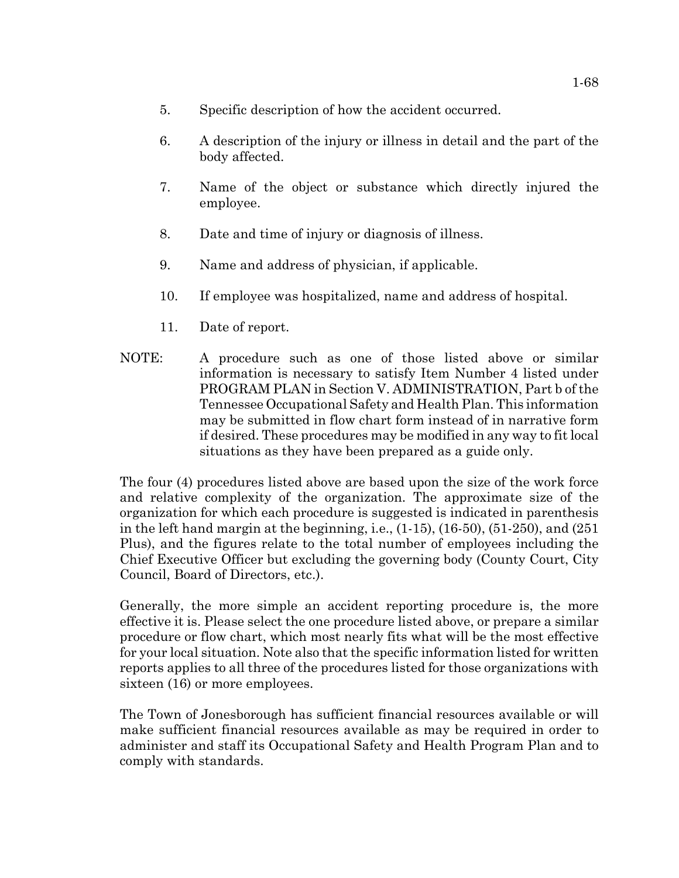- 5. Specific description of how the accident occurred.
- 6. A description of the injury or illness in detail and the part of the body affected.
- 7. Name of the object or substance which directly injured the employee.
- 8. Date and time of injury or diagnosis of illness.
- 9. Name and address of physician, if applicable.
- 10. If employee was hospitalized, name and address of hospital.
- 11. Date of report.
- NOTE: A procedure such as one of those listed above or similar information is necessary to satisfy Item Number 4 listed under PROGRAM PLAN in Section V. ADMINISTRATION, Part b of the Tennessee Occupational Safety and Health Plan. This information may be submitted in flow chart form instead of in narrative form if desired. These procedures may be modified in any way to fit local situations as they have been prepared as a guide only.

The four (4) procedures listed above are based upon the size of the work force and relative complexity of the organization. The approximate size of the organization for which each procedure is suggested is indicated in parenthesis in the left hand margin at the beginning, i.e.,  $(1-15)$ ,  $(16-50)$ ,  $(51-250)$ , and  $(251)$ Plus), and the figures relate to the total number of employees including the Chief Executive Officer but excluding the governing body (County Court, City Council, Board of Directors, etc.).

Generally, the more simple an accident reporting procedure is, the more effective it is. Please select the one procedure listed above, or prepare a similar procedure or flow chart, which most nearly fits what will be the most effective for your local situation. Note also that the specific information listed for written reports applies to all three of the procedures listed for those organizations with sixteen (16) or more employees.

The Town of Jonesborough has sufficient financial resources available or will make sufficient financial resources available as may be required in order to administer and staff its Occupational Safety and Health Program Plan and to comply with standards.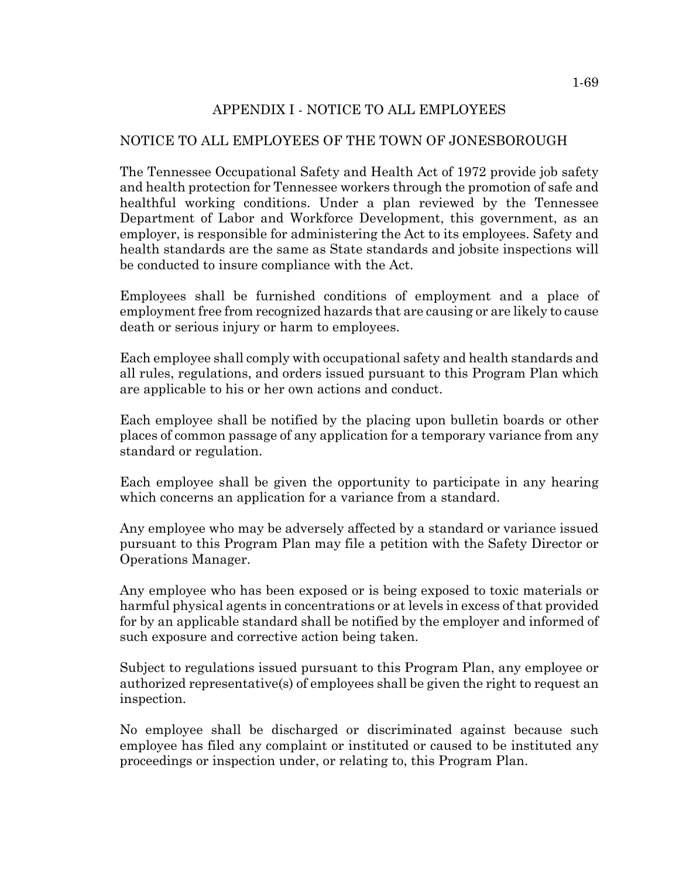# APPENDIX I - NOTICE TO ALL EMPLOYEES

## NOTICE TO ALL EMPLOYEES OF THE TOWN OF JONESBOROUGH

The Tennessee Occupational Safety and Health Act of 1972 provide job safety and health protection for Tennessee workers through the promotion of safe and healthful working conditions. Under a plan reviewed by the Tennessee Department of Labor and Workforce Development, this government, as an employer, is responsible for administering the Act to its employees. Safety and health standards are the same as State standards and jobsite inspections will be conducted to insure compliance with the Act.

Employees shall be furnished conditions of employment and a place of employment free from recognized hazards that are causing or are likely to cause death or serious injury or harm to employees.

Each employee shall comply with occupational safety and health standards and all rules, regulations, and orders issued pursuant to this Program Plan which are applicable to his or her own actions and conduct.

Each employee shall be notified by the placing upon bulletin boards or other places of common passage of any application for a temporary variance from any standard or regulation.

Each employee shall be given the opportunity to participate in any hearing which concerns an application for a variance from a standard.

Any employee who may be adversely affected by a standard or variance issued pursuant to this Program Plan may file a petition with the Safety Director or Operations Manager.

Any employee who has been exposed or is being exposed to toxic materials or harmful physical agents in concentrations or at levels in excess of that provided for by an applicable standard shall be notified by the employer and informed of such exposure and corrective action being taken.

Subject to regulations issued pursuant to this Program Plan, any employee or authorized representative(s) of employees shall be given the right to request an inspection.

No employee shall be discharged or discriminated against because such employee has filed any complaint or instituted or caused to be instituted any proceedings or inspection under, or relating to, this Program Plan.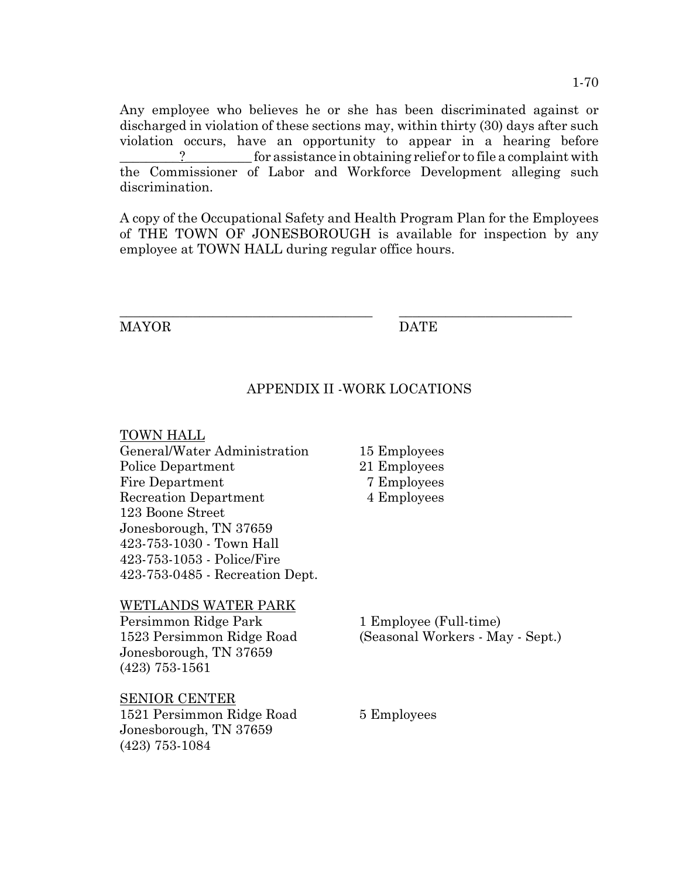Any employee who believes he or she has been discriminated against or discharged in violation of these sections may, within thirty (30) days after such violation occurs, have an opportunity to appear in a hearing before  $\Box$  for assistance in obtaining relief or to file a complaint with the Commissioner of Labor and Workforce Development alleging such discrimination.

A copy of the Occupational Safety and Health Program Plan for the Employees of THE TOWN OF JONESBOROUGH is available for inspection by any employee at TOWN HALL during regular office hours.

\_\_\_\_\_\_\_\_\_\_\_\_\_\_\_\_\_\_\_\_\_\_\_\_\_\_\_\_\_\_\_\_\_\_\_\_\_\_ \_\_\_\_\_\_\_\_\_\_\_\_\_\_\_\_\_\_\_\_\_\_\_\_\_\_

MAYOR DATE

## APPENDIX II -WORK LOCATIONS

## TOWN HALL

| General/Water Administration    |
|---------------------------------|
| Police Department               |
| <b>Fire Department</b>          |
| <b>Recreation Department</b>    |
| 123 Boone Street                |
| Jonesborough, TN 37659          |
| 423-753-1030 - Town Hall        |
| 423-753-1053 - Police/Fire      |
| 423-753-0485 - Recreation Dept. |

## WETLANDS WATER PARK

Persimmon Ridge Park 1 Employee (Full-time) Jonesborough, TN 37659 (423) 753-1561

## SENIOR CENTER

1521 Persimmon Ridge Road 5 Employees Jonesborough, TN 37659 (423) 753-1084

15 Employees

- 21 Employees
- 7 Employees
- 4 Employees

1523 Persimmon Ridge Road (Seasonal Workers - May - Sept.)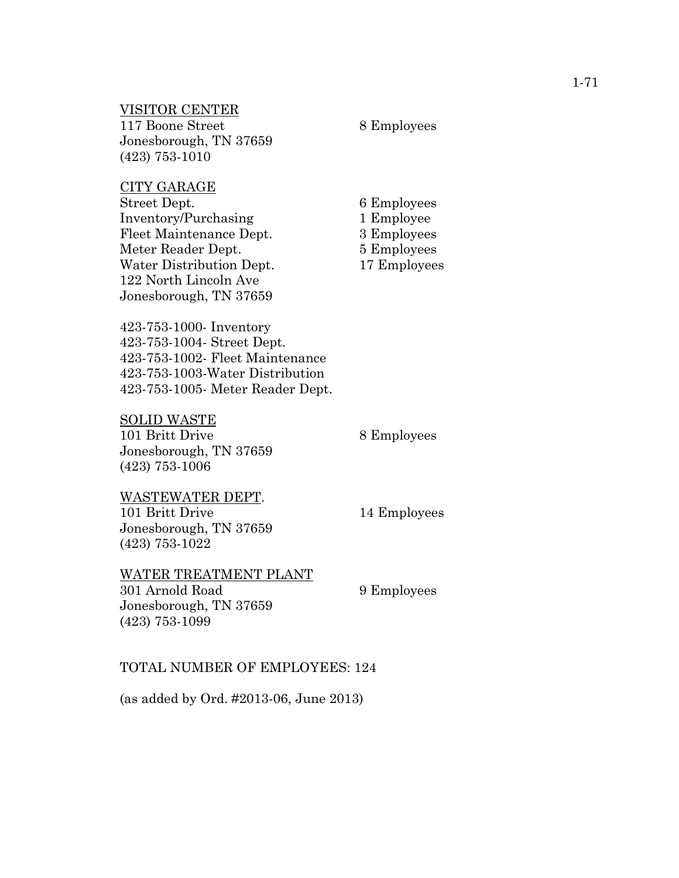### VISITOR CENTER

117 Boone Street 8 Employees Jonesborough, TN 37659 (423) 753-1010

#### CITY GARAGE

Street Dept. 6 Employees Inventory/Purchasing 1 Employee Fleet Maintenance Dept. 3 Employees Meter Reader Dept. 5 Employees Water Distribution Dept. 17 Employees 122 North Lincoln Ave Jonesborough, TN 37659

423-753-1000- Inventory 423-753-1004- Street Dept. 423-753-1002- Fleet Maintenance 423-753-1003-Water Distribution 423-753-1005- Meter Reader Dept.

#### SOLID WASTE

(423) 753-1022

101 Britt Drive 8 Employees Jonesborough, TN 37659 (423) 753-1006

## WASTEWATER DEPT. 101 Britt Drive 14 Employees Jonesborough, TN 37659

# WATER TREATMENT PLANT

301 Arnold Road 9 Employees Jonesborough, TN 37659 (423) 753-1099

## TOTAL NUMBER OF EMPLOYEES: 124

(as added by Ord. #2013-06, June 2013)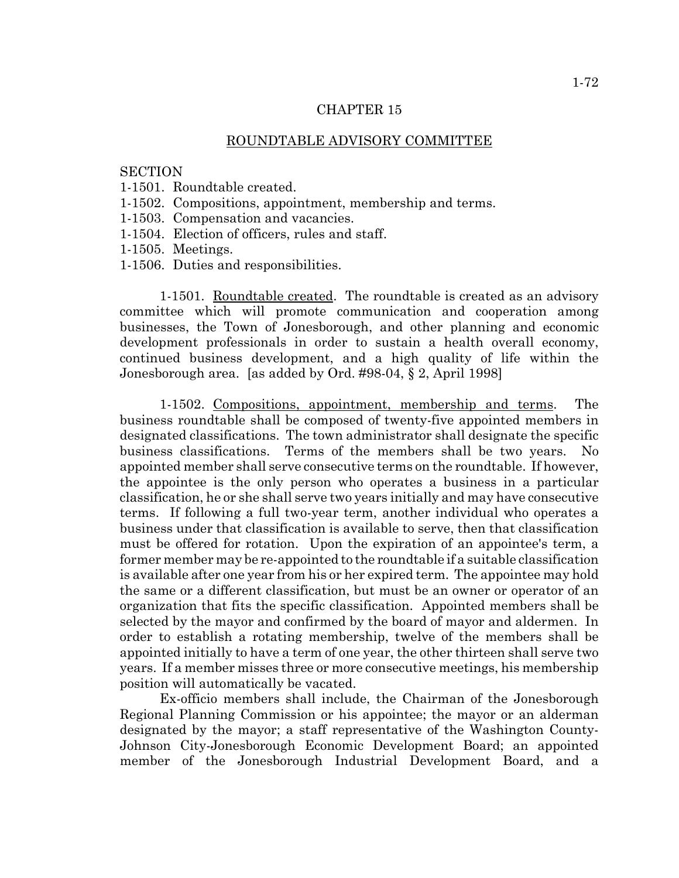### CHAPTER 15

#### ROUNDTABLE ADVISORY COMMITTEE

#### **SECTION**

- 1-1501. Roundtable created.
- 1-1502. Compositions, appointment, membership and terms.
- 1-1503. Compensation and vacancies.
- 1-1504. Election of officers, rules and staff.
- 1-1505. Meetings.
- 1-1506. Duties and responsibilities.

1-1501. Roundtable created. The roundtable is created as an advisory committee which will promote communication and cooperation among businesses, the Town of Jonesborough, and other planning and economic development professionals in order to sustain a health overall economy, continued business development, and a high quality of life within the Jonesborough area. [as added by Ord. #98-04, § 2, April 1998]

1-1502. Compositions, appointment, membership and terms. The business roundtable shall be composed of twenty-five appointed members in designated classifications. The town administrator shall designate the specific business classifications. Terms of the members shall be two years. No appointed member shall serve consecutive terms on the roundtable. If however, the appointee is the only person who operates a business in a particular classification, he or she shall serve two years initially and may have consecutive terms. If following a full two-year term, another individual who operates a business under that classification is available to serve, then that classification must be offered for rotation. Upon the expiration of an appointee's term, a former member may be re-appointed to the roundtable if a suitable classification is available after one year from his or her expired term. The appointee may hold the same or a different classification, but must be an owner or operator of an organization that fits the specific classification. Appointed members shall be selected by the mayor and confirmed by the board of mayor and aldermen. In order to establish a rotating membership, twelve of the members shall be appointed initially to have a term of one year, the other thirteen shall serve two years. If a member misses three or more consecutive meetings, his membership position will automatically be vacated.

Ex-officio members shall include, the Chairman of the Jonesborough Regional Planning Commission or his appointee; the mayor or an alderman designated by the mayor; a staff representative of the Washington County-Johnson City-Jonesborough Economic Development Board; an appointed member of the Jonesborough Industrial Development Board, and a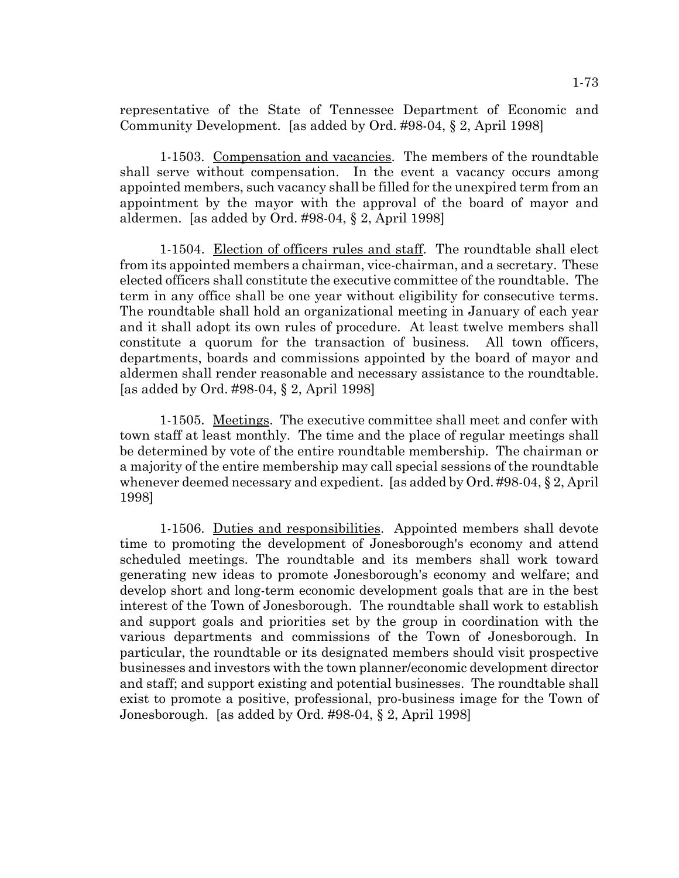representative of the State of Tennessee Department of Economic and Community Development. [as added by Ord. #98-04, § 2, April 1998]

1-1503. Compensation and vacancies. The members of the roundtable shall serve without compensation. In the event a vacancy occurs among appointed members, such vacancy shall be filled for the unexpired term from an appointment by the mayor with the approval of the board of mayor and aldermen. [as added by Ord. #98-04, § 2, April 1998]

1-1504. Election of officers rules and staff. The roundtable shall elect from its appointed members a chairman, vice-chairman, and a secretary. These elected officers shall constitute the executive committee of the roundtable. The term in any office shall be one year without eligibility for consecutive terms. The roundtable shall hold an organizational meeting in January of each year and it shall adopt its own rules of procedure. At least twelve members shall constitute a quorum for the transaction of business. All town officers, departments, boards and commissions appointed by the board of mayor and aldermen shall render reasonable and necessary assistance to the roundtable. [as added by Ord. #98-04, § 2, April 1998]

1-1505. Meetings. The executive committee shall meet and confer with town staff at least monthly. The time and the place of regular meetings shall be determined by vote of the entire roundtable membership. The chairman or a majority of the entire membership may call special sessions of the roundtable whenever deemed necessary and expedient. [as added by Ord. #98-04, § 2, April 1998]

1-1506. Duties and responsibilities. Appointed members shall devote time to promoting the development of Jonesborough's economy and attend scheduled meetings. The roundtable and its members shall work toward generating new ideas to promote Jonesborough's economy and welfare; and develop short and long-term economic development goals that are in the best interest of the Town of Jonesborough. The roundtable shall work to establish and support goals and priorities set by the group in coordination with the various departments and commissions of the Town of Jonesborough. In particular, the roundtable or its designated members should visit prospective businesses and investors with the town planner/economic development director and staff; and support existing and potential businesses. The roundtable shall exist to promote a positive, professional, pro-business image for the Town of Jonesborough. [as added by Ord. #98-04, § 2, April 1998]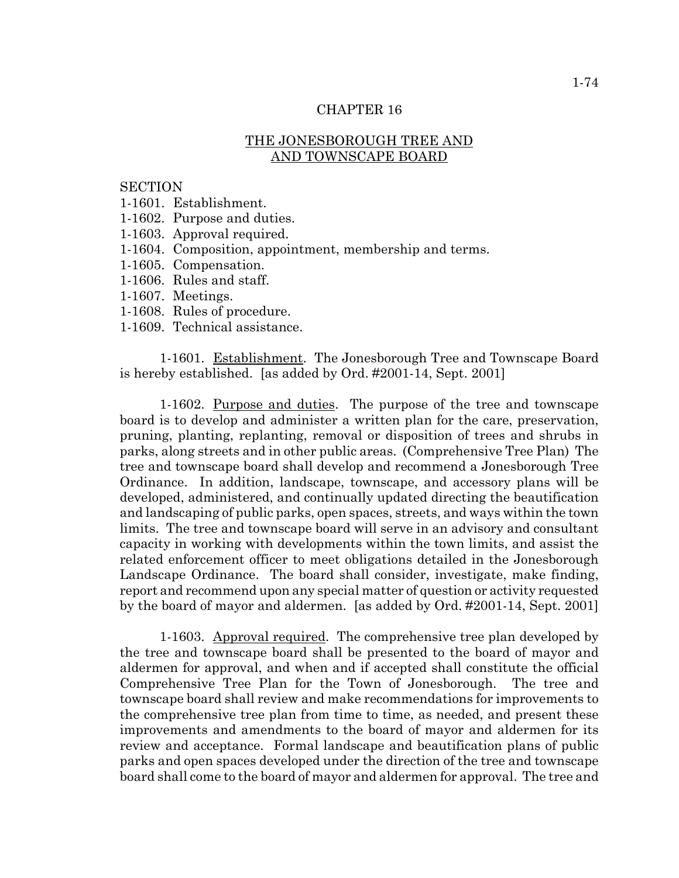# THE JONESBOROUGH TREE AND AND TOWNSCAPE BOARD

#### **SECTION**

- 1-1601. Establishment.
- 1-1602. Purpose and duties.
- 1-1603. Approval required.
- 1-1604. Composition, appointment, membership and terms.
- 1-1605. Compensation.
- 1-1606. Rules and staff.
- 1-1607. Meetings.
- 1-1608. Rules of procedure.
- 1-1609. Technical assistance.

1-1601. Establishment. The Jonesborough Tree and Townscape Board is hereby established. [as added by Ord. #2001-14, Sept. 2001]

1-1602. Purpose and duties. The purpose of the tree and townscape board is to develop and administer a written plan for the care, preservation, pruning, planting, replanting, removal or disposition of trees and shrubs in parks, along streets and in other public areas. (Comprehensive Tree Plan) The tree and townscape board shall develop and recommend a Jonesborough Tree Ordinance. In addition, landscape, townscape, and accessory plans will be developed, administered, and continually updated directing the beautification and landscaping of public parks, open spaces, streets, and ways within the town limits. The tree and townscape board will serve in an advisory and consultant capacity in working with developments within the town limits, and assist the related enforcement officer to meet obligations detailed in the Jonesborough Landscape Ordinance. The board shall consider, investigate, make finding, report and recommend upon any special matter of question or activity requested by the board of mayor and aldermen. [as added by Ord. #2001-14, Sept. 2001]

1-1603. Approval required. The comprehensive tree plan developed by the tree and townscape board shall be presented to the board of mayor and aldermen for approval, and when and if accepted shall constitute the official Comprehensive Tree Plan for the Town of Jonesborough. The tree and townscape board shall review and make recommendations for improvements to the comprehensive tree plan from time to time, as needed, and present these improvements and amendments to the board of mayor and aldermen for its review and acceptance. Formal landscape and beautification plans of public parks and open spaces developed under the direction of the tree and townscape board shall come to the board of mayor and aldermen for approval. The tree and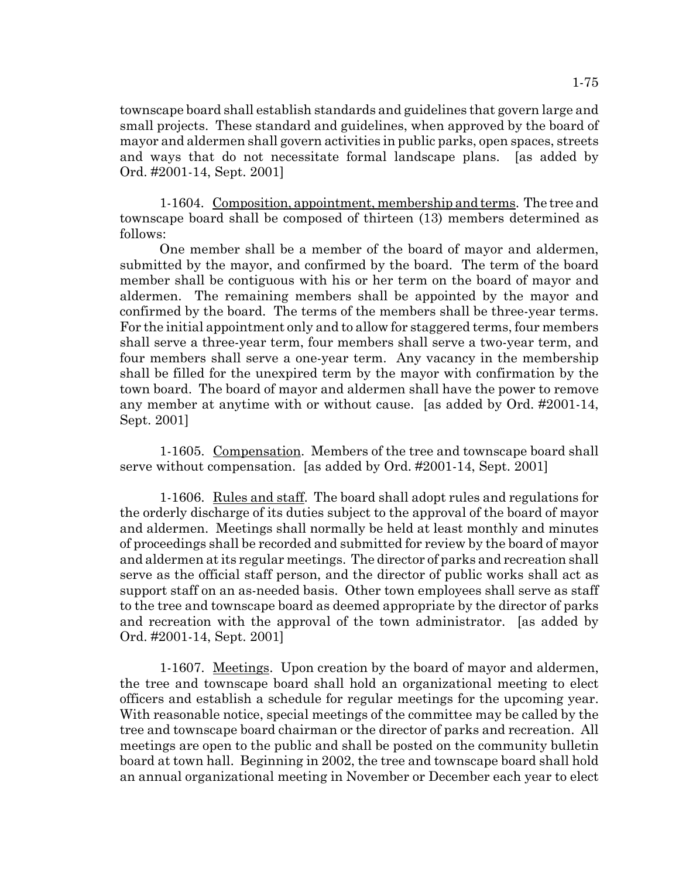townscape board shall establish standards and guidelines that govern large and small projects. These standard and guidelines, when approved by the board of mayor and aldermen shall govern activities in public parks, open spaces, streets and ways that do not necessitate formal landscape plans. [as added by Ord. #2001-14, Sept. 2001]

1-1604. Composition, appointment, membership and terms. The tree and townscape board shall be composed of thirteen (13) members determined as follows:

One member shall be a member of the board of mayor and aldermen, submitted by the mayor, and confirmed by the board. The term of the board member shall be contiguous with his or her term on the board of mayor and aldermen. The remaining members shall be appointed by the mayor and confirmed by the board. The terms of the members shall be three-year terms. For the initial appointment only and to allow for staggered terms, four members shall serve a three-year term, four members shall serve a two-year term, and four members shall serve a one-year term. Any vacancy in the membership shall be filled for the unexpired term by the mayor with confirmation by the town board. The board of mayor and aldermen shall have the power to remove any member at anytime with or without cause. [as added by Ord. #2001-14, Sept. 2001]

1-1605. Compensation. Members of the tree and townscape board shall serve without compensation. [as added by Ord. #2001-14, Sept. 2001]

1-1606. Rules and staff. The board shall adopt rules and regulations for the orderly discharge of its duties subject to the approval of the board of mayor and aldermen. Meetings shall normally be held at least monthly and minutes of proceedings shall be recorded and submitted for review by the board of mayor and aldermen at its regular meetings. The director of parks and recreation shall serve as the official staff person, and the director of public works shall act as support staff on an as-needed basis. Other town employees shall serve as staff to the tree and townscape board as deemed appropriate by the director of parks and recreation with the approval of the town administrator. [as added by Ord. #2001-14, Sept. 2001]

1-1607. Meetings. Upon creation by the board of mayor and aldermen, the tree and townscape board shall hold an organizational meeting to elect officers and establish a schedule for regular meetings for the upcoming year. With reasonable notice, special meetings of the committee may be called by the tree and townscape board chairman or the director of parks and recreation. All meetings are open to the public and shall be posted on the community bulletin board at town hall. Beginning in 2002, the tree and townscape board shall hold an annual organizational meeting in November or December each year to elect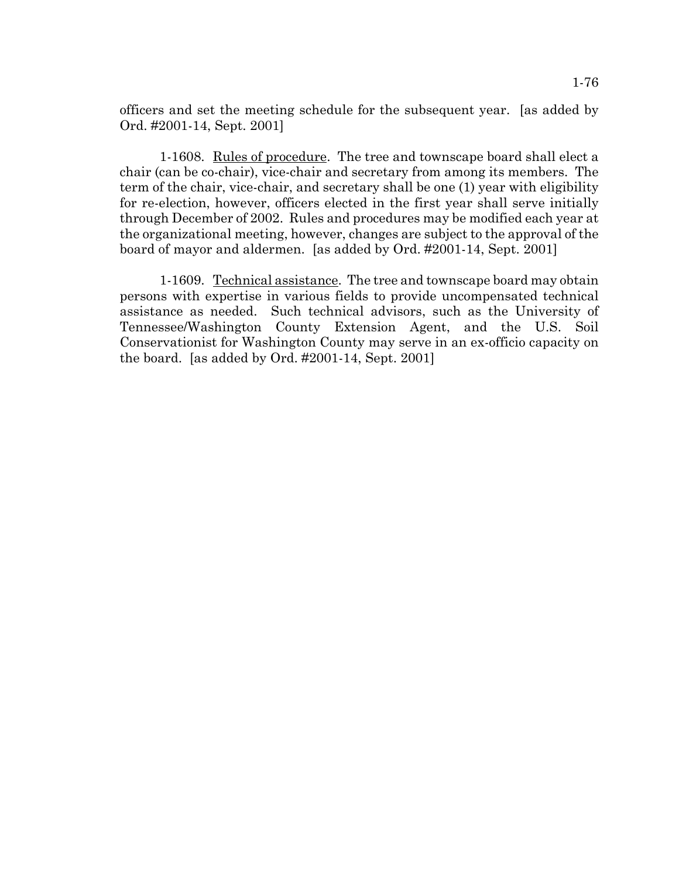officers and set the meeting schedule for the subsequent year. [as added by Ord. #2001-14, Sept. 2001]

1-1608. Rules of procedure. The tree and townscape board shall elect a chair (can be co-chair), vice-chair and secretary from among its members. The term of the chair, vice-chair, and secretary shall be one (1) year with eligibility for re-election, however, officers elected in the first year shall serve initially through December of 2002. Rules and procedures may be modified each year at the organizational meeting, however, changes are subject to the approval of the board of mayor and aldermen. [as added by Ord. #2001-14, Sept. 2001]

1-1609. Technical assistance. The tree and townscape board may obtain persons with expertise in various fields to provide uncompensated technical assistance as needed. Such technical advisors, such as the University of Tennessee/Washington County Extension Agent, and the U.S. Soil Conservationist for Washington County may serve in an ex-officio capacity on the board. [as added by Ord. #2001-14, Sept. 2001]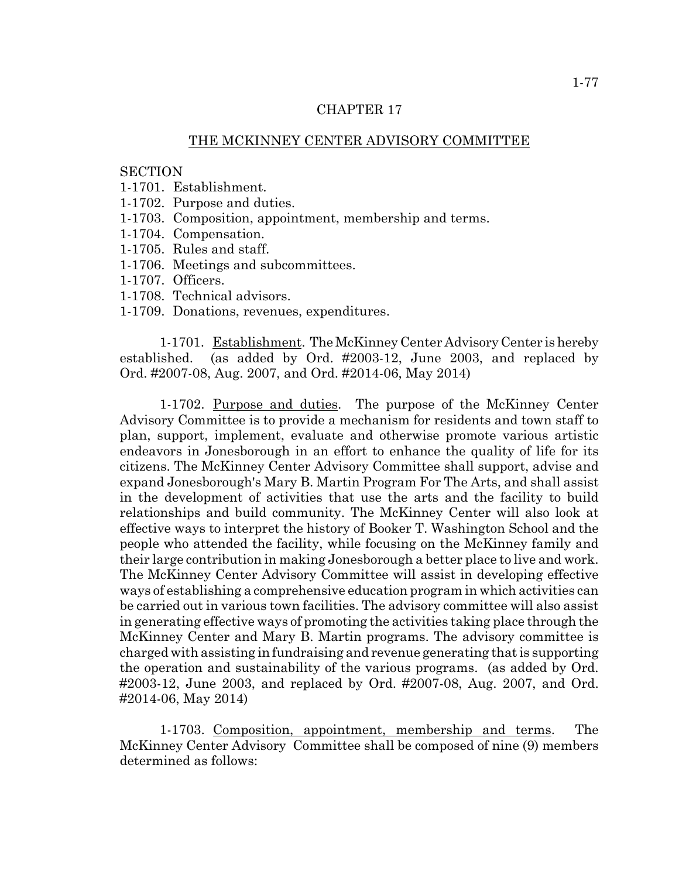## THE MCKINNEY CENTER ADVISORY COMMITTEE

#### **SECTION**

- 1-1701. Establishment.
- 1-1702. Purpose and duties.
- 1-1703. Composition, appointment, membership and terms.
- 1-1704. Compensation.
- 1-1705. Rules and staff.
- 1-1706. Meetings and subcommittees.
- 1-1707. Officers.
- 1-1708. Technical advisors.
- 1-1709. Donations, revenues, expenditures.

1-1701. Establishment. The McKinney Center Advisory Center is hereby established. (as added by Ord. #2003-12, June 2003, and replaced by Ord. #2007-08, Aug. 2007, and Ord. #2014-06, May 2014)

1-1702. Purpose and duties. The purpose of the McKinney Center Advisory Committee is to provide a mechanism for residents and town staff to plan, support, implement, evaluate and otherwise promote various artistic endeavors in Jonesborough in an effort to enhance the quality of life for its citizens. The McKinney Center Advisory Committee shall support, advise and expand Jonesborough's Mary B. Martin Program For The Arts, and shall assist in the development of activities that use the arts and the facility to build relationships and build community. The McKinney Center will also look at effective ways to interpret the history of Booker T. Washington School and the people who attended the facility, while focusing on the McKinney family and their large contribution in making Jonesborough a better place to live and work. The McKinney Center Advisory Committee will assist in developing effective ways of establishing a comprehensive education program in which activities can be carried out in various town facilities. The advisory committee will also assist in generating effective ways of promoting the activities taking place through the McKinney Center and Mary B. Martin programs. The advisory committee is charged with assisting in fundraising and revenue generating that is supporting the operation and sustainability of the various programs. (as added by Ord. #2003-12, June 2003, and replaced by Ord. #2007-08, Aug. 2007, and Ord. #2014-06, May 2014)

1-1703. Composition, appointment, membership and terms. The McKinney Center Advisory Committee shall be composed of nine (9) members determined as follows: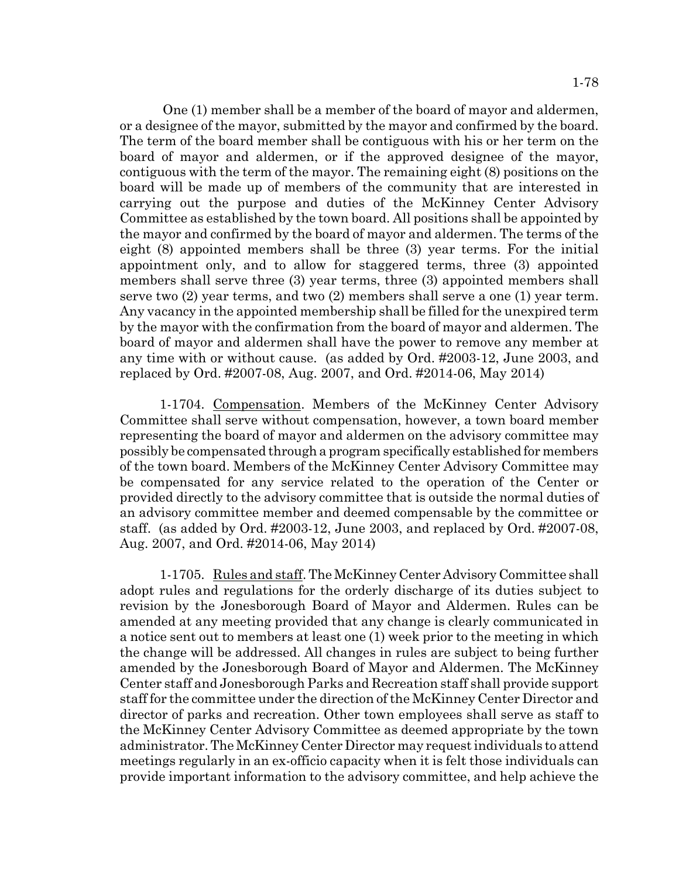1-78

 One (1) member shall be a member of the board of mayor and aldermen, or a designee of the mayor, submitted by the mayor and confirmed by the board. The term of the board member shall be contiguous with his or her term on the board of mayor and aldermen, or if the approved designee of the mayor, contiguous with the term of the mayor. The remaining eight (8) positions on the board will be made up of members of the community that are interested in carrying out the purpose and duties of the McKinney Center Advisory Committee as established by the town board. All positions shall be appointed by the mayor and confirmed by the board of mayor and aldermen. The terms of the eight (8) appointed members shall be three (3) year terms. For the initial appointment only, and to allow for staggered terms, three (3) appointed members shall serve three (3) year terms, three (3) appointed members shall serve two (2) year terms, and two (2) members shall serve a one (1) year term. Any vacancy in the appointed membership shall be filled for the unexpired term by the mayor with the confirmation from the board of mayor and aldermen. The board of mayor and aldermen shall have the power to remove any member at any time with or without cause. (as added by Ord. #2003-12, June 2003, and replaced by Ord. #2007-08, Aug. 2007, and Ord. #2014-06, May 2014)

1-1704. Compensation. Members of the McKinney Center Advisory Committee shall serve without compensation, however, a town board member representing the board of mayor and aldermen on the advisory committee may possibly be compensated through a program specifically established for members of the town board. Members of the McKinney Center Advisory Committee may be compensated for any service related to the operation of the Center or provided directly to the advisory committee that is outside the normal duties of an advisory committee member and deemed compensable by the committee or staff. (as added by Ord. #2003-12, June 2003, and replaced by Ord. #2007-08, Aug. 2007, and Ord. #2014-06, May 2014)

1-1705. Rules and staff. The McKinney Center Advisory Committee shall adopt rules and regulations for the orderly discharge of its duties subject to revision by the Jonesborough Board of Mayor and Aldermen. Rules can be amended at any meeting provided that any change is clearly communicated in a notice sent out to members at least one (1) week prior to the meeting in which the change will be addressed. All changes in rules are subject to being further amended by the Jonesborough Board of Mayor and Aldermen. The McKinney Center staff and Jonesborough Parks and Recreation staff shall provide support staff for the committee under the direction of the McKinney Center Director and director of parks and recreation. Other town employees shall serve as staff to the McKinney Center Advisory Committee as deemed appropriate by the town administrator. The McKinney Center Director may request individuals to attend meetings regularly in an ex-officio capacity when it is felt those individuals can provide important information to the advisory committee, and help achieve the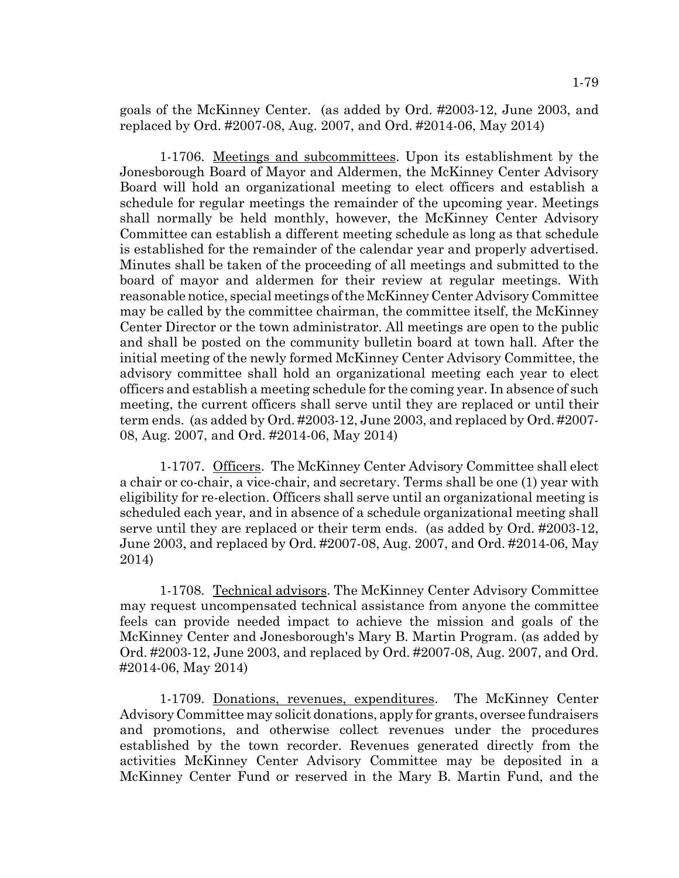goals of the McKinney Center. (as added by Ord. #2003-12, June 2003, and replaced by Ord. #2007-08, Aug. 2007, and Ord. #2014-06, May 2014)

1-1706. Meetings and subcommittees. Upon its establishment by the Jonesborough Board of Mayor and Aldermen, the McKinney Center Advisory Board will hold an organizational meeting to elect officers and establish a schedule for regular meetings the remainder of the upcoming year. Meetings shall normally be held monthly, however, the McKinney Center Advisory Committee can establish a different meeting schedule as long as that schedule is established for the remainder of the calendar year and properly advertised. Minutes shall be taken of the proceeding of all meetings and submitted to the board of mayor and aldermen for their review at regular meetings. With reasonable notice, special meetings of the McKinney Center Advisory Committee may be called by the committee chairman, the committee itself, the McKinney Center Director or the town administrator. All meetings are open to the public and shall be posted on the community bulletin board at town hall. After the initial meeting of the newly formed McKinney Center Advisory Committee, the advisory committee shall hold an organizational meeting each year to elect officers and establish a meeting schedule for the coming year. In absence of such meeting, the current officers shall serve until they are replaced or until their term ends. (as added by Ord. #2003-12, June 2003, and replaced by Ord. #2007- 08, Aug. 2007, and Ord. #2014-06, May 2014)

1-1707. Officers. The McKinney Center Advisory Committee shall elect a chair or co-chair, a vice-chair, and secretary. Terms shall be one (1) year with eligibility for re-election. Officers shall serve until an organizational meeting is scheduled each year, and in absence of a schedule organizational meeting shall serve until they are replaced or their term ends. (as added by Ord. #2003-12, June 2003, and replaced by Ord. #2007-08, Aug. 2007, and Ord. #2014-06, May 2014)

1-1708. Technical advisors. The McKinney Center Advisory Committee may request uncompensated technical assistance from anyone the committee feels can provide needed impact to achieve the mission and goals of the McKinney Center and Jonesborough's Mary B. Martin Program. (as added by Ord. #2003-12, June 2003, and replaced by Ord. #2007-08, Aug. 2007, and Ord. #2014-06, May 2014)

1-1709. Donations, revenues, expenditures. The McKinney Center Advisory Committee may solicit donations, apply for grants, oversee fundraisers and promotions, and otherwise collect revenues under the procedures established by the town recorder. Revenues generated directly from the activities McKinney Center Advisory Committee may be deposited in a McKinney Center Fund or reserved in the Mary B. Martin Fund, and the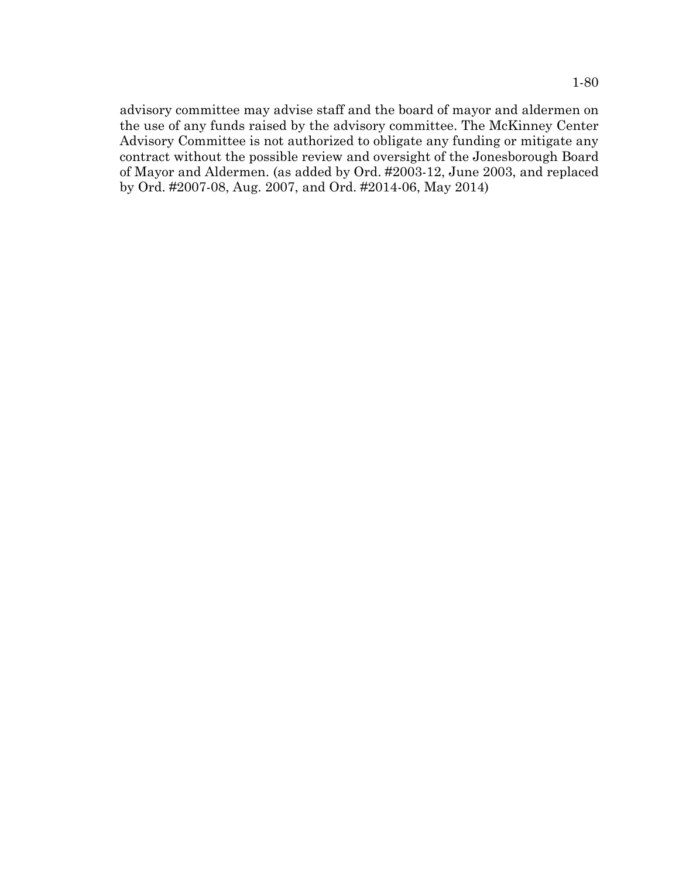advisory committee may advise staff and the board of mayor and aldermen on the use of any funds raised by the advisory committee. The McKinney Center Advisory Committee is not authorized to obligate any funding or mitigate any contract without the possible review and oversight of the Jonesborough Board of Mayor and Aldermen. (as added by Ord. #2003-12, June 2003, and replaced by Ord. #2007-08, Aug. 2007, and Ord. #2014-06, May 2014)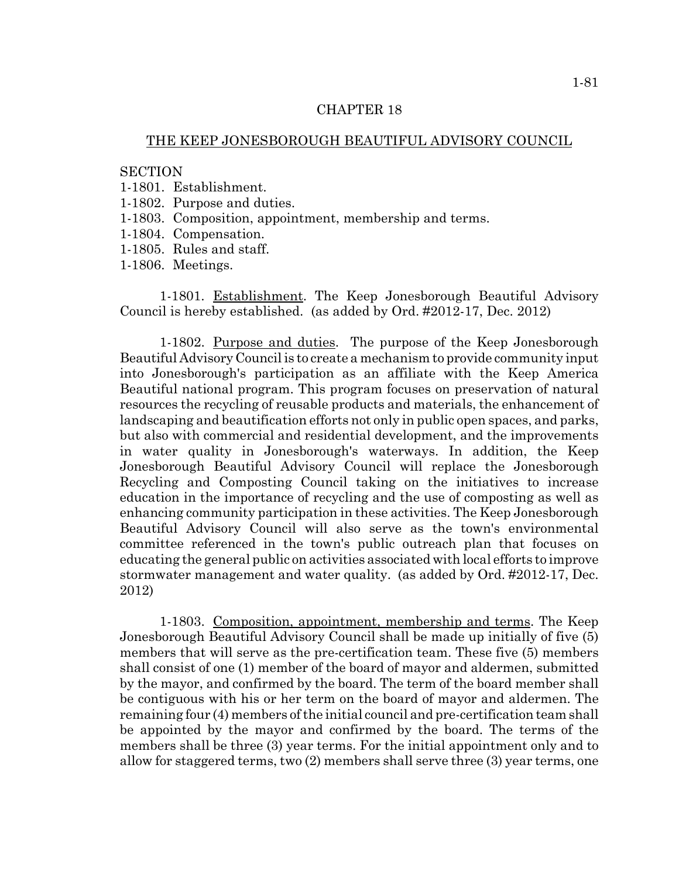## THE KEEP JONESBOROUGH BEAUTIFUL ADVISORY COUNCIL

#### **SECTION**

- 1-1801. Establishment.
- 1-1802. Purpose and duties.
- 1-1803. Composition, appointment, membership and terms.
- 1-1804. Compensation.
- 1-1805. Rules and staff.
- 1-1806. Meetings.

1-1801. Establishment. The Keep Jonesborough Beautiful Advisory Council is hereby established. (as added by Ord. #2012-17, Dec. 2012)

1-1802. Purpose and duties. The purpose of the Keep Jonesborough Beautiful Advisory Council is to create a mechanism to provide community input into Jonesborough's participation as an affiliate with the Keep America Beautiful national program. This program focuses on preservation of natural resources the recycling of reusable products and materials, the enhancement of landscaping and beautification efforts not only in public open spaces, and parks, but also with commercial and residential development, and the improvements in water quality in Jonesborough's waterways. In addition, the Keep Jonesborough Beautiful Advisory Council will replace the Jonesborough Recycling and Composting Council taking on the initiatives to increase education in the importance of recycling and the use of composting as well as enhancing community participation in these activities. The Keep Jonesborough Beautiful Advisory Council will also serve as the town's environmental committee referenced in the town's public outreach plan that focuses on educating the general public on activities associated with local efforts to improve stormwater management and water quality. (as added by Ord. #2012-17, Dec. 2012)

1-1803. Composition, appointment, membership and terms. The Keep Jonesborough Beautiful Advisory Council shall be made up initially of five (5) members that will serve as the pre-certification team. These five (5) members shall consist of one (1) member of the board of mayor and aldermen, submitted by the mayor, and confirmed by the board. The term of the board member shall be contiguous with his or her term on the board of mayor and aldermen. The remaining four (4) members of the initial council and pre-certification team shall be appointed by the mayor and confirmed by the board. The terms of the members shall be three (3) year terms. For the initial appointment only and to allow for staggered terms, two (2) members shall serve three (3) year terms, one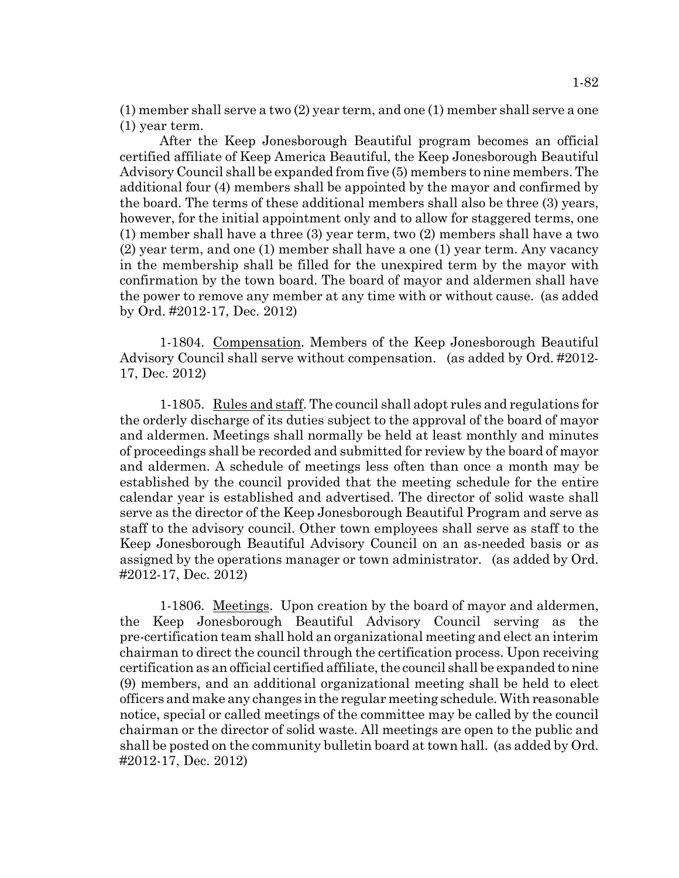(1) member shall serve a two (2) year term, and one (1) member shall serve a one (1) year term.

After the Keep Jonesborough Beautiful program becomes an official certified affiliate of Keep America Beautiful, the Keep Jonesborough Beautiful Advisory Council shall be expanded from five (5) members to nine members. The additional four (4) members shall be appointed by the mayor and confirmed by the board. The terms of these additional members shall also be three (3) years, however, for the initial appointment only and to allow for staggered terms, one (1) member shall have a three (3) year term, two (2) members shall have a two (2) year term, and one (1) member shall have a one (1) year term. Any vacancy in the membership shall be filled for the unexpired term by the mayor with confirmation by the town board. The board of mayor and aldermen shall have the power to remove any member at any time with or without cause. (as added by Ord. #2012-17, Dec. 2012)

1-1804. Compensation. Members of the Keep Jonesborough Beautiful Advisory Council shall serve without compensation. (as added by Ord. #2012- 17, Dec. 2012)

1-1805. Rules and staff. The council shall adopt rules and regulations for the orderly discharge of its duties subject to the approval of the board of mayor and aldermen. Meetings shall normally be held at least monthly and minutes of proceedings shall be recorded and submitted for review by the board of mayor and aldermen. A schedule of meetings less often than once a month may be established by the council provided that the meeting schedule for the entire calendar year is established and advertised. The director of solid waste shall serve as the director of the Keep Jonesborough Beautiful Program and serve as staff to the advisory council. Other town employees shall serve as staff to the Keep Jonesborough Beautiful Advisory Council on an as-needed basis or as assigned by the operations manager or town administrator. (as added by Ord. #2012-17, Dec. 2012)

1-1806. Meetings. Upon creation by the board of mayor and aldermen, the Keep Jonesborough Beautiful Advisory Council serving as the pre-certification team shall hold an organizational meeting and elect an interim chairman to direct the council through the certification process. Upon receiving certification as an official certified affiliate, the council shall be expanded to nine (9) members, and an additional organizational meeting shall be held to elect officers and make any changes in the regular meeting schedule. With reasonable notice, special or called meetings of the committee may be called by the council chairman or the director of solid waste. All meetings are open to the public and shall be posted on the community bulletin board at town hall. (as added by Ord. #2012-17, Dec. 2012)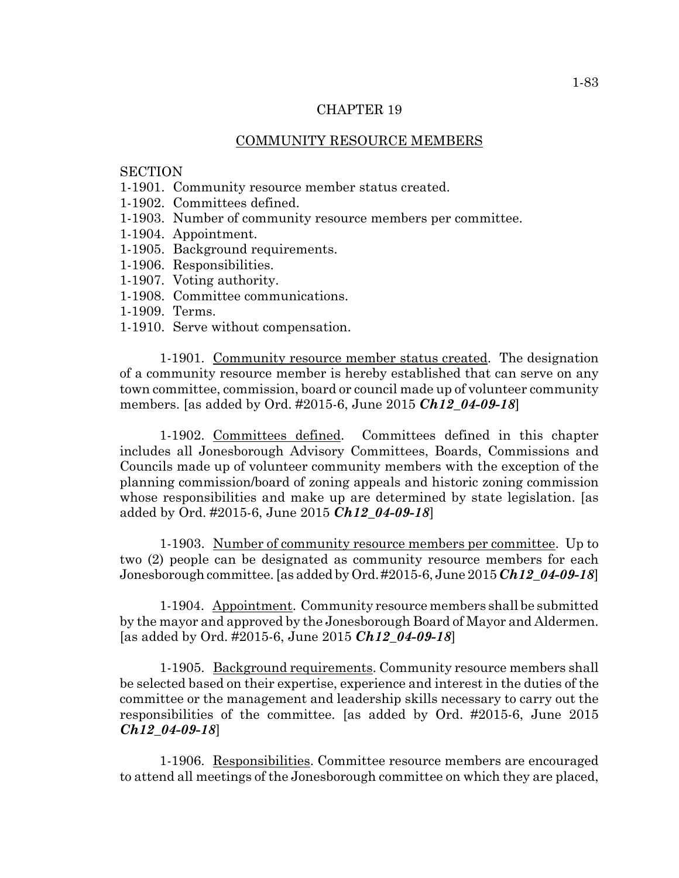## COMMUNITY RESOURCE MEMBERS

# **SECTION**

- 1-1901. Community resource member status created.
- 1-1902. Committees defined.
- 1-1903. Number of community resource members per committee.
- 1-1904. Appointment.
- 1-1905. Background requirements.
- 1-1906. Responsibilities.
- 1-1907. Voting authority.
- 1-1908. Committee communications.
- 1-1909. Terms.
- 1-1910. Serve without compensation.

1-1901. Community resource member status created. The designation of a community resource member is hereby established that can serve on any town committee, commission, board or council made up of volunteer community members. [as added by Ord. #2015-6, June 2015 *Ch12\_04-09-18*]

1-1902. Committees defined. Committees defined in this chapter includes all Jonesborough Advisory Committees, Boards, Commissions and Councils made up of volunteer community members with the exception of the planning commission/board of zoning appeals and historic zoning commission whose responsibilities and make up are determined by state legislation. [as added by Ord. #2015-6, June 2015 *Ch12\_04-09-18*]

1-1903. Number of community resource members per committee. Up to two (2) people can be designated as community resource members for each Jonesborough committee. [as added by Ord. #2015-6, June 2015 *Ch12\_04-09-18*]

1-1904. Appointment. Community resource members shall be submitted by the mayor and approved by the Jonesborough Board of Mayor and Aldermen. [as added by Ord. #2015-6, June 2015 *Ch12\_04-09-18*]

1-1905. Background requirements. Community resource members shall be selected based on their expertise, experience and interest in the duties of the committee or the management and leadership skills necessary to carry out the responsibilities of the committee. [as added by Ord. #2015-6, June 2015 *Ch12\_04-09-18*]

1-1906. Responsibilities. Committee resource members are encouraged to attend all meetings of the Jonesborough committee on which they are placed,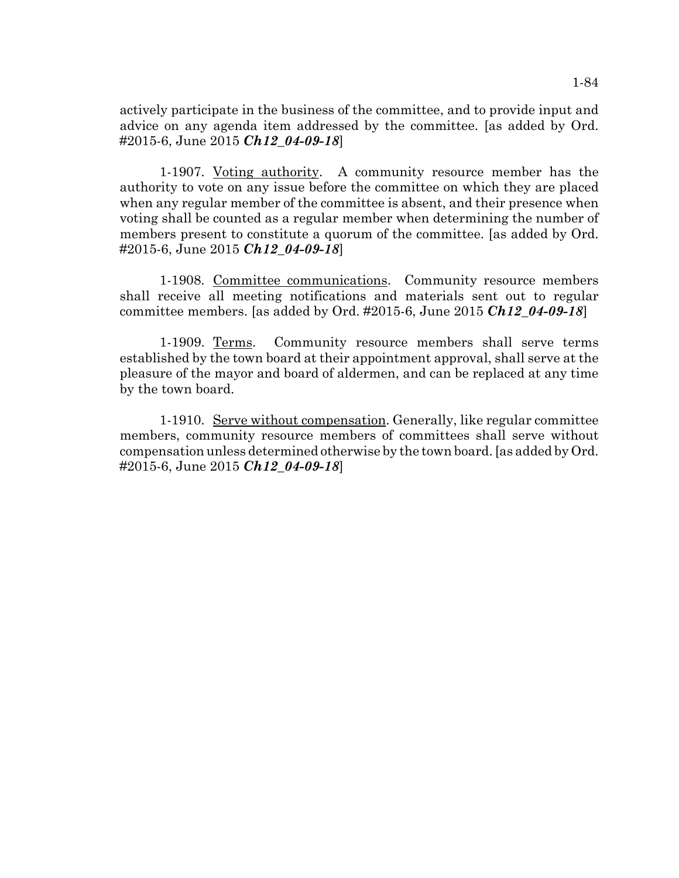actively participate in the business of the committee, and to provide input and advice on any agenda item addressed by the committee. [as added by Ord. #2015-6, June 2015 *Ch12\_04-09-18*]

1-1907. Voting authority. A community resource member has the authority to vote on any issue before the committee on which they are placed when any regular member of the committee is absent, and their presence when voting shall be counted as a regular member when determining the number of members present to constitute a quorum of the committee. [as added by Ord. #2015-6, June 2015 *Ch12\_04-09-18*]

1-1908. Committee communications. Community resource members shall receive all meeting notifications and materials sent out to regular committee members. [as added by Ord. #2015-6, June 2015 *Ch12\_04-09-18*]

1-1909. Terms. Community resource members shall serve terms established by the town board at their appointment approval, shall serve at the pleasure of the mayor and board of aldermen, and can be replaced at any time by the town board.

1-1910. Serve without compensation. Generally, like regular committee members, community resource members of committees shall serve without compensation unless determined otherwise by the town board. [as added by Ord. #2015-6, June 2015 *Ch12\_04-09-18*]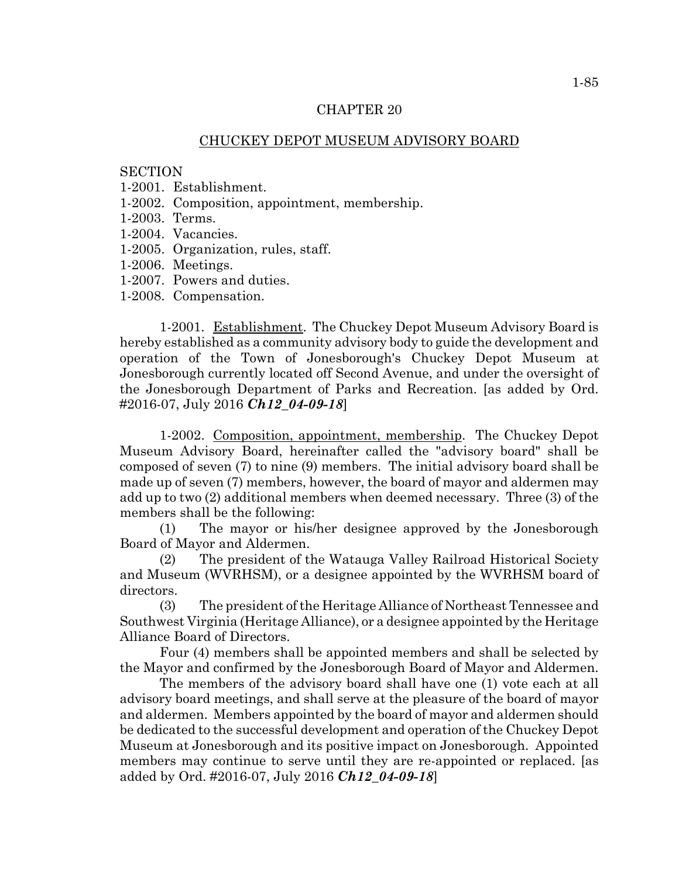# CHUCKEY DEPOT MUSEUM ADVISORY BOARD

### **SECTION**

- 1-2001. Establishment.
- 1-2002. Composition, appointment, membership.
- 1-2003. Terms.
- 1-2004. Vacancies.
- 1-2005. Organization, rules, staff.
- 1-2006. Meetings.
- 1-2007. Powers and duties.
- 1-2008. Compensation.

1-2001. Establishment. The Chuckey Depot Museum Advisory Board is hereby established as a community advisory body to guide the development and operation of the Town of Jonesborough's Chuckey Depot Museum at Jonesborough currently located off Second Avenue, and under the oversight of the Jonesborough Department of Parks and Recreation. [as added by Ord. #2016-07, July 2016 *Ch12\_04-09-18*]

1-2002. Composition, appointment, membership. The Chuckey Depot Museum Advisory Board, hereinafter called the "advisory board" shall be composed of seven (7) to nine (9) members. The initial advisory board shall be made up of seven (7) members, however, the board of mayor and aldermen may add up to two (2) additional members when deemed necessary. Three (3) of the members shall be the following:

(1) The mayor or his/her designee approved by the Jonesborough Board of Mayor and Aldermen.

(2) The president of the Watauga Valley Railroad Historical Society and Museum (WVRHSM), or a designee appointed by the WVRHSM board of directors.

(3) The president of the Heritage Alliance of Northeast Tennessee and Southwest Virginia (Heritage Alliance), or a designee appointed by the Heritage Alliance Board of Directors.

Four (4) members shall be appointed members and shall be selected by the Mayor and confirmed by the Jonesborough Board of Mayor and Aldermen.

The members of the advisory board shall have one (1) vote each at all advisory board meetings, and shall serve at the pleasure of the board of mayor and aldermen. Members appointed by the board of mayor and aldermen should be dedicated to the successful development and operation of the Chuckey Depot Museum at Jonesborough and its positive impact on Jonesborough. Appointed members may continue to serve until they are re-appointed or replaced. [as added by Ord. #2016-07, July 2016 *Ch12\_04-09-18*]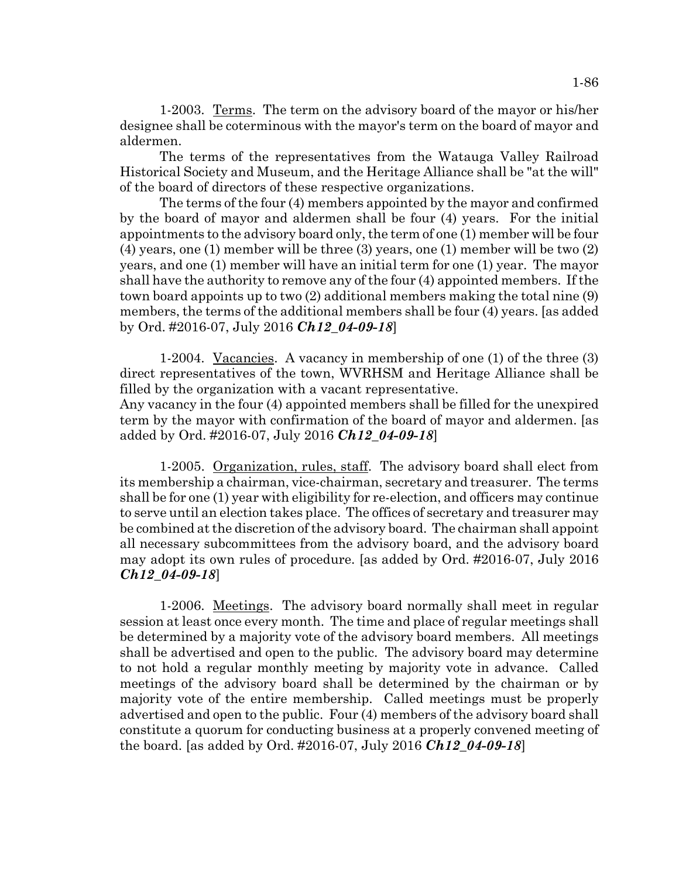1-2003. Terms. The term on the advisory board of the mayor or his/her designee shall be coterminous with the mayor's term on the board of mayor and aldermen.

The terms of the representatives from the Watauga Valley Railroad Historical Society and Museum, and the Heritage Alliance shall be "at the will" of the board of directors of these respective organizations.

The terms of the four (4) members appointed by the mayor and confirmed by the board of mayor and aldermen shall be four (4) years. For the initial appointments to the advisory board only, the term of one (1) member will be four (4) years, one (1) member will be three (3) years, one (1) member will be two (2) years, and one (1) member will have an initial term for one (1) year. The mayor shall have the authority to remove any of the four (4) appointed members. If the town board appoints up to two (2) additional members making the total nine (9) members, the terms of the additional members shall be four (4) years. [as added by Ord. #2016-07, July 2016 *Ch12\_04-09-18*]

1-2004. Vacancies. A vacancy in membership of one (1) of the three (3) direct representatives of the town, WVRHSM and Heritage Alliance shall be filled by the organization with a vacant representative.

Any vacancy in the four (4) appointed members shall be filled for the unexpired term by the mayor with confirmation of the board of mayor and aldermen. [as added by Ord. #2016-07, July 2016 *Ch12\_04-09-18*]

1-2005. Organization, rules, staff. The advisory board shall elect from its membership a chairman, vice-chairman, secretary and treasurer. The terms shall be for one (1) year with eligibility for re-election, and officers may continue to serve until an election takes place. The offices of secretary and treasurer may be combined at the discretion of the advisory board. The chairman shall appoint all necessary subcommittees from the advisory board, and the advisory board may adopt its own rules of procedure. [as added by Ord. #2016-07, July 2016 *Ch12\_04-09-18*]

1-2006. Meetings. The advisory board normally shall meet in regular session at least once every month. The time and place of regular meetings shall be determined by a majority vote of the advisory board members. All meetings shall be advertised and open to the public. The advisory board may determine to not hold a regular monthly meeting by majority vote in advance. Called meetings of the advisory board shall be determined by the chairman or by majority vote of the entire membership. Called meetings must be properly advertised and open to the public. Four (4) members of the advisory board shall constitute a quorum for conducting business at a properly convened meeting of the board. [as added by Ord. #2016-07, July 2016 *Ch12\_04-09-18*]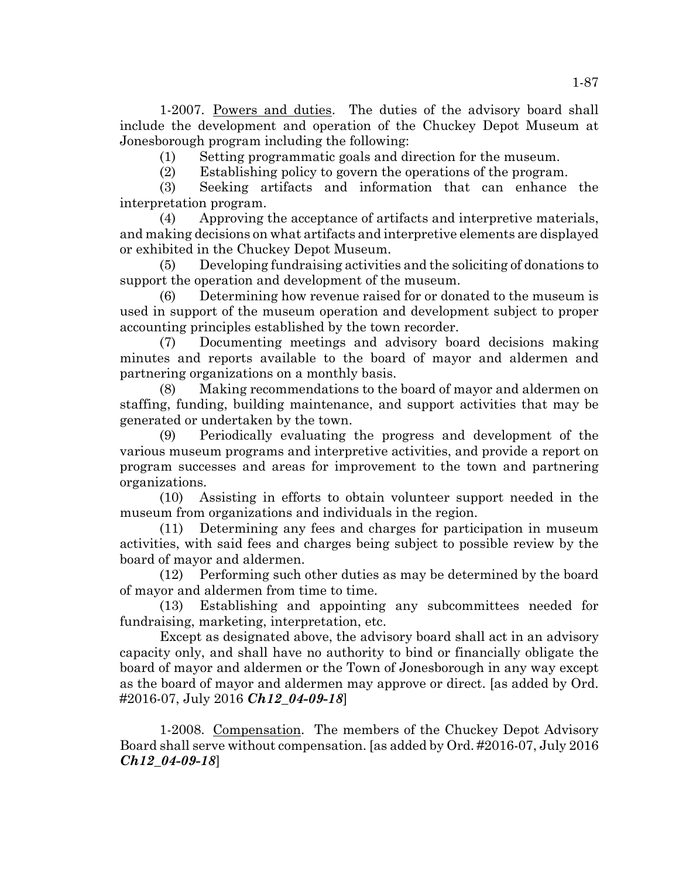1-2007. Powers and duties. The duties of the advisory board shall include the development and operation of the Chuckey Depot Museum at Jonesborough program including the following:

(1) Setting programmatic goals and direction for the museum.

(2) Establishing policy to govern the operations of the program.

(3) Seeking artifacts and information that can enhance the interpretation program.

(4) Approving the acceptance of artifacts and interpretive materials, and making decisions on what artifacts and interpretive elements are displayed or exhibited in the Chuckey Depot Museum.

(5) Developing fundraising activities and the soliciting of donations to support the operation and development of the museum.

(6) Determining how revenue raised for or donated to the museum is used in support of the museum operation and development subject to proper accounting principles established by the town recorder.

(7) Documenting meetings and advisory board decisions making minutes and reports available to the board of mayor and aldermen and partnering organizations on a monthly basis.

(8) Making recommendations to the board of mayor and aldermen on staffing, funding, building maintenance, and support activities that may be generated or undertaken by the town.

(9) Periodically evaluating the progress and development of the various museum programs and interpretive activities, and provide a report on program successes and areas for improvement to the town and partnering organizations.

(10) Assisting in efforts to obtain volunteer support needed in the museum from organizations and individuals in the region.

(11) Determining any fees and charges for participation in museum activities, with said fees and charges being subject to possible review by the board of mayor and aldermen.

(12) Performing such other duties as may be determined by the board of mayor and aldermen from time to time.

(13) Establishing and appointing any subcommittees needed for fundraising, marketing, interpretation, etc.

Except as designated above, the advisory board shall act in an advisory capacity only, and shall have no authority to bind or financially obligate the board of mayor and aldermen or the Town of Jonesborough in any way except as the board of mayor and aldermen may approve or direct. [as added by Ord. #2016-07, July 2016 *Ch12\_04-09-18*]

1-2008. Compensation. The members of the Chuckey Depot Advisory Board shall serve without compensation. [as added by Ord. #2016-07, July 2016 *Ch12\_04-09-18*]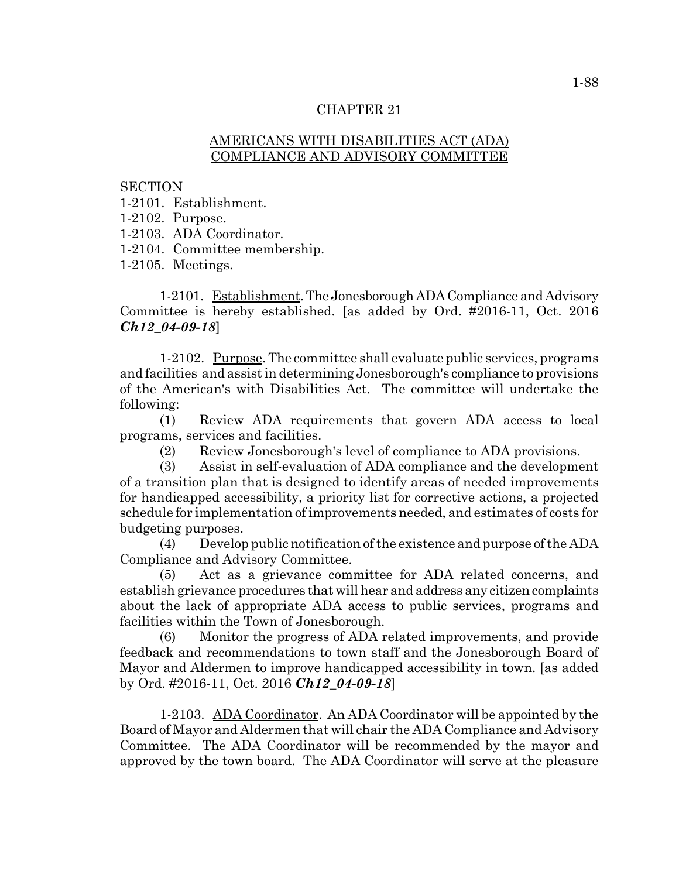# AMERICANS WITH DISABILITIES ACT (ADA) COMPLIANCE AND ADVISORY COMMITTEE

**SECTION** 

- 1-2101. Establishment.
- 1-2102. Purpose.
- 1-2103. ADA Coordinator.
- 1-2104. Committee membership.
- 1-2105. Meetings.

1-2101. Establishment. The Jonesborough ADA Compliance and Advisory Committee is hereby established. [as added by Ord. #2016-11, Oct. 2016 *Ch12\_04-09-18*]

1-2102. Purpose. The committee shall evaluate public services, programs and facilities and assist in determining Jonesborough's compliance to provisions of the American's with Disabilities Act. The committee will undertake the following:

(1) Review ADA requirements that govern ADA access to local programs, services and facilities.

(2) Review Jonesborough's level of compliance to ADA provisions.

(3) Assist in self-evaluation of ADA compliance and the development of a transition plan that is designed to identify areas of needed improvements for handicapped accessibility, a priority list for corrective actions, a projected schedule for implementation of improvements needed, and estimates of costs for budgeting purposes.

(4) Develop public notification of the existence and purpose of the ADA Compliance and Advisory Committee.

(5) Act as a grievance committee for ADA related concerns, and establish grievance procedures that will hear and address any citizen complaints about the lack of appropriate ADA access to public services, programs and facilities within the Town of Jonesborough.

(6) Monitor the progress of ADA related improvements, and provide feedback and recommendations to town staff and the Jonesborough Board of Mayor and Aldermen to improve handicapped accessibility in town. [as added by Ord. #2016-11, Oct. 2016 *Ch12\_04-09-18*]

1-2103. ADA Coordinator. An ADA Coordinator will be appointed by the Board of Mayor and Aldermen that will chair the ADA Compliance and Advisory Committee. The ADA Coordinator will be recommended by the mayor and approved by the town board. The ADA Coordinator will serve at the pleasure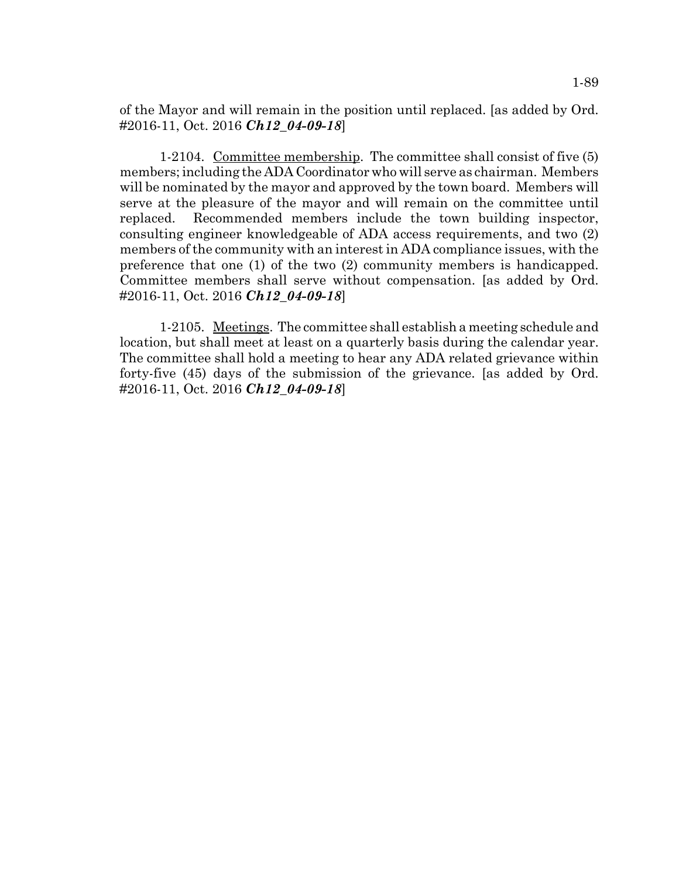of the Mayor and will remain in the position until replaced. [as added by Ord. #2016-11, Oct. 2016 *Ch12\_04-09-18*]

1-2104. Committee membership. The committee shall consist of five (5) members; including the ADA Coordinator who will serve as chairman. Members will be nominated by the mayor and approved by the town board. Members will serve at the pleasure of the mayor and will remain on the committee until replaced. Recommended members include the town building inspector, consulting engineer knowledgeable of ADA access requirements, and two (2) members of the community with an interest in ADA compliance issues, with the preference that one (1) of the two (2) community members is handicapped. Committee members shall serve without compensation. [as added by Ord. #2016-11, Oct. 2016 *Ch12\_04-09-18*]

1-2105. Meetings. The committee shall establish a meeting schedule and location, but shall meet at least on a quarterly basis during the calendar year. The committee shall hold a meeting to hear any ADA related grievance within forty-five (45) days of the submission of the grievance. [as added by Ord. #2016-11, Oct. 2016 *Ch12\_04-09-18*]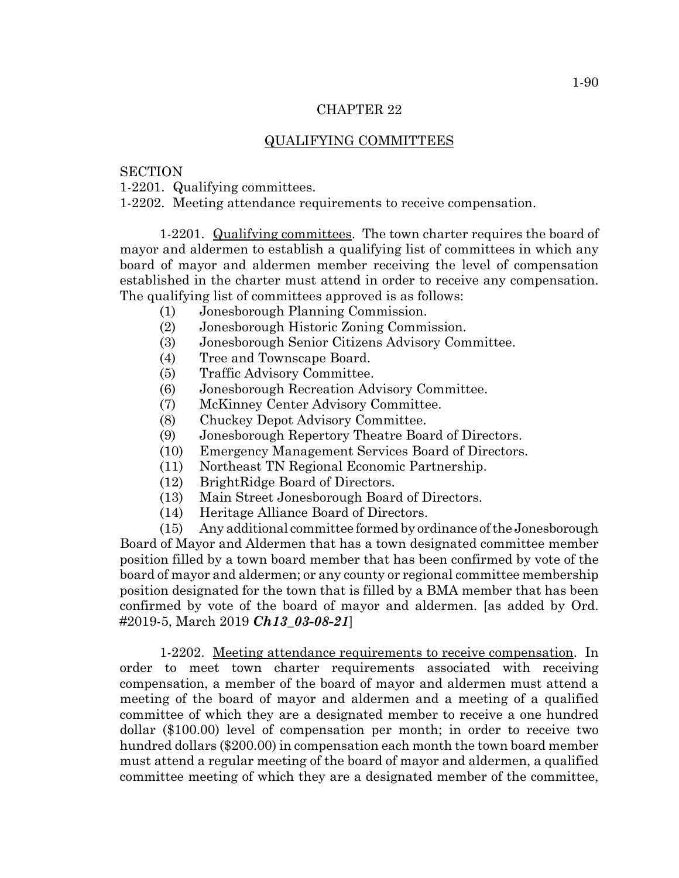# QUALIFYING COMMITTEES

# **SECTION**

1-2201. Qualifying committees.

1-2202. Meeting attendance requirements to receive compensation.

1-2201. Qualifying committees. The town charter requires the board of mayor and aldermen to establish a qualifying list of committees in which any board of mayor and aldermen member receiving the level of compensation established in the charter must attend in order to receive any compensation. The qualifying list of committees approved is as follows:

- (1) Jonesborough Planning Commission.
- (2) Jonesborough Historic Zoning Commission.
- (3) Jonesborough Senior Citizens Advisory Committee.
- (4) Tree and Townscape Board.
- (5) Traffic Advisory Committee.
- (6) Jonesborough Recreation Advisory Committee.
- (7) McKinney Center Advisory Committee.
- (8) Chuckey Depot Advisory Committee.
- (9) Jonesborough Repertory Theatre Board of Directors.
- (10) Emergency Management Services Board of Directors.
- (11) Northeast TN Regional Economic Partnership.
- (12) BrightRidge Board of Directors.
- (13) Main Street Jonesborough Board of Directors.
- (14) Heritage Alliance Board of Directors.

(15) Any additional committee formed by ordinance of the Jonesborough Board of Mayor and Aldermen that has a town designated committee member position filled by a town board member that has been confirmed by vote of the board of mayor and aldermen; or any county or regional committee membership position designated for the town that is filled by a BMA member that has been confirmed by vote of the board of mayor and aldermen. [as added by Ord. #2019-5, March 2019 *Ch13\_03-08-21*]

1-2202. Meeting attendance requirements to receive compensation. In order to meet town charter requirements associated with receiving compensation, a member of the board of mayor and aldermen must attend a meeting of the board of mayor and aldermen and a meeting of a qualified committee of which they are a designated member to receive a one hundred dollar (\$100.00) level of compensation per month; in order to receive two hundred dollars (\$200.00) in compensation each month the town board member must attend a regular meeting of the board of mayor and aldermen, a qualified committee meeting of which they are a designated member of the committee,